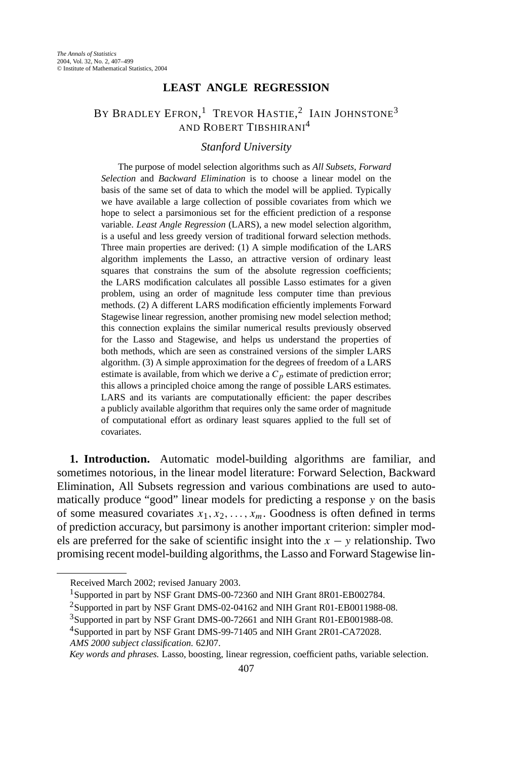## **LEAST ANGLE REGRESSION**

## BY BRADLEY EFRON, $^1$  Trevor Hastie, $^2$  Iain Johnstone $^3$ AND ROBERT TIBSHIRANI<sup>4</sup>

## *Stanford University*

The purpose of model selection algorithms such as *All Subsets*, *Forward Selection* and *Backward Elimination* is to choose a linear model on the basis of the same set of data to which the model will be applied. Typically we have available a large collection of possible covariates from which we hope to select a parsimonious set for the efficient prediction of a response variable. *Least Angle Regression* (LARS), a new model selection algorithm, is a useful and less greedy version of traditional forward selection methods. Three main properties are derived: (1) A simple modification of the LARS algorithm implements the Lasso, an attractive version of ordinary least squares that constrains the sum of the absolute regression coefficients; the LARS modification calculates all possible Lasso estimates for a given problem, using an order of magnitude less computer time than previous methods. (2) A different LARS modification efficiently implements Forward Stagewise linear regression, another promising new model selection method; this connection explains the similar numerical results previously observed for the Lasso and Stagewise, and helps us understand the properties of both methods, which are seen as constrained versions of the simpler LARS algorithm. (3) A simple approximation for the degrees of freedom of a LARS estimate is available, from which we derive a  $C_p$  estimate of prediction error; this allows a principled choice among the range of possible LARS estimates. LARS and its variants are computationally efficient: the paper describes a publicly available algorithm that requires only the same order of magnitude of computational effort as ordinary least squares applied to the full set of covariates.

**1. Introduction.** Automatic model-building algorithms are familiar, and sometimes notorious, in the linear model literature: Forward Selection, Backward Elimination, All Subsets regression and various combinations are used to automatically produce "good" linear models for predicting a response *y* on the basis of some measured covariates  $x_1, x_2, \ldots, x_m$ . Goodness is often defined in terms of prediction accuracy, but parsimony is another important criterion: simpler models are preferred for the sake of scientific insight into the *x* − *y* relationship. Two promising recent model-building algorithms, the Lasso and Forward Stagewise lin-

Received March 2002; revised January 2003.

<sup>&</sup>lt;sup>1</sup>Supported in part by NSF Grant DMS-00-72360 and NIH Grant 8R01-EB002784.

<sup>2</sup>Supported in part by NSF Grant DMS-02-04162 and NIH Grant R01-EB0011988-08.

<sup>3</sup>Supported in part by NSF Grant DMS-00-72661 and NIH Grant R01-EB001988-08.

<sup>&</sup>lt;sup>4</sup>Supported in part by NSF Grant DMS-99-71405 and NIH Grant 2R01-CA72028.

*AMS 2000 subject classification.* 62J07.

*Key words and phrases.* Lasso, boosting, linear regression, coefficient paths, variable selection.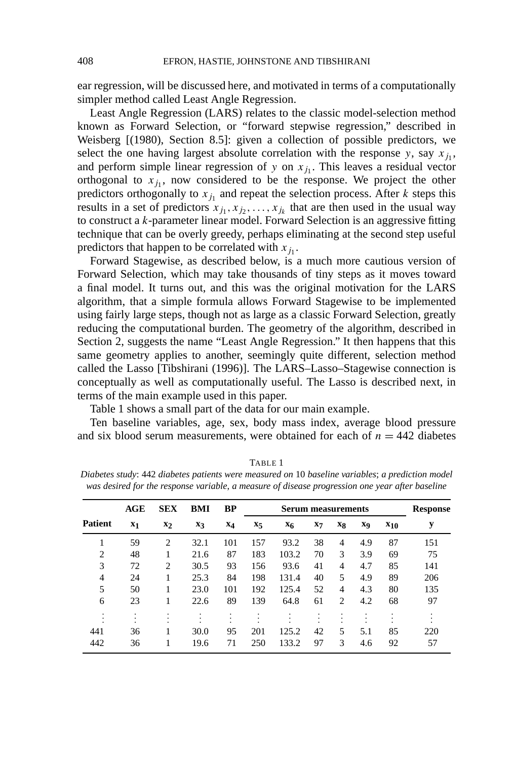ear regression, will be discussed here, and motivated in terms of a computationally simpler method called Least Angle Regression.

Least Angle Regression (LARS) relates to the classic model-selection method known as Forward Selection, or "forward stepwise regression," described in Weisberg [(1980), Section 8.5]: given a collection of possible predictors, we select the one having largest absolute correlation with the response *y*, say  $x_{i_1}$ , and perform simple linear regression of *y* on  $x_{j_1}$ . This leaves a residual vector orthogonal to  $x_{j_1}$ , now considered to be the response. We project the other predictors orthogonally to  $x_{j_1}$  and repeat the selection process. After  $k$  steps this results in a set of predictors  $x_{j_1}, x_{j_2}, \ldots, x_{j_k}$  that are then used in the usual way to construct a *k*-parameter linear model. Forward Selection is an aggressive fitting technique that can be overly greedy, perhaps eliminating at the second step useful predictors that happen to be correlated with  $x_{j_1}$ .

Forward Stagewise, as described below, is a much more cautious version of Forward Selection, which may take thousands of tiny steps as it moves toward a final model. It turns out, and this was the original motivation for the LARS algorithm, that a simple formula allows Forward Stagewise to be implemented using fairly large steps, though not as large as a classic Forward Selection, greatly reducing the computational burden. The geometry of the algorithm, described in Section 2, suggests the name "Least Angle Regression." It then happens that this same geometry applies to another, seemingly quite different, selection method called the Lasso [Tibshirani (1996)]. The LARS–Lasso–Stagewise connection is conceptually as well as computationally useful. The Lasso is described next, in terms of the main example used in this paper.

Table 1 shows a small part of the data for our main example.

Ten baseline variables, age, sex, body mass index, average blood pressure and six blood serum measurements, were obtained for each of  $n = 442$  diabetes

| <b>Patient</b> | AGE<br>$\mathbf{x}_1$ | <b>SEX</b><br>$\mathbf{x}_2$ | BMI<br>X3 | <b>BP</b><br>X4 | <b>Serum measurements</b> |       |       |                |     |          | <b>Response</b> |
|----------------|-----------------------|------------------------------|-----------|-----------------|---------------------------|-------|-------|----------------|-----|----------|-----------------|
|                |                       |                              |           |                 | $x_{5}$                   | Х6    | $x_7$ | X8             | X9  | $x_{10}$ | y               |
| 1<br>1         | 59                    | $\overline{c}$               | 32.1      | 101             | 157                       | 93.2  | 38    | 4              | 4.9 | 87       | 151             |
| 2              | 48                    |                              | 21.6      | 87              | 183                       | 103.2 | 70    | 3              | 3.9 | 69       | 75              |
| 3              | 72                    | $\overline{c}$               | 30.5      | 93              | 156                       | 93.6  | 41    | 4              | 4.7 | 85       | 141             |
| 4              | 24                    |                              | 25.3      | 84              | 198                       | 131.4 | 40    | 5              | 4.9 | 89       | 206             |
| 5              | 50                    |                              | 23.0      | 101             | 192                       | 125.4 | 52    | 4              | 4.3 | 80       | 135             |
| 6              | 23                    |                              | 22.6      | 89              | 139                       | 64.8  | 61    | $\overline{2}$ | 4.2 | 68       | 97              |
|                | ۰                     |                              | ٠<br>٠    | ٠               |                           |       |       | ٠              |     | ٠        |                 |
| 441            | 36                    |                              | 30.0      | 95              | 201                       | 125.2 | 42    | 5              | 5.1 | 85       | 220             |
| 442            | 36                    |                              | 19.6      | 71              | 250                       | 133.2 | 97    | 3              | 4.6 | 92       | 57              |

TABLE 1

*Diabetes study*: 442 *diabetes patients were measured on* 10 *baseline variables*; *a prediction model was desired for the response variable*, *a measure of disease progression one year after baseline*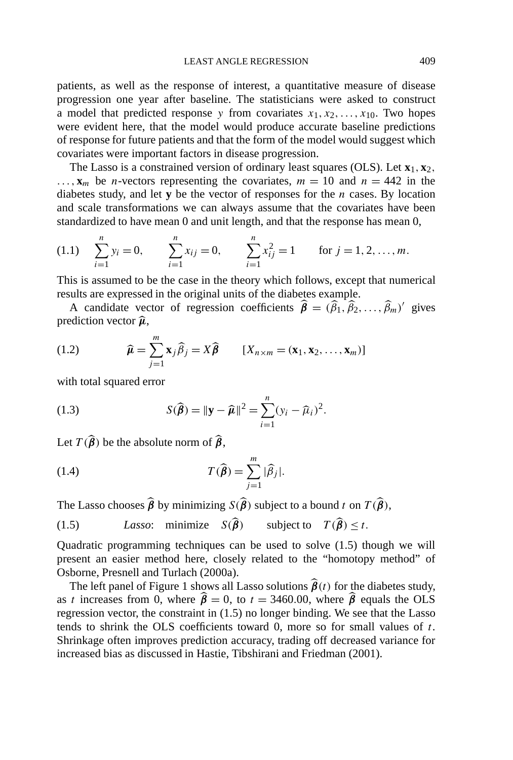patients, as well as the response of interest, a quantitative measure of disease progression one year after baseline. The statisticians were asked to construct a model that predicted response *y* from covariates  $x_1, x_2, \ldots, x_{10}$ . Two hopes were evident here, that the model would produce accurate baseline predictions of response for future patients and that the form of the model would suggest which covariates were important factors in disease progression.

The Lasso is a constrained version of ordinary least squares (OLS). Let **x**1*,* **x**2*,*  $\ldots$ ,  $\mathbf{x}_m$  be *n*-vectors representing the covariates,  $m = 10$  and  $n = 442$  in the diabetes study, and let **y** be the vector of responses for the *n* cases. By location and scale transformations we can always assume that the covariates have been standardized to have mean 0 and unit length, and that the response has mean 0,

$$
(1.1) \quad \sum_{i=1}^{n} y_i = 0, \qquad \sum_{i=1}^{n} x_{ij} = 0, \qquad \sum_{i=1}^{n} x_{ij}^2 = 1 \qquad \text{for } j = 1, 2, \dots, m.
$$

This is assumed to be the case in the theory which follows, except that numerical results are expressed in the original units of the diabetes example.

A candidate vector of regression coefficients  $\hat{\beta} = (\hat{\beta}_1, \hat{\beta}_2, ..., \hat{\beta}_m)'$  gives prediction vector  $\hat{\mu}$ ,

(1.2) 
$$
\widehat{\boldsymbol{\mu}} = \sum_{j=1}^{m} \mathbf{x}_{j} \widehat{\beta}_{j} = X \widehat{\boldsymbol{\beta}} \qquad [X_{n \times m} = (\mathbf{x}_{1}, \mathbf{x}_{2}, \dots, \mathbf{x}_{m})]
$$

with total squared error

(1.3) 
$$
S(\hat{\boldsymbol{\beta}}) = ||\mathbf{y} - \hat{\boldsymbol{\mu}}||^2 = \sum_{i=1}^n (y_i - \hat{\mu}_i)^2.
$$

Let  $T(\beta)$  be the absolute norm of  $\beta$ ,

(1.4) 
$$
T(\widehat{\boldsymbol{\beta}}) = \sum_{j=1}^{m} |\widehat{\beta}_j|.
$$

The Lasso chooses  $\beta$  by minimizing  $S(\beta)$  subject to a bound *t* on  $T(\beta)$ ,

(1.5) *Lasso*: minimize 
$$
S(\hat{\boldsymbol{\beta}})
$$
 subject to  $T(\hat{\boldsymbol{\beta}}) \leq t$ .

Quadratic programming techniques can be used to solve (1.5) though we will present an easier method here, closely related to the "homotopy method" of Osborne, Presnell and Turlach (2000a).

The left panel of Figure 1 shows all Lasso solutions  $\beta(t)$  for the diabetes study, as *t* increases from 0, where  $\hat{\beta} = 0$ , to  $t = 3460.00$ , where  $\hat{\beta}$  equals the OLS regression vector, the constraint in (1.5) no longer binding. We see that the Lasso tends to shrink the OLS coefficients toward 0, more so for small values of *t*. Shrinkage often improves prediction accuracy, trading off decreased variance for increased bias as discussed in Hastie, Tibshirani and Friedman (2001).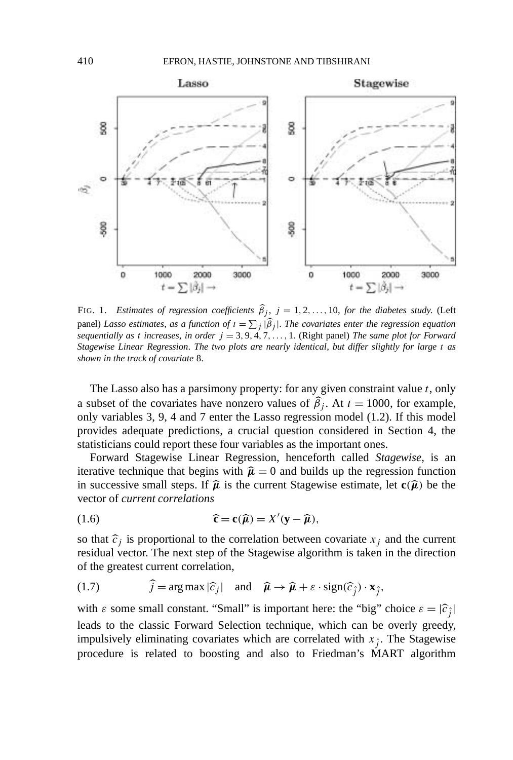

FIG. 1. *Estimates of regression coefficients*  $\hat{\beta}_j$ ,  $j = 1, 2, ..., 10$ , *for the diabetes study*. (Left panel) *Lasso estimates, as a function of*  $t = \sum_j |\hat{\beta}_j|$ . *The covariates enter the regression equation sequentially as t increases, in order*  $j = 3, 9, 4, 7, \ldots, 1$ . (Right panel) *The same plot for Forward Stagewise Linear Regression*. *The two plots are nearly identical*, *but differ slightly for large t as shown in the track of covariate* 8.

The Lasso also has a parsimony property: for any given constraint value *t*, only a subset of the covariates have nonzero values of  $\hat{\beta}_j$ . At  $t = 1000$ , for example, only variables 3, 9, 4 and 7 enter the Lasso regression model (1.2). If this model provides adequate predictions, a crucial question considered in Section 4, the statisticians could report these four variables as the important ones.

Forward Stagewise Linear Regression, henceforth called *Stagewise*, is an iterative technique that begins with  $\hat{\mu} = 0$  and builds up the regression function in successive small steps. If  $\hat{\mu}$  is the current Stagewise estimate, let  $c(\hat{\mu})$  be the vector of *current correlations*

(1.6) 
$$
\widehat{\mathbf{c}} = \mathbf{c}(\widehat{\boldsymbol{\mu}}) = X'(\mathbf{y} - \widehat{\boldsymbol{\mu}}),
$$

so that  $\hat{c}_j$  is proportional to the correlation between covariate  $x_j$  and the current residual vector. The next step of the Stagewise algorithm is taken in the direction of the greatest current correlation,

(1.7) 
$$
\hat{j} = \arg \max |\hat{c}_j|
$$
 and  $\hat{\boldsymbol{\mu}} \to \hat{\boldsymbol{\mu}} + \varepsilon \cdot \operatorname{sign}(\hat{c}_j) \cdot \mathbf{x}_j$ ,

with  $\varepsilon$  some small constant. "Small" is important here: the "big" choice  $\varepsilon = |\hat{c}_j|$ leads to the classic Forward Selection technique, which can be overly greedy, impulsively eliminating covariates which are correlated with  $x_j$ . The Stagewise procedure is related to boosting and also to Friedman's MART algorithm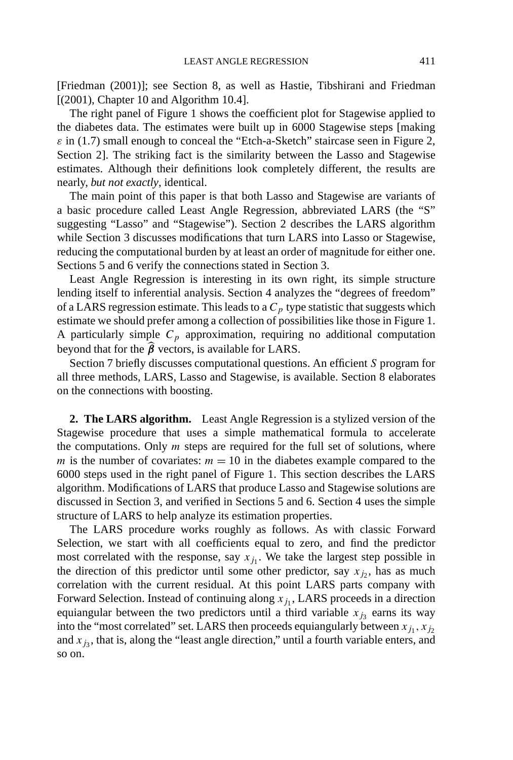[Friedman (2001)]; see Section 8, as well as Hastie, Tibshirani and Friedman [(2001), Chapter 10 and Algorithm 10.4].

The right panel of Figure 1 shows the coefficient plot for Stagewise applied to the diabetes data. The estimates were built up in 6000 Stagewise steps [making  $\varepsilon$  in (1.7) small enough to conceal the "Etch-a-Sketch" staircase seen in Figure 2, Section 2]. The striking fact is the similarity between the Lasso and Stagewise estimates. Although their definitions look completely different, the results are nearly, *but not exactly*, identical.

The main point of this paper is that both Lasso and Stagewise are variants of a basic procedure called Least Angle Regression, abbreviated LARS (the "S" suggesting "Lasso" and "Stagewise"). Section 2 describes the LARS algorithm while Section 3 discusses modifications that turn LARS into Lasso or Stagewise, reducing the computational burden by at least an order of magnitude for either one. Sections 5 and 6 verify the connections stated in Section 3.

Least Angle Regression is interesting in its own right, its simple structure lending itself to inferential analysis. Section 4 analyzes the "degrees of freedom" of a LARS regression estimate. This leads to a  $C_p$  type statistic that suggests which estimate we should prefer among a collection of possibilities like those in Figure 1. A particularly simple  $C_p$  approximation, requiring no additional computation beyond that for the  $\beta$  vectors, is available for LARS.

Section 7 briefly discusses computational questions. An efficient *S* program for all three methods, LARS, Lasso and Stagewise, is available. Section 8 elaborates on the connections with boosting.

**2. The LARS algorithm.** Least Angle Regression is a stylized version of the Stagewise procedure that uses a simple mathematical formula to accelerate the computations. Only *m* steps are required for the full set of solutions, where *m* is the number of covariates:  $m = 10$  in the diabetes example compared to the 6000 steps used in the right panel of Figure 1. This section describes the LARS algorithm. Modifications of LARS that produce Lasso and Stagewise solutions are discussed in Section 3, and verified in Sections 5 and 6. Section 4 uses the simple structure of LARS to help analyze its estimation properties.

The LARS procedure works roughly as follows. As with classic Forward Selection, we start with all coefficients equal to zero, and find the predictor most correlated with the response, say  $x_{j_1}$ . We take the largest step possible in the direction of this predictor until some other predictor, say  $x_j$ , has as much correlation with the current residual. At this point LARS parts company with Forward Selection. Instead of continuing along  $x_{j_1}$ , LARS proceeds in a direction equiangular between the two predictors until a third variable  $x_j$ <sup>3</sup> earns its way into the "most correlated" set. LARS then proceeds equiangularly between  $x_{j_1}, x_{j_2}$ and  $x_j$ <sub>3</sub>, that is, along the "least angle direction," until a fourth variable enters, and so on.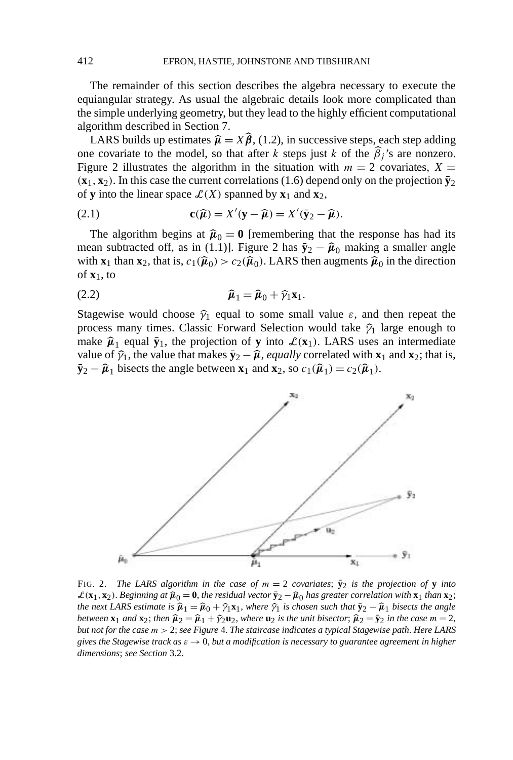The remainder of this section describes the algebra necessary to execute the equiangular strategy. As usual the algebraic details look more complicated than the simple underlying geometry, but they lead to the highly efficient computational algorithm described in Section 7.

LARS builds up estimates  $\hat{\mu} = X\hat{\beta}$ , (1.2), in successive steps, each step adding one covariate to the model, so that after *k* steps just *k* of the  $\beta_j$ 's are nonzero. Figure 2 illustrates the algorithm in the situation with  $m = 2$  covariates,  $X =$  $(\mathbf{x}_1, \mathbf{x}_2)$ . In this case the current correlations (1.6) depend only on the projection  $\bar{\mathbf{y}}_2$ of **y** into the linear space  $\mathcal{L}(X)$  spanned by  $\mathbf{x}_1$  and  $\mathbf{x}_2$ ,

(2.1) 
$$
\mathbf{c}(\widehat{\boldsymbol{\mu}}) = X'(\mathbf{y} - \widehat{\boldsymbol{\mu}}) = X'(\bar{\mathbf{y}}_2 - \widehat{\boldsymbol{\mu}}).
$$

The algorithm begins at  $\hat{\mu}_0 = 0$  [remembering that the response has had its mean subtracted off, as in (1.1)]. Figure 2 has  $\bar{y}_2 - \hat{\mu}_0$  making a smaller angle with **x**<sub>1</sub> than **x**<sub>2</sub>, that is,  $c_1(\hat{\boldsymbol{\mu}}_0) > c_2(\hat{\boldsymbol{\mu}}_0)$ . LARS then augments  $\hat{\boldsymbol{\mu}}_0$  in the direction of  $\mathbf{x}_1$ , to

$$
\widehat{\boldsymbol{\mu}}_1 = \widehat{\boldsymbol{\mu}}_0 + \widehat{\gamma}_1 \mathbf{x}_1.
$$

Stagewise would choose  $\hat{\gamma}_1$  equal to some small value  $\varepsilon$ , and then repeat the process many times. Classic Forward Selection would take  $\hat{\gamma}_1$  large enough to make  $\hat{\mu}_1$  equal  $\bar{\mathbf{y}}_1$ , the projection of **y** into  $\mathcal{L}(\mathbf{x}_1)$ . LARS uses an intermediate value of  $\hat{\gamma}_1$ , the value that makes  $\bar{\mathbf{y}}_2 - \hat{\boldsymbol{\mu}}$ , *equally* correlated with  $\mathbf{x}_1$  and  $\mathbf{x}_2$ ; that is,  $\bar{\mathbf{y}}_2 - \hat{\boldsymbol{\mu}}_1$  bisects the angle between  $\mathbf{x}_1$  and  $\mathbf{x}_2$ , so  $c_1(\hat{\boldsymbol{\mu}}_1) = c_2(\hat{\boldsymbol{\mu}}_1)$ .



FIG. 2. *The LARS algorithm in the case of*  $m = 2$  *covariates*;  $\bar{y}_2$  *is the projection of* **y** *into*  $\mathcal{L}(\mathbf{x}_1, \mathbf{x}_2)$ . Beginning at  $\hat{\boldsymbol{\mu}}_0 = \mathbf{0}$ , the residual vector  $\bar{\mathbf{y}}_2 - \hat{\boldsymbol{\mu}}_0$  has greater correlation with  $\mathbf{x}_1$  than  $\mathbf{x}_2$ ; *the next LARS estimate is*  $\hat{\mu}_1 = \hat{\mu}_0 + \hat{\gamma}_1 \mathbf{x}_1$ , *where*  $\hat{\gamma}_1$  *is chosen such that*  $\bar{\mathbf{y}}_2 - \hat{\mu}_1$  *bisects the angle between* **x**<sub>1</sub> and **x**<sub>2</sub>; *then*  $\hat{\mu}_2 = \hat{\mu}_1 + \hat{\gamma}_2 \mathbf{u}_2$ , *where*  $\mathbf{u}_2$  *is the unit bisector*;  $\hat{\mu}_2 = \bar{\mathbf{y}}_2$  *in the case*  $m = 2$ , *but not for the case m >* 2; *see Figure* 4. *The staircase indicates a typical Stagewise path*. *Here LARS gives the Stagewise track as*  $\varepsilon \rightarrow 0$ , *but a modification is necessary to guarantee agreement in higher dimensions*; *see Section* 3.2.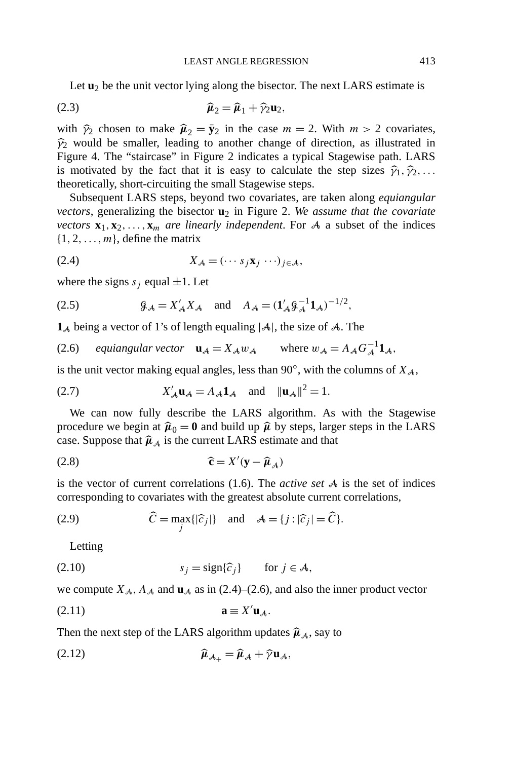Let  $\mathbf{u}_2$  be the unit vector lying along the bisector. The next LARS estimate is

$$
\widehat{\boldsymbol{\mu}}_2 = \widehat{\boldsymbol{\mu}}_1 + \widehat{\gamma}_2 \mathbf{u}_2,
$$

with  $\hat{\gamma}_2$  chosen to make  $\hat{\mu}_2 = \bar{y}_2$  in the case  $m = 2$ . With  $m > 2$  covariates, *γ*<sub>2</sub> would be smaller, leading to another change of direction, as illustrated in Figure 4. The "staircase" in Figure 2 indicates a typical Stagewise path. LARS is motivated by the fact that it is easy to calculate the step sizes  $\hat{\gamma}_1, \hat{\gamma}_2, \ldots$ theoretically, short-circuiting the small Stagewise steps.

Subsequent LARS steps, beyond two covariates, are taken along *equiangular vectors*, generalizing the bisector **u**<sup>2</sup> in Figure 2. *We assume that the covariate vectors*  $\mathbf{x}_1, \mathbf{x}_2, \ldots, \mathbf{x}_m$  *are linearly independent*. For A a subset of the indices  $\{1, 2, \ldots, m\}$ , define the matrix

$$
(2.4) \t\t X_{\mathcal{A}} = (\cdots s_j \mathbf{x}_j \cdots)_{j \in \mathcal{A}},
$$

where the signs  $s_i$  equal  $\pm 1$ . Let

(2.5) 
$$
\mathcal{G}_{A} = X'_{A} X_{A} \text{ and } A_{A} = (\mathbf{1}'_{A} \mathcal{G}_{A}^{-1} \mathbf{1}_{A})^{-1/2},
$$

 $\mathbf{1}_A$  being a vector of 1's of length equaling  $|\mathcal{A}|$ , the size of  $\mathcal{A}$ . The

 $P(A|B)$  *equiangular vector*  $\mathbf{u}_A = X_A w_A$  where  $w_A = A_A G_A^{-1} \mathbf{1}_A$ ,

is the unit vector making equal angles, less than  $90^\circ$ , with the columns of  $X_A$ ,

(2.7) 
$$
X'_{\mathcal{A}} \mathbf{u}_{\mathcal{A}} = A_{\mathcal{A}} \mathbf{1}_{\mathcal{A}} \text{ and } ||\mathbf{u}_{\mathcal{A}}||^2 = 1.
$$

We can now fully describe the LARS algorithm. As with the Stagewise procedure we begin at  $\hat{\mu}_0 = 0$  and build up  $\hat{\mu}$  by steps, larger steps in the LARS procedure we begin at  $\mu_0 = \mathbf{v}$  and build up  $\mu$  by steps, raige case. Suppose that  $\hat{\mu}_A$  is the current LARS estimate and that

$$
\hat{\mathbf{c}} = X'(\mathbf{y} - \hat{\boldsymbol{\mu}}_{\mathcal{A}})
$$

is the vector of current correlations (1.6). The *active set* A is the set of indices corresponding to covariates with the greatest absolute current correlations,

(2.9) 
$$
\widehat{C} = \max_{j} \{ |\widehat{c}_j| \} \text{ and } \mathcal{A} = \{ j : |\widehat{c}_j| = \widehat{C} \}.
$$

Letting

(2.10) 
$$
s_j = sign\{\widehat{c}_j\} \quad \text{for } j \in \mathcal{A},
$$

we compute  $X_A$ ,  $A_A$  and  $\mathbf{u}_A$  as in (2.4)–(2.6), and also the inner product vector

$$
\mathbf{a} \equiv X' \mathbf{u}_{\mathcal{A}}.
$$

Then the next step of the LARS algorithm updates  $\hat{\mu}_A$ , say to

$$
\widehat{\boldsymbol{\mu}}_{\mathcal{A}_+} = \widehat{\boldsymbol{\mu}}_{\mathcal{A}} + \widehat{\gamma} \mathbf{u}_{\mathcal{A}},
$$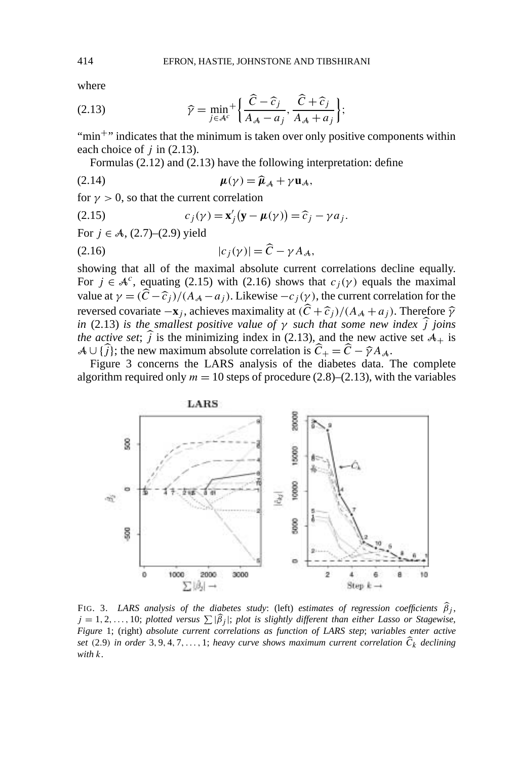where

(2.13) 
$$
\widehat{\gamma} = \min_{j \in A^c} \left\{ \frac{\widehat{C} - \widehat{c}_j}{A_{\mathcal{A}} - a_j}, \frac{\widehat{C} + \widehat{c}_j}{A_{\mathcal{A}} + a_j} \right\};
$$

"min<sup>+</sup>" indicates that the minimum is taken over only positive components within each choice of *j* in (2.13).

Formulas (2.12) and (2.13) have the following interpretation: define

$$
\mu(\gamma) = \widehat{\mu}_A + \gamma \mathbf{u}_A,
$$

for  $\gamma > 0$ , so that the current correlation

(2.15) 
$$
c_j(\gamma) = \mathbf{x}'_j(\mathbf{y} - \boldsymbol{\mu}(\gamma)) = \widehat{c}_j - \gamma a_j.
$$

For  $j \in A$ , (2.7)–(2.9) yield

$$
|c_j(\gamma)| = \widehat{C} - \gamma A_{\mathcal{A}},
$$

showing that all of the maximal absolute current correlations decline equally. For  $j \in A^c$ , equating (2.15) with (2.16) shows that  $c_j(\gamma)$  equals the maximal value at  $\gamma = (\hat{C} - \hat{c}_j)/(A_A - a_j)$ . Likewise  $-c_j(\gamma)$ , the current correlation for the reversed covariate  $-\mathbf{x}_j$ , achieves maximality at  $(\hat{C} + \hat{c}_j)/(A_A + a_j)$ . Therefore  $\hat{\gamma}$ *in* (2.13) *is the smallest positive value of γ such that some new index j* - *joins the active set*; *j* is the minimizing index in (2.13), and the new active set  $A_+$  is  $\mathcal{A} \cup {\hat{j}}$ ; the new maximum absolute correlation is  $\hat{C}_+ = \hat{C} - \hat{\gamma} A_A$ .

Figure 3 concerns the LARS analysis of the diabetes data. The complete algorithm required only  $m = 10$  steps of procedure (2.8)–(2.13), with the variables



FIG. 3. *LARS analysis of the diabetes study*: (left) *estimates of regression coefficients*  $β<sub>j</sub>$ ,  $j = 1, 2, ..., 10$ ; *plotted versus*  $\sum |\hat{\beta}_j|$ ; *plot is slightly different than either Lasso or Stagewise*, *Figure* 1; (right) *absolute current correlations as function of LARS step*; *variables enter active set* (2.9) *in order* 3, 9, 4, 7,  $\dots$ , 1; *heavy curve shows maximum current correlation*  $\ddot{C}_k$  *declining with k*.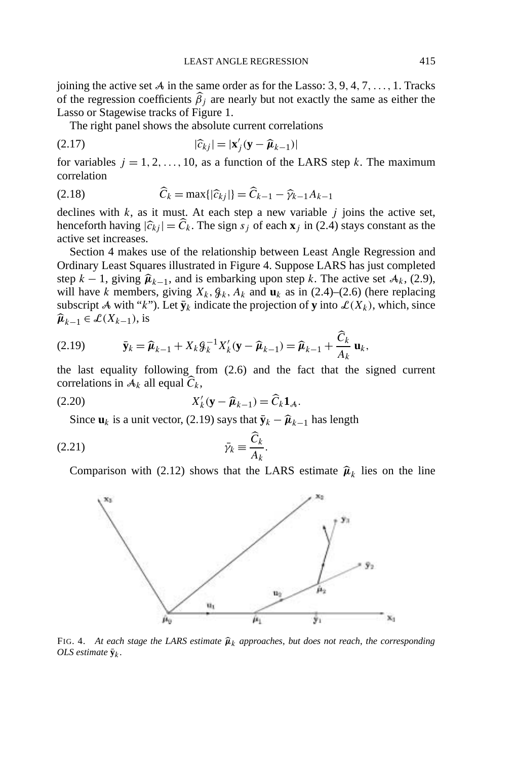joining the active set A in the same order as for the Lasso: 3*,* 9*,* 4*,* 7*,...,* 1. Tracks of the regression coefficients  $\hat{\beta}_j$  are nearly but not exactly the same as either the Lasso or Stagewise tracks of Figure 1.

The right panel shows the absolute current correlations

$$
(2.17) \qquad |\widehat{c}_{kj}| = |\mathbf{x}'_j(\mathbf{y} - \widehat{\boldsymbol{\mu}}_{k-1})|
$$

for variables  $j = 1, 2, ..., 10$ , as a function of the LARS step k. The maximum correlation

(2.18) 
$$
\widehat{C}_k = \max\{|\widehat{c}_{kj}|\} = \widehat{C}_{k-1} - \widehat{\gamma}_{k-1}A_{k-1}
$$

declines with *k*, as it must. At each step a new variable *j* joins the active set, henceforth having  $|\hat{c}_{kj}| = \hat{C}_k$ . The sign  $s_j$  of each  $\mathbf{x}_j$  in (2.4) stays constant as the active set increases.

Section 4 makes use of the relationship between Least Angle Regression and Ordinary Least Squares illustrated in Figure 4. Suppose LARS has just completed step  $k - 1$ , giving  $\hat{\mu}_{k-1}$ , and is embarking upon step *k*. The active set  $A_k$ , (2.9), will have *k* members, giving  $X_k$ ,  $\mathcal{G}_k$ ,  $A_k$  and  $\mathbf{u}_k$  as in (2.4)–(2.6) (here replacing subscript A with "k"). Let  $\bar{y}_k$  indicate the projection of **y** into  $\mathcal{L}(X_k)$ , which, since  $\widehat{\boldsymbol{\mu}}_{k-1} \in \mathcal{L}(X_{k-1}),$  is

$$
(2.19) \t\t \bar{\mathbf{y}}_k = \widehat{\boldsymbol{\mu}}_{k-1} + X_k \boldsymbol{\mathcal{G}}_k^{-1} X'_k (\mathbf{y} - \widehat{\boldsymbol{\mu}}_{k-1}) = \widehat{\boldsymbol{\mu}}_{k-1} + \frac{\widehat{C}_k}{A_k} \mathbf{u}_k,
$$

the last equality following from (2.6) and the fact that the signed current correlations in  $A_k$  all equal  $C_k$ ,

$$
(2.20) \t\t X'_k(\mathbf{y} - \widehat{\boldsymbol{\mu}}_{k-1}) = \widehat{C}_k \mathbf{1}_{\mathcal{A}}.
$$

Since **u**<sub>*k*</sub> is a unit vector, (2.19) says that  $\bar{\mathbf{y}}_k - \hat{\boldsymbol{\mu}}_{k-1}$  has length

$$
\bar{\gamma}_k \equiv \frac{\bar{C}_k}{A_k}.
$$

Comparison with (2.12) shows that the LARS estimate  $\hat{\mu}_k$  lies on the line



FIG. 4. *At each stage the LARS estimate <sup>µ</sup>*-*k approaches*, *but does not reach*, *the corresponding OLS estimate*  $\bar{\mathbf{y}}_k$ .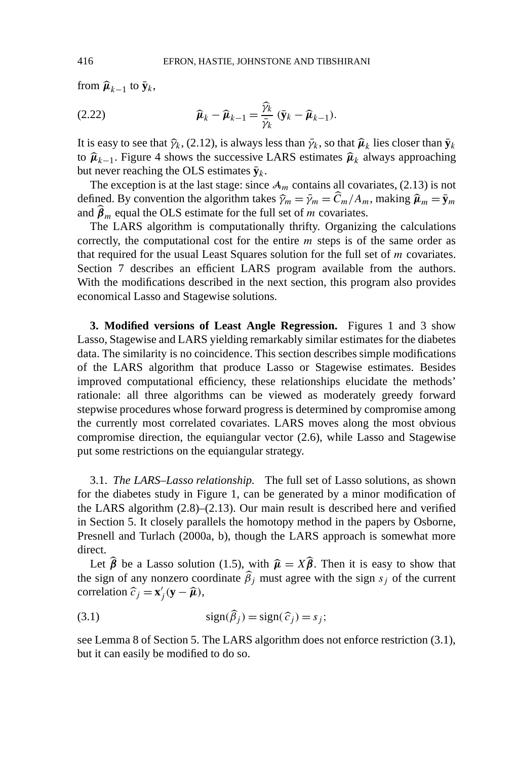from  $\widehat{\boldsymbol{\mu}}_{k-1}$  to  $\bar{\mathbf{y}}_k$ ,

(2.22) 
$$
\widehat{\boldsymbol{\mu}}_k - \widehat{\boldsymbol{\mu}}_{k-1} = \frac{\widehat{\gamma}_k}{\overline{\gamma}_k} (\bar{\mathbf{y}}_k - \widehat{\boldsymbol{\mu}}_{k-1}).
$$

It is easy to see that  $\hat{\gamma}_k$ , (2.12), is always less than  $\bar{\gamma}_k$ , so that  $\hat{\mu}_k$  lies closer than  $\bar{\mathbf{y}}_k$ to  $\hat{\boldsymbol{\mu}}_{k-1}$ . Figure 4 shows the successive LARS estimates  $\hat{\boldsymbol{\mu}}_k$  always approaching but never reaching the OLS estimates  $\bar{y}_k$ .

The exception is at the last stage: since  $A_m$  contains all covariates, (2.13) is not defined. By convention the algorithm takes  $\hat{\gamma}_m = \bar{\gamma}_m = \hat{C}_m / A_m$ , making  $\hat{\mu}_m = \bar{\mathbf{y}}_m$ and  $\beta_m$  equal the OLS estimate for the full set of *m* covariates.

The LARS algorithm is computationally thrifty. Organizing the calculations correctly, the computational cost for the entire *m* steps is of the same order as that required for the usual Least Squares solution for the full set of *m* covariates. Section 7 describes an efficient LARS program available from the authors. With the modifications described in the next section, this program also provides economical Lasso and Stagewise solutions.

**3. Modified versions of Least Angle Regression.** Figures 1 and 3 show Lasso, Stagewise and LARS yielding remarkably similar estimates for the diabetes data. The similarity is no coincidence. This section describes simple modifications of the LARS algorithm that produce Lasso or Stagewise estimates. Besides improved computational efficiency, these relationships elucidate the methods' rationale: all three algorithms can be viewed as moderately greedy forward stepwise procedures whose forward progress is determined by compromise among the currently most correlated covariates. LARS moves along the most obvious compromise direction, the equiangular vector (2.6), while Lasso and Stagewise put some restrictions on the equiangular strategy.

3.1. *The LARS–Lasso relationship.* The full set of Lasso solutions, as shown for the diabetes study in Figure 1, can be generated by a minor modification of the LARS algorithm (2.8)–(2.13). Our main result is described here and verified in Section 5. It closely parallels the homotopy method in the papers by Osborne, Presnell and Turlach (2000a, b), though the LARS approach is somewhat more direct.

Let  $\hat{\beta}$  be a Lasso solution (1.5), with  $\hat{\mu} = X\hat{\beta}$ . Then it is easy to show that Let *p* be a Lasso solution (1.5), while  $\mu = \lambda p$ . Then it is easy to show that the sign of any nonzero coordinate  $\beta_j$  must agree with the sign *s<sub>j</sub>* of the current correlation  $\hat{c}_j = \mathbf{x}'_j (\mathbf{y} - \hat{\boldsymbol{\mu}}),$ 

(3.1) 
$$
\text{sign}(\widehat{\beta}_j) = \text{sign}(\widehat{c}_j) = s_j;
$$

see Lemma 8 of Section 5. The LARS algorithm does not enforce restriction (3.1), but it can easily be modified to do so.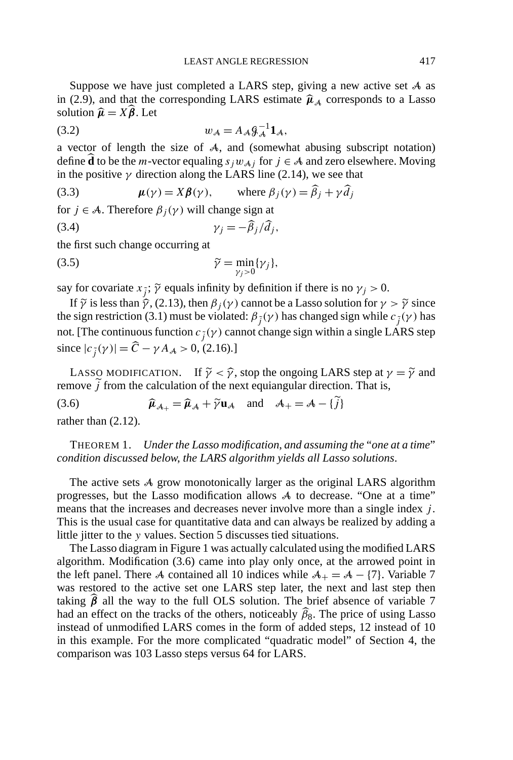Suppose we have just completed a LARS step, giving a new active set A as in (2.9), and that the corresponding LARS estimate  $\hat{\mu}_A$  corresponds to a Lasso solution  $\hat{\mu} = X\hat{\beta}$ . Let

$$
(3.2) \t\t w_{\mathcal{A}} = A_{\mathcal{A}} \mathcal{G}_{\mathcal{A}}^{-1} \mathbf{1}_{\mathcal{A}},
$$

a vector of length the size of A, and (somewhat abusing subscript notation) define  $\hat{\mathbf{d}}$  to be the *m*-vector equaling  $s_jw_{\mathcal{A}j}$  for  $j \in \mathcal{A}$  and zero elsewhere. Moving in the positive  $\gamma$  direction along the LARS line (2.14), we see that

(3.3) 
$$
\mu(\gamma) = X\beta(\gamma), \quad \text{where } \beta_j(\gamma) = \widehat{\beta}_j + \gamma \widehat{d}_j
$$

for  $j \in A$ . Therefore  $\beta_j(\gamma)$  will change sign at

$$
\gamma_j = -\widehat{\beta}_j / \widehat{d}_j,
$$

the first such change occurring at

(3.5) 
$$
\widetilde{\gamma} = \min_{\gamma_j > 0} {\gamma_j},
$$

say for covariate  $x_{\tilde{j}}$ ;  $\tilde{\gamma}$  equals infinity by definition if there is no  $\gamma_j > 0$ .

If  $\tilde{\gamma}$  is less than  $\hat{\gamma}$ , (2.13), then  $\beta_j(\gamma)$  cannot be a Lasso solution for  $\gamma > \tilde{\gamma}$  since the sign restriction (3.1) must be violated:  $\beta_{\tilde{j}}(\gamma)$  has changed sign while  $c_{\tilde{j}}(\gamma)$  has not. [The continuous function  $c_j(\gamma)$  cannot change sign within a single LARS step  $\text{since } |c_{\tilde{j}}(\gamma)| = \hat{C} - \gamma A_{\mathcal{A}} > 0, (2.16).]$ 

LASSO MODIFICATION. If  $\tilde{\gamma} < \hat{\gamma}$ , stop the ongoing LARS step at  $\gamma = \tilde{\gamma}$  and remove *j* from the calculation of the next equiangular direction. That is,

 $(3.6)$  $\widehat{\boldsymbol{\mu}}_{\mathcal{A}_+} = \widehat{\boldsymbol{\mu}}_{\mathcal{A}} + \widetilde{\gamma} \mathbf{u}_{\mathcal{A}} \quad \text{and} \quad \mathcal{A}_+ = \mathcal{A} - {\widetilde{\boldsymbol{j}}}$ 

rather than  $(2.12)$ .

THEOREM 1. *Under the Lasso modification*, *and assuming the* "*one at a time*" *condition discussed below*, *the LARS algorithm yields all Lasso solutions*.

The active sets A grow monotonically larger as the original LARS algorithm progresses, but the Lasso modification allows A to decrease. "One at a time" means that the increases and decreases never involve more than a single index *j* . This is the usual case for quantitative data and can always be realized by adding a little jitter to the *y* values. Section 5 discusses tied situations.

The Lasso diagram in Figure 1 was actually calculated using the modified LARS algorithm. Modification (3.6) came into play only once, at the arrowed point in the left panel. There A contained all 10 indices while  $A_+ = A - \{7\}$ . Variable 7 was restored to the active set one LARS step later, the next and last step then taking  $\beta$  all the way to the full OLS solution. The brief absence of variable 7 had an effect on the tracks of the others, noticeably  $\beta_8$ . The price of using Lasso instead of unmodified LARS comes in the form of added steps, 12 instead of 10 in this example. For the more complicated "quadratic model" of Section 4, the comparison was 103 Lasso steps versus 64 for LARS.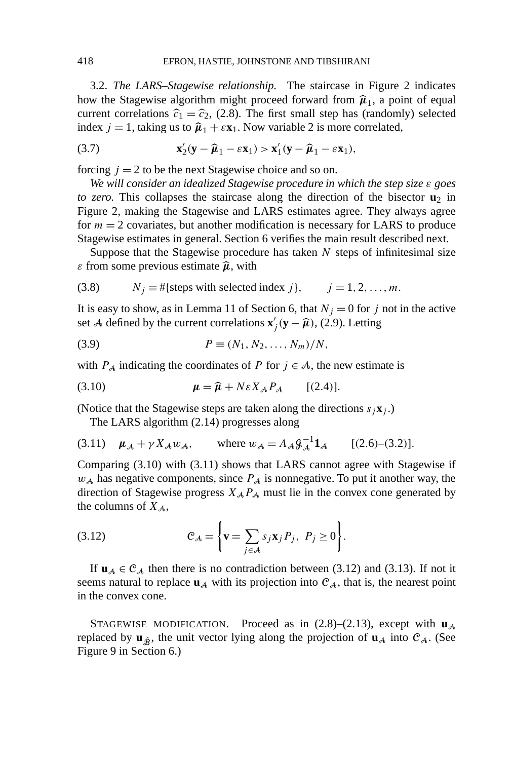3.2. *The LARS–Stagewise relationship.* The staircase in Figure 2 indicates how the Stagewise algorithm might proceed forward from  $\hat{\mu}_1$ , a point of equal current correlations  $\hat{c}_1 = \hat{c}_2$ , (2.8). The first small step has (randomly) selected index  $j = 1$ , taking us to  $\hat{\boldsymbol{\mu}}_1 + \varepsilon \mathbf{x}_1$ . Now variable 2 is more correlated,

(3.7) 
$$
\mathbf{x}_2'(\mathbf{y}-\widehat{\boldsymbol{\mu}}_1-\varepsilon\mathbf{x}_1) > \mathbf{x}_1'(\mathbf{y}-\widehat{\boldsymbol{\mu}}_1-\varepsilon\mathbf{x}_1),
$$

forcing  $j = 2$  to be the next Stagewise choice and so on.

*We will consider an idealized Stagewise procedure in which the step size ε goes to zero.* This collapses the staircase along the direction of the bisector  $\mathbf{u}_2$  in Figure 2, making the Stagewise and LARS estimates agree. They always agree for  $m = 2$  covariates, but another modification is necessary for LARS to produce Stagewise estimates in general. Section 6 verifies the main result described next.

Suppose that the Stagewise procedure has taken *N* steps of infinitesimal size  $\varepsilon$  from some previous estimate  $\hat{\boldsymbol{\mu}}$ , with

(3.8) 
$$
N_j \equiv #
$$
{steps with selected index j},  $j = 1, 2, ..., m$ .

It is easy to show, as in Lemma 11 of Section 6, that  $N_j = 0$  for *j* not in the active set A defined by the current correlations  $\mathbf{x}'_j(\mathbf{y} - \hat{\boldsymbol{\mu}})$ , (2.9). Letting

$$
(3.9) \t\t\t P \equiv (N_1, N_2, \ldots, N_m)/N,
$$

with  $P_A$  indicating the coordinates of *P* for  $j \in A$ , the new estimate is

$$
\mu = \widehat{\mu} + N \varepsilon X_A P_A \qquad [(2.4)].
$$

(Notice that the Stagewise steps are taken along the directions  $s_j$ **x**<sub>*i*</sub>.)

The LARS algorithm (2.14) progresses along

(3.11) 
$$
\mu_A + \gamma X_A w_A
$$
, where  $w_A = A_A \mathcal{G}_A^{-1} \mathbf{1}_A$  [(2.6)–(3.2)].

Comparing (3.10) with (3.11) shows that LARS cannot agree with Stagewise if  $w_A$  has negative components, since  $P_A$  is nonnegative. To put it another way, the direction of Stagewise progress  $X_A P_A$  must lie in the convex cone generated by the columns of  $X_{\mathcal{A}}$ ,

(3.12) 
$$
\mathcal{C}_{\mathcal{A}} = \left\{ \mathbf{v} = \sum_{j \in \mathcal{A}} s_j \mathbf{x}_j P_j, \ P_j \ge 0 \right\}.
$$

If  $\mathbf{u}_A \in \mathcal{C}_A$  then there is no contradiction between (3.12) and (3.13). If not it seems natural to replace  $\mathbf{u}_{\mathcal{A}}$  with its projection into  $\mathcal{C}_{\mathcal{A}}$ , that is, the nearest point in the convex cone.

STAGEWISE MODIFICATION. Proceed as in  $(2.8)$ – $(2.13)$ , except with  $\mathbf{u}_A$ replaced by  $\mathbf{u}_{\hat{\theta}}$ , the unit vector lying along the projection of  $\mathbf{u}_{\mathcal{A}}$  into  $\mathcal{C}_{\mathcal{A}}$ . (See Figure 9 in Section 6.)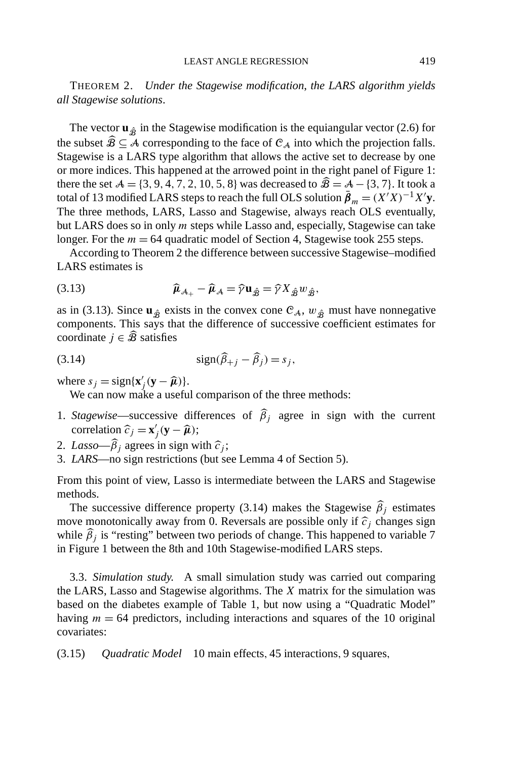THEOREM 2. *Under the Stagewise modification*, *the LARS algorithm yields all Stagewise solutions*.

The vector  $\mathbf{u}_{\hat{\mathcal{B}}}$  in the Stagewise modification is the equiangular vector (2.6) for the subset  $\mathcal{B} \subseteq \mathcal{A}$  corresponding to the face of  $\mathcal{C}_{\mathcal{A}}$  into which the projection falls. Stagewise is a LARS type algorithm that allows the active set to decrease by one or more indices. This happened at the arrowed point in the right panel of Figure 1: there the set  $A = \{3, 9, 4, 7, 2, 10, 5, 8\}$  was decreased to  $\mathcal{B} = A - \{3, 7\}$ . It took a total of 13 modified LARS steps to reach the full OLS solution  $\bar{\beta}_m = (X'X)^{-1}X'y$ . The three methods, LARS, Lasso and Stagewise, always reach OLS eventually, but LARS does so in only *m* steps while Lasso and, especially, Stagewise can take longer. For the  $m = 64$  quadratic model of Section 4, Stagewise took 255 steps.

According to Theorem 2 the difference between successive Stagewise–modified LARS estimates is

(3.13) 
$$
\widehat{\boldsymbol{\mu}}_{\mathcal{A}_+} - \widehat{\boldsymbol{\mu}}_{\mathcal{A}} = \widehat{\gamma} \mathbf{u}_{\hat{\mathcal{B}}} = \widehat{\gamma} X_{\hat{\mathcal{B}}} w_{\hat{\mathcal{B}}},
$$

as in (3.13). Since  $\mathbf{u}_{\hat{\mathcal{B}}}$  exists in the convex cone  $\mathcal{C}_{\mathcal{A}}$ ,  $w_{\hat{\mathcal{B}}}$  must have nonnegative components. This says that the difference of successive coefficient estimates for coordinate  $j \in \widehat{B}$  satisfies

$$
\text{(3.14)} \quad \text{sign}(\widehat{\beta}_{+j} - \widehat{\beta}_j) = s_j,
$$

where  $s_j = \text{sign}\{\mathbf{x}'_j(\mathbf{y} - \hat{\boldsymbol{\mu}})\}.$ 

We can now make a useful comparison of the three methods:

- 1. *Stagewise*—successive differences of  $\hat{\beta}_j$  agree in sign with the current correlation  $\hat{c}_j = \mathbf{x}'_j (\mathbf{y} - \hat{\boldsymbol{\mu}});$
- 2. *Lasso*— $\beta_j$  agrees in sign with  $\hat{c}_j$ ;
- 3. *LARS*—no sign restrictions (but see Lemma 4 of Section 5).

From this point of view, Lasso is intermediate between the LARS and Stagewise methods.

The successive difference property (3.14) makes the Stagewise  $\beta_j$  estimates move monotonically away from 0. Reversals are possible only if  $\hat{c}_j$  changes sign while  $\beta_j$  is "resting" between two periods of change. This happened to variable 7 in Figure 1 between the 8th and 10th Stagewise-modified LARS steps.

3.3. *Simulation study.* A small simulation study was carried out comparing the LARS, Lasso and Stagewise algorithms. The *X* matrix for the simulation was based on the diabetes example of Table 1, but now using a "Quadratic Model" having  $m = 64$  predictors, including interactions and squares of the 10 original covariates:

(3.15) *Quadratic Model* 10 main effects*,* 45 interactions*,* 9 squares*,*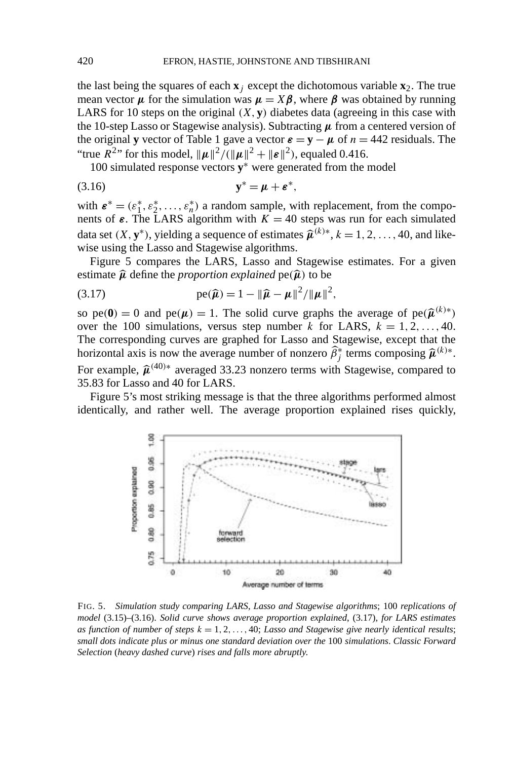the last being the squares of each  $\mathbf{x}_i$  except the dichotomous variable  $\mathbf{x}_2$ . The true mean vector  $\mu$  for the simulation was  $\mu = X\beta$ , where  $\beta$  was obtained by running LARS for 10 steps on the original  $(X, y)$  diabetes data (agreeing in this case with the 10-step Lasso or Stagewise analysis). Subtracting  $\mu$  from a centered version of the original **y** vector of Table 1 gave a vector  $\epsilon = y - \mu$  of  $n = 442$  residuals. The "true  $R^{2n}$  for this model,  $\|\mu\|^2 / (\|\mu\|^2 + \|\varepsilon\|^2)$ , equaled 0.416.

100 simulated response vectors **y**<sup>∗</sup> were generated from the model

$$
y^* = \mu + \varepsilon^*,
$$

with  $\boldsymbol{\varepsilon}^* = (\varepsilon_1^*, \varepsilon_2^*, \dots, \varepsilon_n^*)$  a random sample, with replacement, from the components of  $\varepsilon$ . The LARS algorithm with  $K = 40$  steps was run for each simulated data set  $(X, \mathbf{y}^*)$ , yielding a sequence of estimates  $\hat{\boldsymbol{\mu}}^{(k)*}$ ,  $k = 1, 2, ..., 40$ , and likewise using the Lasso and Stagewise algorithms.

Figure 5 compares the LARS, Lasso and Stagewise estimates. For a given estimate  $\hat{\mu}$  define the *proportion explained*  $pe(\hat{\mu})$  to be

(3.17) 
$$
\text{pe}(\hat{\mu}) = 1 - ||\hat{\mu} - \mu||^2 / ||\mu||^2,
$$

so  $pe(0) = 0$  and  $pe(\mu) = 1$ . The solid curve graphs the average of  $pe(\hat{\mu}^{(k)*})$ so  $p(x) = 0$  and  $p(x) = 1$ . The sond curve graphs the average of  $p(x)$ ,  $y(x) = 0$  and  $p(x) = 1$ . The sond curve graphs the average of  $p(x)$ ,  $y(x) = 0$ The corresponding curves are graphed for Lasso and Stagewise, except that the horizontal axis is now the average number of nonzero  $\widehat{\beta}_j^*$  terms composing  $\widehat{\mu}^{(k)*}$ . For example,  $\hat{\mu}^{(40)*}$  averaged 33.23 nonzero terms with Stagewise, compared to For example,  $\mu$  averaged 33.<br>35.83 for Lasso and 40 for LARS.

Figure 5's most striking message is that the three algorithms performed almost identically, and rather well. The average proportion explained rises quickly,



FIG. 5. *Simulation study comparing LARS*, *Lasso and Stagewise algorithms*; 100 *replications of model* (3.15)*–*(3.16). *Solid curve shows average proportion explained*, (3.17), *for LARS estimates as function of number of steps*  $k = 1, 2, \ldots, 40$ ; *Lasso and Stagewise give nearly identical results*; *small dots indicate plus or minus one standard deviation over the* 100 *simulations*. *Classic Forward Selection* (*heavy dashed curve*) *rises and falls more abruptly*.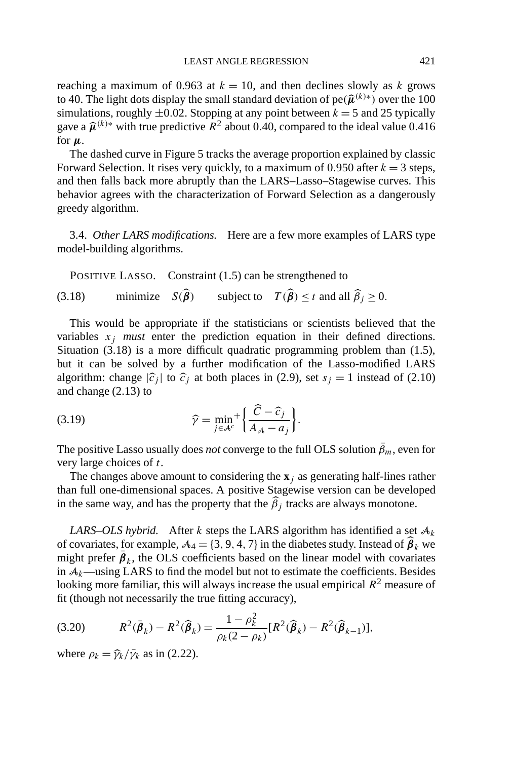reaching a maximum of 0.963 at  $k = 10$ , and then declines slowly as  $k$  grows to 40. The light dots display the small standard deviation of  $pe(\hat{\boldsymbol{\mu}}^{(k)*})$  over the 100  $\frac{1}{20}$  +0. The right dots display the small standard deviation of  $p c(\mu)$  over the 100<br>simulations, roughly  $\pm 0.02$ . Stopping at any point between  $k = 5$  and 25 typically gave a  $\hat{\mu}^{(k)*}$  with true predictive  $\mathbb{R}^2$  about 0.40, compared to the ideal value 0.416 for *µ*.

The dashed curve in Figure 5 tracks the average proportion explained by classic Forward Selection. It rises very quickly, to a maximum of 0.950 after  $k = 3$  steps, and then falls back more abruptly than the LARS–Lasso–Stagewise curves. This behavior agrees with the characterization of Forward Selection as a dangerously greedy algorithm.

3.4. *Other LARS modifications.* Here are a few more examples of LARS type model-building algorithms.

POSITIVE LASSO. Constraint (1.5) can be strengthened to (3.18) minimize  $S(\hat{\boldsymbol{\beta}})$  subject to  $T(\hat{\boldsymbol{\beta}}) \le t$  and all  $\hat{\beta}_j \ge 0$ .

This would be appropriate if the statisticians or scientists believed that the variables  $x_j$  *must* enter the prediction equation in their defined directions. Situation (3.18) is a more difficult quadratic programming problem than (1.5), but it can be solved by a further modification of the Lasso-modified LARS algorithm: change  $|\hat{c}_j|$  to  $\hat{c}_j$  at both places in (2.9), set  $s_j = 1$  instead of (2.10) and change (2.13) to

(3.19) 
$$
\widehat{\gamma} = \min_{j \in \mathcal{A}^c} \left\{ \frac{\widehat{C} - \widehat{c}_j}{A_{\mathcal{A}} - a_j} \right\}.
$$

The positive Lasso usually does *not* converge to the full OLS solution  $\bar{\beta}_m$ , even for very large choices of *t*.

The changes above amount to considering the  $\mathbf{x}_i$  as generating half-lines rather than full one-dimensional spaces. A positive Stagewise version can be developed in the same way, and has the property that the  $\beta_j$  tracks are always monotone.

*LARS–OLS hybrid.* After *k* steps the LARS algorithm has identified a set  $A_k$ of covariates, for example,  $A_4 = \{3, 9, 4, 7\}$  in the diabetes study. Instead of  $\hat{\boldsymbol{\beta}}_k$  we might prefer  $\bar{\beta}_k$ , the OLS coefficients based on the linear model with covariates in A*k*—using LARS to find the model but not to estimate the coefficients. Besides looking more familiar, this will always increase the usual empirical *R*<sup>2</sup> measure of fit (though not necessarily the true fitting accuracy),

(3.20) 
$$
R^2(\bar{\beta}_k) - R^2(\hat{\beta}_k) = \frac{1 - \rho_k^2}{\rho_k(2 - \rho_k)} [R^2(\hat{\beta}_k) - R^2(\hat{\beta}_{k-1})],
$$

where  $\rho_k = \hat{\gamma}_k / \bar{\gamma}_k$  as in (2.22).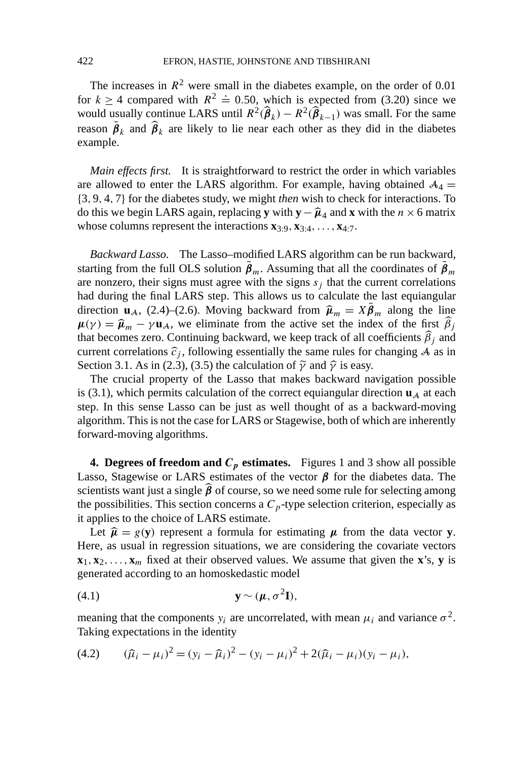The increases in  $R^2$  were small in the diabetes example, on the order of 0.01 for  $k > 4$  compared with  $R^2 \doteq 0.50$ , which is expected from (3.20) since we would usually continue LARS until  $R^2(\hat{\beta}_k) - R^2(\hat{\beta}_{k-1})$  was small. For the same reason  $\bar{\beta}_k$  and  $\hat{\beta}_k$  are likely to lie near each other as they did in the diabetes example.

*Main effects first.* It is straightforward to restrict the order in which variables are allowed to enter the LARS algorithm. For example, having obtained  $A_4 =$ {3*,* 9*,* 4*,* 7} for the diabetes study, we might *then* wish to check for interactions. To do this we begin LARS again, replacing **y** with **y** −  $\hat{\mu}_4$  and **x** with the *n* × 6 matrix whose columns represent the interactions **x**3:9*,* **x**3:4*,...,* **x**4:7.

*Backward Lasso.* The Lasso–modified LARS algorithm can be run backward, starting from the full OLS solution  $\vec{\beta}_m$ . Assuming that all the coordinates of  $\vec{\beta}_m$ are nonzero, their signs must agree with the signs  $s_j$  that the current correlations had during the final LARS step. This allows us to calculate the last equiangular direction **u**<sub>A</sub>, (2.4)–(2.6). Moving backward from  $\hat{\mu}_m = X \bar{\beta}_m$  along the line  $\mu(\gamma) = \hat{\mu}_m - \gamma \mathbf{u}_A$ , we eliminate from the active set the index of the first  $\hat{\beta}_j$ that becomes zero. Continuing backward, we keep track of all coefficients  $\beta_j$  and current correlations  $\hat{c}_j$ , following essentially the same rules for changing A as in Section 3.1. As in (2.3), (3.5) the calculation of  $\tilde{\gamma}$  and  $\hat{\gamma}$  is easy.

The crucial property of the Lasso that makes backward navigation possible is (3.1), which permits calculation of the correct equiangular direction  $\mathbf{u}_{\mathcal{A}}$  at each step. In this sense Lasso can be just as well thought of as a backward-moving algorithm. This is not the case for LARS or Stagewise, both of which are inherently forward-moving algorithms.

**4. Degrees of freedom and**  $C_p$  **estimates.** Figures 1 and 3 show all possible Lasso, Stagewise or LARS estimates of the vector *β* for the diabetes data. The scientists want just a single  $\beta$  of course, so we need some rule for selecting among the possibilities. This section concerns a  $C_p$ -type selection criterion, especially as it applies to the choice of LARS estimate.

Let  $\hat{\mu} = g(\mathbf{y})$  represent a formula for estimating  $\mu$  from the data vector **y**. Here, as usual in regression situations, we are considering the covariate vectors  $\mathbf{x}_1, \mathbf{x}_2, \ldots, \mathbf{x}_m$  fixed at their observed values. We assume that given the **x**'s, **y** is generated according to an homoskedastic model

$$
y \sim (\mu, \sigma^2 I),
$$

meaning that the components  $y_i$  are uncorrelated, with mean  $\mu_i$  and variance  $\sigma^2$ . Taking expectations in the identity

(4.2) 
$$
(\widehat{\mu}_i - \mu_i)^2 = (y_i - \widehat{\mu}_i)^2 - (y_i - \mu_i)^2 + 2(\widehat{\mu}_i - \mu_i)(y_i - \mu_i),
$$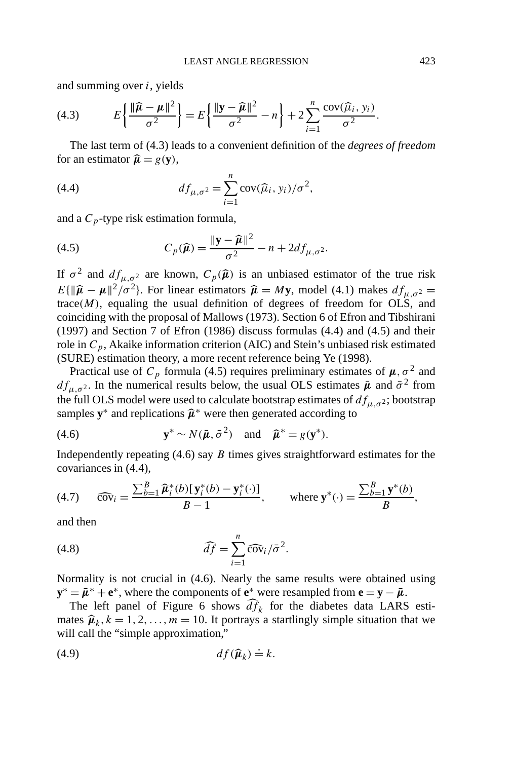and summing over *i*, yields

(4.3) 
$$
E\left\{\frac{\|\widehat{\boldsymbol{\mu}}-\boldsymbol{\mu}\|^2}{\sigma^2}\right\} = E\left\{\frac{\|\mathbf{y}-\widehat{\boldsymbol{\mu}}\|^2}{\sigma^2}-n\right\} + 2\sum_{i=1}^n \frac{\mathrm{cov}(\widehat{\mu}_i, y_i)}{\sigma^2}.
$$

The last term of (4.3) leads to a convenient definition of the *degrees of freedom* for an estimator  $\hat{\boldsymbol{\mu}} = g(\mathbf{y}),$ 

(4.4) 
$$
df_{\mu,\sigma^2} = \sum_{i=1}^n \text{cov}(\widehat{\mu}_i, y_i)/\sigma^2,
$$

and a *Cp*-type risk estimation formula,

(4.5) 
$$
C_p(\widehat{\boldsymbol{\mu}}) = \frac{\|\mathbf{y} - \widehat{\boldsymbol{\mu}}\|^2}{\sigma^2} - n + 2df_{\mu,\sigma^2}.
$$

If  $\sigma^2$  and  $df_{\mu,\sigma^2}$  are known,  $C_p(\hat{\mu})$  is an unbiased estimator of the true risk  $E\{\|\hat{\boldsymbol{\mu}} - \boldsymbol{\mu}\|^2/\sigma^2\}$ . For linear estimators  $\hat{\boldsymbol{\mu}} = M\mathbf{y}$ , model (4.1) makes  $d f_{\mu,\sigma^2} =$ trace $(M)$ , equaling the usual definition of degrees of freedom for OLS, and coinciding with the proposal of Mallows (1973). Section 6 of Efron and Tibshirani (1997) and Section 7 of Efron (1986) discuss formulas (4.4) and (4.5) and their role in  $C_p$ , Akaike information criterion (AIC) and Stein's unbiased risk estimated (SURE) estimation theory, a more recent reference being Ye (1998).

Practical use of  $C_p$  formula (4.5) requires preliminary estimates of  $\mu$ ,  $\sigma^2$  and  $df_{\mu,\sigma^2}$ . In the numerical results below, the usual OLS estimates  $\bar{\mu}$  and  $\bar{\sigma}^2$  from the full OLS model were used to calculate bootstrap estimates of  $df_{\mu,\sigma^2}$ ; bootstrap samples  $y^*$  and replications  $\hat{\mu}^*$  were then generated according to

(4.6) 
$$
\mathbf{y}^* \sim N(\bar{\boldsymbol{\mu}}, \bar{\sigma}^2) \text{ and } \hat{\boldsymbol{\mu}}^* = g(\mathbf{y}^*).
$$

Independently repeating (4.6) say *B* times gives straightforward estimates for the covariances in (4.4),

(4.7) 
$$
\widehat{\text{cov}}_i = \frac{\sum_{b=1}^B \widehat{\mu}_i^*(b) [\mathbf{y}_i^*(b) - \mathbf{y}_i^*(\cdot)]}{B - 1}, \quad \text{where } \mathbf{y}^*(\cdot) = \frac{\sum_{b=1}^B \mathbf{y}^*(b)}{B},
$$

and then

(4.8) 
$$
\widehat{df} = \sum_{i=1}^{n} \widehat{\text{cov}}_i / \bar{\sigma}^2.
$$

Normality is not crucial in (4.6). Nearly the same results were obtained using  $y^* = \bar{\mu}^* + e^*$ , where the components of  $e^*$  were resampled from  $e = y - \bar{\mu}$ .

The left panel of Figure 6 shows  $\widehat{df}_k$  for the diabetes data LARS estimates  $\hat{\mu}_k$ ,  $k = 1, 2, ..., m = 10$ . It portrays a startlingly simple situation that we will call the "simple approximation,"

$$
(4.9) \t df(\widehat{\boldsymbol{\mu}}_k) \doteq k.
$$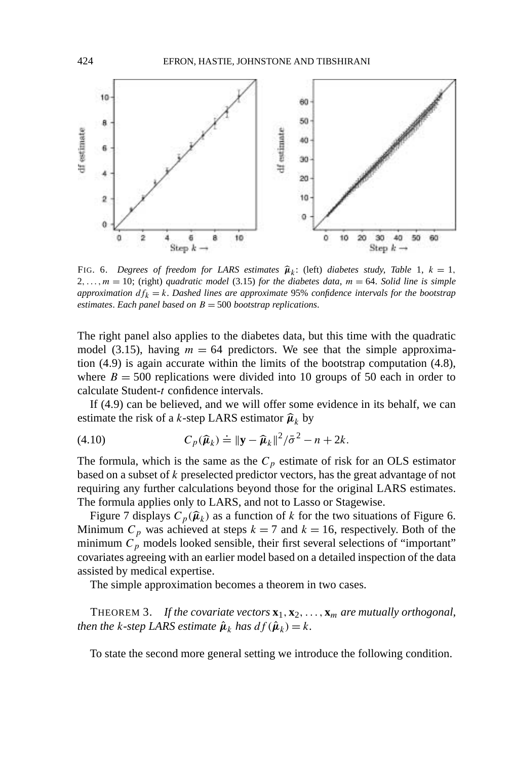

FIG. 6. *Degrees of freedom for LARS estimates*  $\hat{\mu}_k$ : (left) *diabetes study*, *Table* 1,  $k = 1$ ,  $2, \ldots, m = 10$ ; (right) *quadratic model* (3.15) *for the diabetes data*,  $m = 64$ . *Solid line is simple approximation*  $df_k = k$ . Dashed lines are approximate 95% confidence intervals for the bootstrap *estimates*. *Each panel based on B* = 500 *bootstrap replications*.

The right panel also applies to the diabetes data, but this time with the quadratic model (3.15), having  $m = 64$  predictors. We see that the simple approximation (4.9) is again accurate within the limits of the bootstrap computation (4.8), where  $B = 500$  replications were divided into 10 groups of 50 each in order to calculate Student-*t* confidence intervals.

If (4.9) can be believed, and we will offer some evidence in its behalf, we can estimate the risk of a *k*-step LARS estimator  $\hat{\boldsymbol{\mu}}_k$  by

(4.10) 
$$
C_p(\widehat{\boldsymbol{\mu}}_k) \doteq ||\mathbf{y} - \widehat{\boldsymbol{\mu}}_k||^2/\bar{\sigma}^2 - n + 2k.
$$

The formula, which is the same as the  $C_p$  estimate of risk for an OLS estimator based on a subset of *k* preselected predictor vectors, has the great advantage of not requiring any further calculations beyond those for the original LARS estimates. The formula applies only to LARS, and not to Lasso or Stagewise.

Figure 7 displays  $C_p(\hat{\boldsymbol{\mu}}_k)$  as a function of *k* for the two situations of Figure 6. Minimum  $C_p$  was achieved at steps  $k = 7$  and  $k = 16$ , respectively. Both of the minimum  $C_p$  models looked sensible, their first several selections of "important" covariates agreeing with an earlier model based on a detailed inspection of the data assisted by medical expertise.

The simple approximation becomes a theorem in two cases.

THEOREM 3. If the covariate vectors  $\mathbf{x}_1, \mathbf{x}_2, \ldots, \mathbf{x}_m$  are mutually orthogonal, *then the k-step LARS estimate*  $\hat{\mu}_k$  *has*  $df(\hat{\mu}_k) = k$ .

To state the second more general setting we introduce the following condition.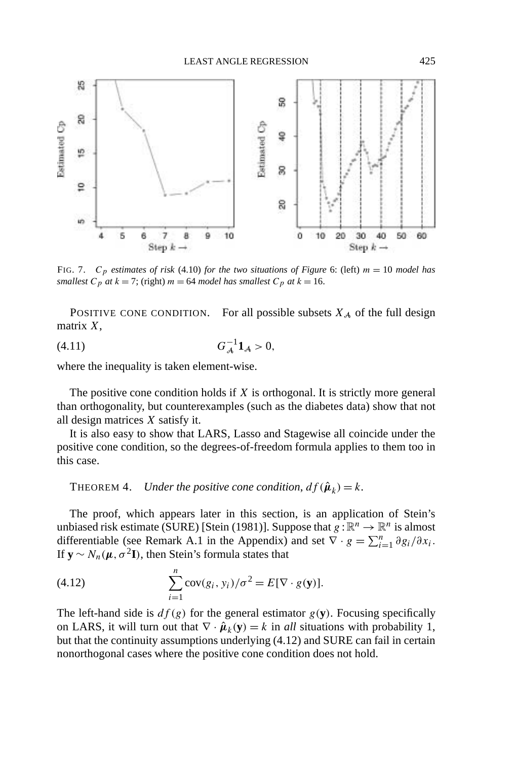

FIG. 7. *Cp estimates of risk* (4.10) *for the two situations of Figure* 6: (left) *m* = 10 *model has smallest*  $C_p$  *at*  $k = 7$ ; (right)  $m = 64$  *model has smallest*  $C_p$  *at*  $k = 16$ .

POSITIVE CONE CONDITION. For all possible subsets  $X_A$  of the full design matrix *X*,

(4.11) 
$$
G_{\mathcal{A}}^{-1} \mathbf{1}_{\mathcal{A}} > 0,
$$

where the inequality is taken element-wise.

The positive cone condition holds if *X* is orthogonal. It is strictly more general than orthogonality, but counterexamples (such as the diabetes data) show that not all design matrices *X* satisfy it.

It is also easy to show that LARS, Lasso and Stagewise all coincide under the positive cone condition, so the degrees-of-freedom formula applies to them too in this case.

THEOREM 4. *Under the positive cone condition,*  $df(\hat{\boldsymbol{\mu}}_k) = k$ *.* 

The proof, which appears later in this section, is an application of Stein's unbiased risk estimate (SURE) [Stein (1981)]. Suppose that  $g : \mathbb{R}^n \to \mathbb{R}^n$  is almost differentiable (see Remark A.1 in the Appendix) and set  $\nabla \cdot g = \sum_{i=1}^{n} \frac{\partial g_i}{\partial x_i}$ . If  $y \sim N_n(\mu, \sigma^2 I)$ , then Stein's formula states that

(4.12) 
$$
\sum_{i=1}^{n} cov(g_i, y_i)/\sigma^2 = E[\nabla \cdot g(\mathbf{y})].
$$

The left-hand side is  $df(g)$  for the general estimator  $g(y)$ . Focusing specifically on LARS, it will turn out that  $\nabla \cdot \hat{\boldsymbol{\mu}}_k(\mathbf{y}) = k$  in *all* situations with probability 1, but that the continuity assumptions underlying (4.12) and SURE can fail in certain nonorthogonal cases where the positive cone condition does not hold.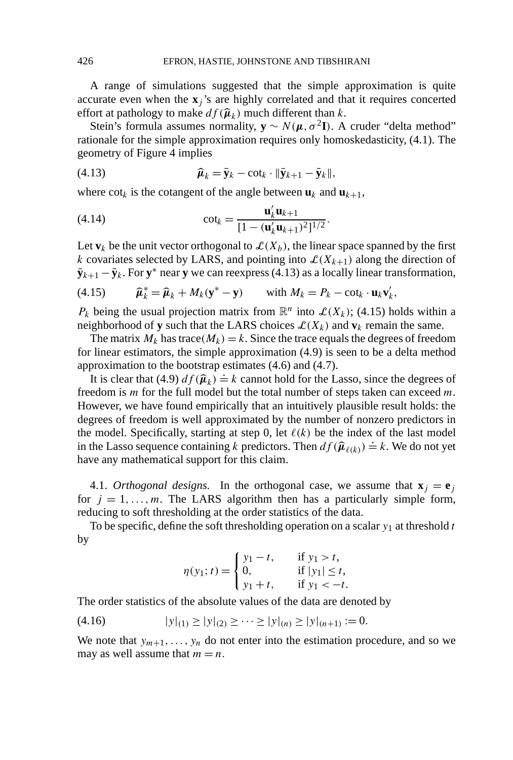A range of simulations suggested that the simple approximation is quite accurate even when the  $\mathbf{x}_i$ 's are highly correlated and that it requires concerted effort at pathology to make  $df(\hat{\boldsymbol{\mu}}_k)$  much different than *k*.

Stein's formula assumes normality,  $\mathbf{y} \sim N(\mu, \sigma^2 \mathbf{I})$ . A cruder "delta method" rationale for the simple approximation requires only homoskedasticity, (4.1). The geometry of Figure 4 implies

(4.13) 
$$
\widehat{\boldsymbol{\mu}}_k = \bar{\mathbf{y}}_k - \cot_k \cdot \|\bar{\mathbf{y}}_{k+1} - \bar{\mathbf{y}}_k\|,
$$

where  $\cot_k$  is the cotangent of the angle between  $\mathbf{u}_k$  and  $\mathbf{u}_{k+1}$ ,

(4.14) 
$$
\cot_k = \frac{\mathbf{u}_k' \mathbf{u}_{k+1}}{[1 - (\mathbf{u}_k' \mathbf{u}_{k+1})^2]^{1/2}}.
$$

Let  $\mathbf{v}_k$  be the unit vector orthogonal to  $\mathcal{L}(X_b)$ , the linear space spanned by the first *k* covariates selected by LARS, and pointing into  $\mathcal{L}(X_{k+1})$  along the direction of  $\bar{\mathbf{y}}_{k+1} - \bar{\mathbf{y}}_k$ . For  $\mathbf{y}^*$  near  $\mathbf{y}$  we can reexpress (4.13) as a locally linear transformation,

(4.15) 
$$
\widehat{\mu}_k^* = \widehat{\mu}_k + M_k(\mathbf{y}^* - \mathbf{y}) \quad \text{with } M_k = P_k - \cot_k \cdot \mathbf{u}_k \mathbf{v}'_k,
$$

 $P_k$  being the usual projection matrix from  $\mathbb{R}^n$  into  $\mathcal{L}(X_k)$ ; (4.15) holds within a neighborhood of **y** such that the LARS choices  $\mathcal{L}(X_k)$  and  $\mathbf{v}_k$  remain the same.

The matrix  $M_k$  has trace $(M_k) = k$ . Since the trace equals the degrees of freedom for linear estimators, the simple approximation (4.9) is seen to be a delta method approximation to the bootstrap estimates (4.6) and (4.7).

It is clear that (4.9)  $df(\hat{\boldsymbol{\mu}}_k) \doteq k$  cannot hold for the Lasso, since the degrees of Freedom is *m* for the full model but the total number of steps taken can exceed *m*. However, we have found empirically that an intuitively plausible result holds: the degrees of freedom is well approximated by the number of nonzero predictors in the model. Specifically, starting at step 0, let  $\ell(k)$  be the index of the last model in the Lasso sequence containing *k* predictors. Then  $df(\hat{\boldsymbol{\mu}}_{\ell(k)}) \doteq k$ . We do not yet have any mathematical support for this claim.

4.1. *Orthogonal designs*. In the orthogonal case, we assume that  $\mathbf{x}_i = \mathbf{e}_i$ for  $j = 1, \ldots, m$ . The LARS algorithm then has a particularly simple form, reducing to soft thresholding at the order statistics of the data.

To be specific, define the soft thresholding operation on a scalar  $y_1$  at threshold  $t$ by

$$
\eta(y_1; t) = \begin{cases} y_1 - t, & \text{if } y_1 > t, \\ 0, & \text{if } |y_1| \le t, \\ y_1 + t, & \text{if } y_1 < -t. \end{cases}
$$

The order statistics of the absolute values of the data are denoted by

$$
(4.16) \t\t |y|_{(1)} \ge |y|_{(2)} \ge \cdots \ge |y|_{(n)} \ge |y|_{(n+1)} := 0.
$$

We note that  $y_{m+1},...,y_n$  do not enter into the estimation procedure, and so we may as well assume that  $m = n$ .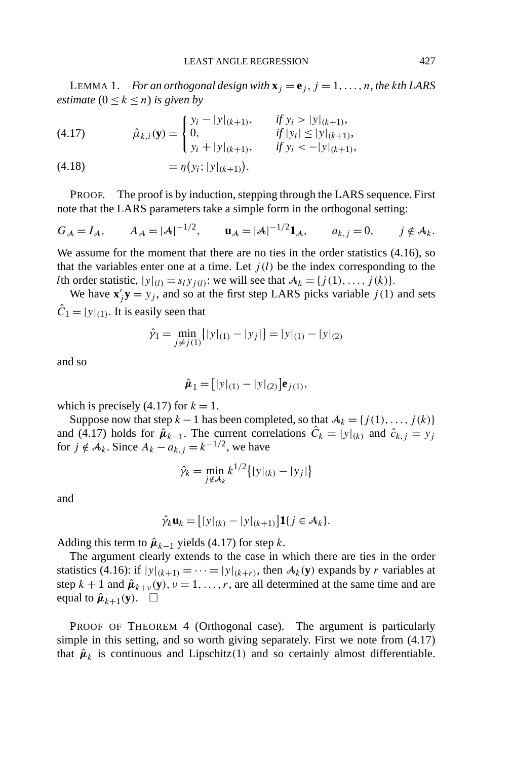LEMMA 1. *For an orthogonal design with*  $\mathbf{x}_i = \mathbf{e}_i$ ,  $j = 1, \ldots, n$ , the kth LARS *estimate*  $(0 \leq k \leq n)$  *is given by* 

(4.17) 
$$
\hat{\mu}_{k,i}(\mathbf{y}) = \begin{cases} y_i - |y|_{(k+1)}, & \text{if } y_i > |y|_{(k+1)}, \\ 0, & \text{if } |y_i| \le |y|_{(k+1)}, \\ y_i + |y|_{(k+1)}, & \text{if } y_i < -|y|_{(k+1)}, \end{cases}
$$

$$
(4.18) \t\t\t = \eta(y_i; |y|_{(k+1)}).
$$

PROOF. The proof is by induction, stepping through the LARS sequence. First note that the LARS parameters take a simple form in the orthogonal setting:

$$
G_{\mathcal{A}} = I_{\mathcal{A}}, \qquad A_{\mathcal{A}} = |\mathcal{A}|^{-1/2}, \qquad \mathbf{u}_{\mathcal{A}} = |\mathcal{A}|^{-1/2} \mathbf{1}_{\mathcal{A}}, \qquad a_{k,j} = 0, \qquad j \notin \mathcal{A}_{k}.
$$

We assume for the moment that there are no ties in the order statistics  $(4.16)$ , so that the variables enter one at a time. Let  $j(l)$  be the index corresponding to the *l*th order statistic,  $|y|_{(l)} = s_l y_{i(l)}$ : we will see that  $A_k = \{j(1), \ldots, j(k)\}$ .

We have  $\mathbf{x}'_j \mathbf{y} = y_j$ , and so at the first step LARS picks variable  $j(1)$  and sets  $\hat{C}_1 = |y|_{(1)}$ . It is easily seen that

$$
\hat{\gamma}_1 = \min_{j \neq j(1)} \{|y|_{(1)} - |y_j|\} = |y|_{(1)} - |y|_{(2)}
$$

and so

$$
\hat{\mu}_1 = [|y|_{(1)} - |y|_{(2)}] \mathbf{e}_{j(1)},
$$

which is precisely  $(4.17)$  for  $k = 1$ .

Suppose now that step  $k - 1$  has been completed, so that  $A_k = \{j(1), \ldots, j(k)\}$ and (4.17) holds for  $\hat{\mu}_{k-1}$ . The current correlations  $\hat{C}_k = |y|_{(k)}$  and  $\hat{c}_{k,j} = y_j$ for  $j \notin A_k$ . Since  $A_k - a_{k,j} = k^{-1/2}$ , we have

$$
\hat{\gamma}_k = \min_{j \notin \mathcal{A}_k} k^{1/2} \{ |y|_{(k)} - |y_j| \}
$$

and

$$
\hat{\gamma}_k \mathbf{u}_k = [|y|_{(k)} - |y|_{(k+1)}] \mathbf{1} \{ j \in \mathcal{A}_k \}.
$$

Adding this term to  $\hat{\mu}_{k-1}$  yields (4.17) for step *k*.

The argument clearly extends to the case in which there are ties in the order statistics (4.16): if  $|y|_{(k+1)} = \cdots = |y|_{(k+r)}$ , then  $A_k(y)$  expands by *r* variables at step  $k + 1$  and  $\hat{\mu}_{k+v}(\mathbf{y}), v = 1, \ldots, r$ , are all determined at the same time and are equal to  $\hat{\boldsymbol{\mu}}_{k+1}(\mathbf{y})$ .  $\square$ 

PROOF OF THEOREM 4 (Orthogonal case). The argument is particularly simple in this setting, and so worth giving separately. First we note from (4.17) that  $\hat{\mu}_k$  is continuous and Lipschitz(1) and so certainly almost differentiable.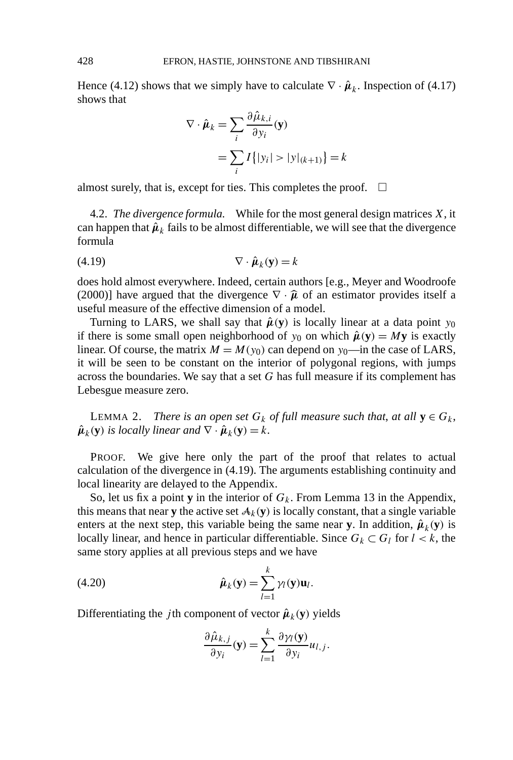Hence (4.12) shows that we simply have to calculate  $\nabla \cdot \hat{\boldsymbol{\mu}}_k$ . Inspection of (4.17) shows that

$$
\nabla \cdot \hat{\boldsymbol{\mu}}_k = \sum_i \frac{\partial \hat{\mu}_{k,i}}{\partial y_i}(\mathbf{y})
$$
  
= 
$$
\sum_i I\{|y_i| > |y|_{(k+1)}\} = k
$$

almost surely, that is, except for ties. This completes the proof.  $\Box$ 

4.2. *The divergence formula.* While for the most general design matrices *X*, it can happen that  $\hat{\mu}_k$  fails to be almost differentiable, we will see that the divergence formula

$$
(4.19) \t\t \nabla \cdot \hat{\boldsymbol{\mu}}_k(\mathbf{y}) = k
$$

does hold almost everywhere. Indeed, certain authors [e.g., Meyer and Woodroofe (2000)] have argued that the divergence  $\nabla \cdot \hat{\boldsymbol{\mu}}$  of an estimator provides itself a useful measure of the effective dimension of a model.

Turning to LARS, we shall say that  $\hat{\mu}(y)$  is locally linear at a data point  $y_0$ if there is some small open neighborhood of  $y_0$  on which  $\hat{\mu}(y) = My$  is exactly linear. Of course, the matrix  $M = M(y_0)$  can depend on  $y_0$ —in the case of LARS, it will be seen to be constant on the interior of polygonal regions, with jumps across the boundaries. We say that a set *G* has full measure if its complement has Lebesgue measure zero.

LEMMA 2. *There is an open set*  $G_k$  *of full measure such that, at all*  $y \in G_k$ ,  $\hat{\boldsymbol{\mu}}_k(\mathbf{y})$  *is locally linear and*  $\nabla \cdot \hat{\boldsymbol{\mu}}_k(\mathbf{y}) = k$ .

PROOF. We give here only the part of the proof that relates to actual calculation of the divergence in (4.19). The arguments establishing continuity and local linearity are delayed to the Appendix.

So, let us fix a point **y** in the interior of  $G_k$ . From Lemma 13 in the Appendix, this means that near **y** the active set  $A_k(y)$  is locally constant, that a single variable enters at the next step, this variable being the same near **y**. In addition,  $\hat{\mu}_k(y)$  is locally linear, and hence in particular differentiable. Since  $G_k \subset G_l$  for  $l \lt k$ , the same story applies at all previous steps and we have

(4.20) 
$$
\hat{\boldsymbol{\mu}}_k(\mathbf{y}) = \sum_{l=1}^k \gamma_l(\mathbf{y}) \mathbf{u}_l.
$$

Differentiating the *j* th component of vector  $\hat{\mu}_k(y)$  yields

$$
\frac{\partial \hat{\mu}_{k,j}}{\partial y_i}(\mathbf{y}) = \sum_{l=1}^k \frac{\partial \gamma_l(\mathbf{y})}{\partial y_i} u_{l,j}.
$$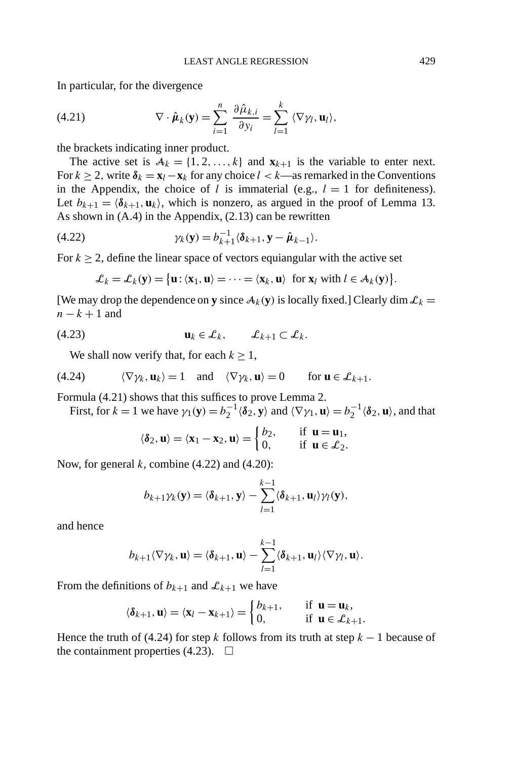In particular, for the divergence

(4.21) 
$$
\nabla \cdot \hat{\boldsymbol{\mu}}_k(\mathbf{y}) = \sum_{i=1}^n \frac{\partial \hat{\mu}_{k,i}}{\partial y_i} = \sum_{l=1}^k \langle \nabla \gamma_l, \mathbf{u}_l \rangle,
$$

the brackets indicating inner product.

The active set is  $A_k = \{1, 2, ..., k\}$  and  $\mathbf{x}_{k+1}$  is the variable to enter next. For  $k \geq 2$ , write  $\delta_k = \mathbf{x}_l - \mathbf{x}_k$  for any choice  $l \leq k$ —as remarked in the Conventions in the Appendix, the choice of *l* is immaterial (e.g.,  $l = 1$  for definiteness). Let  $b_{k+1} = \langle \delta_{k+1}, \mathbf{u}_k \rangle$ , which is nonzero, as argued in the proof of Lemma 13. As shown in (A.4) in the Appendix, (2.13) can be rewritten

(4.22) 
$$
\gamma_k(\mathbf{y}) = b_{k+1}^{-1} \langle \mathbf{\delta}_{k+1}, \mathbf{y} - \hat{\boldsymbol{\mu}}_{k-1} \rangle.
$$

For  $k \geq 2$ , define the linear space of vectors equiangular with the active set

$$
\mathcal{L}_k = \mathcal{L}_k(\mathbf{y}) = {\mathbf{u} : \langle \mathbf{x}_1, \mathbf{u} \rangle = \dots = \langle \mathbf{x}_k, \mathbf{u} \rangle \text{ for } \mathbf{x}_l \text{ with } l \in \mathcal{A}_k(\mathbf{y})}.
$$

[We may drop the dependence on **y** since  $A_k$ (**y**) is locally fixed.] Clearly dim  $\mathcal{L}_k$  =  $n - k + 1$  and

$$
(4.23) \t\t \t\t \t\t \t\t \mathbf{u}_k \in \mathcal{L}_k, \t \t\t \mathcal{L}_{k+1} \subset \mathcal{L}_k.
$$

We shall now verify that, for each  $k \geq 1$ ,

(4.24) 
$$
\langle \nabla \gamma_k, \mathbf{u}_k \rangle = 1
$$
 and  $\langle \nabla \gamma_k, \mathbf{u} \rangle = 0$  for  $\mathbf{u} \in \mathcal{L}_{k+1}$ .

Formula (4.21) shows that this suffices to prove Lemma 2.

First, for  $k = 1$  we have  $\gamma_1(\mathbf{y}) = b_2^{-1} \langle \delta_2, \mathbf{y} \rangle$  and  $\langle \nabla \gamma_1, \mathbf{u} \rangle = b_2^{-1} \langle \delta_2, \mathbf{u} \rangle$ , and that

$$
\langle \delta_2, \mathbf{u} \rangle = \langle \mathbf{x}_1 - \mathbf{x}_2, \mathbf{u} \rangle = \begin{cases} b_2, & \text{if } \mathbf{u} = \mathbf{u}_1, \\ 0, & \text{if } \mathbf{u} \in \mathcal{L}_2. \end{cases}
$$

Now, for general  $k$ , combine (4.22) and (4.20):

$$
b_{k+1}\gamma_k(\mathbf{y}) = \langle \boldsymbol{\delta}_{k+1}, \mathbf{y} \rangle - \sum_{l=1}^{k-1} \langle \boldsymbol{\delta}_{k+1}, \mathbf{u}_l \rangle \gamma_l(\mathbf{y}),
$$

and hence

$$
b_{k+1}\langle \nabla \gamma_k, \mathbf{u}\rangle = \langle \boldsymbol{\delta}_{k+1}, \mathbf{u}\rangle - \sum_{l=1}^{k-1} \langle \boldsymbol{\delta}_{k+1}, \mathbf{u}_l\rangle \langle \nabla \gamma_l, \mathbf{u}\rangle.
$$

From the definitions of  $b_{k+1}$  and  $\mathcal{L}_{k+1}$  we have

$$
\langle \delta_{k+1}, \mathbf{u} \rangle = \langle \mathbf{x}_l - \mathbf{x}_{k+1} \rangle = \begin{cases} b_{k+1}, & \text{if } \mathbf{u} = \mathbf{u}_k, \\ 0, & \text{if } \mathbf{u} \in \mathcal{L}_{k+1}. \end{cases}
$$

Hence the truth of (4.24) for step *k* follows from its truth at step  $k - 1$  because of the containment properties  $(4.23)$ .  $\Box$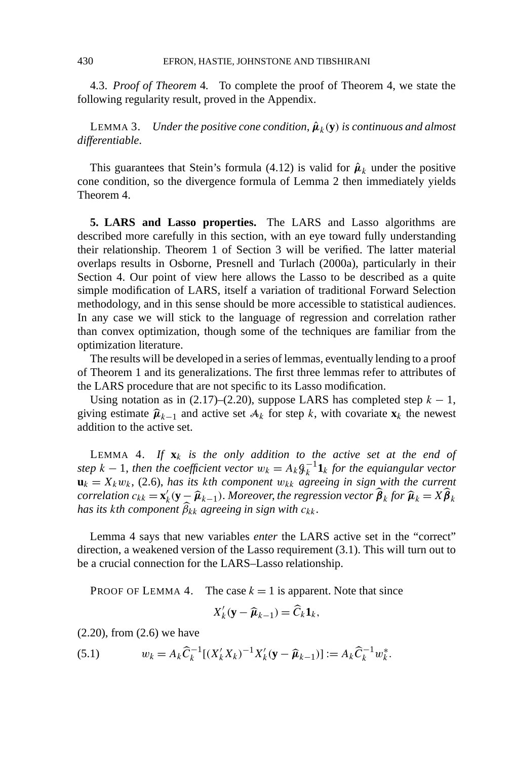4.3. *Proof of Theorem* 4*.* To complete the proof of Theorem 4, we state the following regularity result, proved in the Appendix.

LEMMA 3. *Under the positive cone condition,*  $\hat{\mu}_k(y)$  *is continuous and almost differentiable*.

This guarantees that Stein's formula (4.12) is valid for  $\hat{\mu}_k$  under the positive cone condition, so the divergence formula of Lemma 2 then immediately yields Theorem 4.

**5. LARS and Lasso properties.** The LARS and Lasso algorithms are described more carefully in this section, with an eye toward fully understanding their relationship. Theorem 1 of Section 3 will be verified. The latter material overlaps results in Osborne, Presnell and Turlach (2000a), particularly in their Section 4. Our point of view here allows the Lasso to be described as a quite simple modification of LARS, itself a variation of traditional Forward Selection methodology, and in this sense should be more accessible to statistical audiences. In any case we will stick to the language of regression and correlation rather than convex optimization, though some of the techniques are familiar from the optimization literature.

The results will be developed in a series of lemmas, eventually lending to a proof of Theorem 1 and its generalizations. The first three lemmas refer to attributes of the LARS procedure that are not specific to its Lasso modification.

Using notation as in  $(2.17)$ – $(2.20)$ , suppose LARS has completed step  $k - 1$ , giving estimate  $\hat{\mu}_{k-1}$  and active set  $A_k$  for step *k*, with covariate  $\mathbf{x}_k$  the newest addition to the active set.

LEMMA 4. If  $\mathbf{x}_k$  *is the only addition to the active set at the end of step*  $k - 1$ , *then the coefficient vector*  $w_k = A_k \mathcal{G}_k^{-1} \mathbf{1}_k$  *for the equiangular vector*  $\mathbf{u}_k = X_k w_k$ , (2.6), has its kth component  $w_{kk}$  *agreeing in sign with the current*  $\iota$ *correlation*  $c_{kk} = \mathbf{x}'_k (\mathbf{y} - \widehat{\boldsymbol{\mu}}_{k-1})$ . *Moreover, the regression vector*  $\widehat{\boldsymbol{\beta}}_k$  *for*  $\widehat{\boldsymbol{\mu}}_k = X \widehat{\boldsymbol{\beta}}_k$ *has its kth component*  $\hat{\beta}_{kk}$  *agreeing in sign with*  $c_{kk}$ *.* 

Lemma 4 says that new variables *enter* the LARS active set in the "correct" direction, a weakened version of the Lasso requirement (3.1). This will turn out to be a crucial connection for the LARS–Lasso relationship.

PROOF OF LEMMA 4. The case  $k = 1$  is apparent. Note that since

$$
X'_{k}(\mathbf{y}-\widehat{\boldsymbol{\mu}}_{k-1})=\widehat{C}_{k}\mathbf{1}_{k},
$$

(2.20), from (2.6) we have

(5.1) 
$$
w_k = A_k \widehat{C}_k^{-1} [(X'_k X_k)^{-1} X'_k (\mathbf{y} - \widehat{\boldsymbol{\mu}}_{k-1})] := A_k \widehat{C}_k^{-1} w_k^*.
$$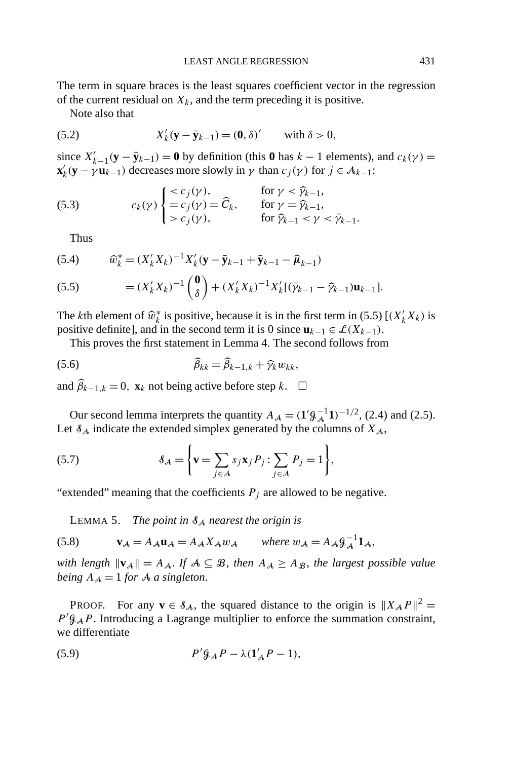The term in square braces is the least squares coefficient vector in the regression of the current residual on  $X_k$ , and the term preceding it is positive.

Note also that

(5.2) 
$$
X'_{k}(\mathbf{y}-\bar{\mathbf{y}}_{k-1})=(\mathbf{0},\delta)' \text{ with } \delta>0,
$$

since  $X'_{k-1}(\mathbf{y} - \bar{\mathbf{y}}_{k-1}) = \mathbf{0}$  by definition (this  $\mathbf{0}$  has  $k-1$  elements), and  $c_k(\gamma) =$  $\mathbf{x}'_k(\mathbf{y} - \gamma \mathbf{u}_{k-1})$  decreases more slowly in  $\gamma$  than  $c_j(\gamma)$  for  $j \in \mathcal{A}_{k-1}$ :

(5.3) 
$$
c_k(\gamma) \begin{cases} < c_j(\gamma), \\ = c_j(\gamma) = \widehat{C}_k, \\ > c_j(\gamma), \end{cases} \quad \text{for } \gamma \le \widehat{\gamma}_{k-1}, \\ \text{for } \widehat{\gamma}_{k-1} < \gamma < \overline{\gamma}_{k-1}. \end{cases}
$$

Thus

(5.4) 
$$
\widehat{w}_k^* = (X_k' X_k)^{-1} X_k' (\mathbf{y} - \bar{\mathbf{y}}_{k-1} + \bar{\mathbf{y}}_{k-1} - \widehat{\boldsymbol{\mu}}_{k-1})
$$

(5.5) 
$$
= (X'_k X_k)^{-1} \begin{pmatrix} \mathbf{0} \\ \delta \end{pmatrix} + (X'_k X_k)^{-1} X'_k [(\bar{\gamma}_{k-1} - \widehat{\gamma}_{k-1}) \mathbf{u}_{k-1}].
$$

The *k*th element of  $\hat{w}_k^*$  is positive, because it is in the first term in (5.5)  $[(X'_k X_k)$  is positive definite], and in the second term it is 0 since  $\mathbf{u}_{k-1} \in \mathcal{L}(X_{k-1})$ .

This proves the first statement in Lemma 4. The second follows from

(5.6) 
$$
\widehat{\beta}_{kk} = \widehat{\beta}_{k-1,k} + \widehat{\gamma}_k w_{kk},
$$

and  $\widehat{\beta}_{k-1,k} = 0$ ,  $\mathbf{x}_k$  not being active before step  $k$ .  $\Box$ 

Our second lemma interprets the quantity  $A_A = (\mathbf{1}' \mathcal{G}_A^{-1} \mathbf{1})^{-1/2}$ , (2.4) and (2.5). Let  $\mathcal{S}_A$  indicate the extended simplex generated by the columns of  $X_A$ ,

(5.7) 
$$
\mathcal{S}_{\mathcal{A}} = \left\{ \mathbf{v} = \sum_{j \in \mathcal{A}} s_j \mathbf{x}_j P_j : \sum_{j \in \mathcal{A}} P_j = 1 \right\},\
$$

"extended" meaning that the coefficients  $P_j$  are allowed to be negative.

LEMMA 5. *The point in*  $\mathcal{S}_A$  *nearest the origin is* 

(5.8)  $\mathbf{v}_{A} = A_{A} \mathbf{u}_{A} = A_{A} X_{A} w_{A}$  where  $w_{A} = A_{A} \mathbf{\mathcal{G}}_{A}^{-1} \mathbf{1}_{A}$ ,

*with length*  $\|\mathbf{v}_A\| = A_A$ . If  $A \subseteq \mathcal{B}$ , then  $A_A \geq A_{\mathcal{B}}$ , the largest possible value *being*  $A_A = 1$  *for*  $A$  *a singleton*.

PROOF. For any  $\mathbf{v} \in \mathcal{S}_{A}$ , the squared distance to the origin is  $||X_A P||^2 =$  $P' \mathcal{G}_A P$ . Introducing a Lagrange multiplier to enforce the summation constraint, we differentiate

(5.9) 
$$
P' \mathcal{G}_A P - \lambda (\mathbf{1}_A' P - 1),
$$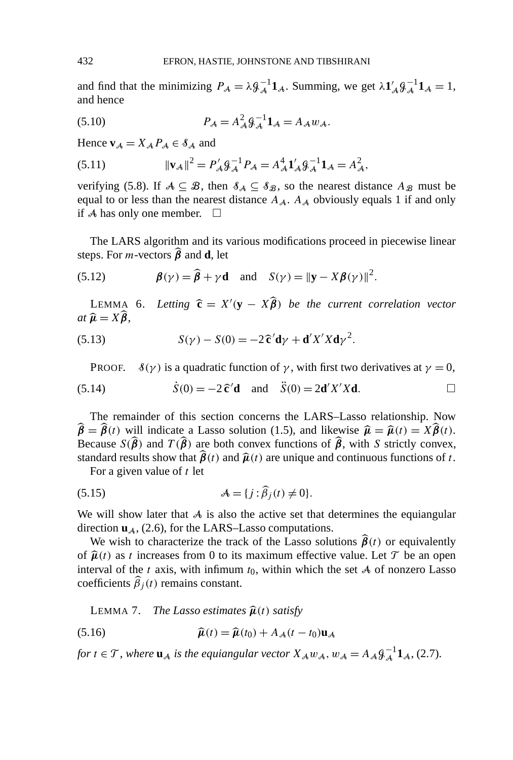and find that the minimizing  $P_A = \lambda \mathcal{G}_A^{-1} \mathbf{1}_A$ . Summing, we get  $\lambda \mathbf{1}_A' \mathcal{G}_A^{-1} \mathbf{1}_A = 1$ , and hence

(5.10) 
$$
P_{A} = A_{A}^{2} \mathcal{G}_{A}^{-1} \mathbf{1}_{A} = A_{A} w_{A}.
$$

Hence  $\mathbf{v}_A = X_A P_A \in \mathcal{S}_A$  and

(5.11) 
$$
\|\mathbf{v}_{\mathcal{A}}\|^2 = P_{\mathcal{A}}' \mathcal{G}_{\mathcal{A}}^{-1} P_{\mathcal{A}} = A_{\mathcal{A}}^4 \mathbf{1}_{\mathcal{A}}' \mathcal{G}_{\mathcal{A}}^{-1} \mathbf{1}_{\mathcal{A}} = A_{\mathcal{A}}^2,
$$

verifying (5.8). If  $A \subseteq B$ , then  $\mathcal{S}_A \subseteq \mathcal{S}_B$ , so the nearest distance  $A_B$  must be equal to or less than the nearest distance  $A_A$ .  $A_A$  obviously equals 1 if and only if A has only one member.  $\square$ 

The LARS algorithm and its various modifications proceed in piecewise linear steps. For *m*-vectors  $\beta$  and **d**, let

(5.12) 
$$
\boldsymbol{\beta}(\gamma) = \widehat{\boldsymbol{\beta}} + \gamma \mathbf{d} \text{ and } S(\gamma) = ||\mathbf{y} - X\boldsymbol{\beta}(\gamma)||^2.
$$

LEMMA 6. Letting  $\hat{\mathbf{c}} = X'(\mathbf{y} - X\hat{\boldsymbol{\beta}})$  be the current correlation vector  $at \hat{\mu} = X\hat{\beta},$ 

(5.13) 
$$
S(\gamma) - S(0) = -2\hat{\mathbf{c}}' \mathbf{d}\gamma + \mathbf{d}' X' X \mathbf{d}\gamma^2.
$$

PROOF.  $\delta(\gamma)$  is a quadratic function of  $\gamma$ , with first two derivatives at  $\gamma = 0$ ,

(5.14) 
$$
\dot{S}(0) = -2\hat{\mathbf{c}}' \mathbf{d} \text{ and } \ddot{S}(0) = 2\mathbf{d}'X'X\mathbf{d}.\square
$$

The remainder of this section concerns the LARS–Lasso relationship. Now  $\hat{\beta} = \hat{\beta}(t)$  will indicate a Lasso solution (1.5), and likewise  $\hat{\mu} = \hat{\mu}(t) = X\hat{\beta}(t)$ .  $\mathbf{p} = \mathbf{p}(t)$  with indicate a Easso solution (1.9), and incewise  $\mathbf{p} = \mathbf{p}(t) = \mathbf{A}\mathbf{p}(t)$ .<br>Because  $S(\hat{\beta})$  and  $T(\hat{\beta})$  are both convex functions of  $\hat{\beta}$ , with *S* strictly convex, standard results show that  $\beta(t)$  and  $\widehat{\mu}(t)$  are unique and continuous functions of *t*.

For a given value of *t* let

A = {*j* :*β* -(5.15) *<sup>j</sup> (t)* = 0}*.*

We will show later that  $\mathcal A$  is also the active set that determines the equiangular direction  $\mathbf{u}_{\mathcal{A}}$ , (2.6), for the LARS–Lasso computations.

We wish to characterize the track of the Lasso solutions  $\beta(t)$  or equivalently of  $\hat{\boldsymbol{\mu}}(t)$  as *t* increases from 0 to its maximum effective value. Let  $\mathcal T$  be an open interval of the *t* axis, with infimum  $t_0$ , within which the set A of nonzero Lasso coefficients  $\beta_j(t)$  remains constant.

LEMMA 7. *The Lasso estimates*  $\widehat{\mu}(t)$  *satisfy* 

(5.16) 
$$
\widehat{\boldsymbol{\mu}}(t) = \widehat{\boldsymbol{\mu}}(t_0) + A_{\mathcal{A}}(t - t_0) \mathbf{u}_{\mathcal{A}}
$$

*for*  $t \in \mathcal{T}$ , *where*  $\mathbf{u}_{\mathcal{A}}$  *is the equiangular vector*  $X_{\mathcal{A}} w_{\mathcal{A}}$ ,  $w_{\mathcal{A}} = A_{\mathcal{A}} \mathcal{G}_{\mathcal{A}}^{-1} \mathbf{1}_{\mathcal{A}}$ , (2.7).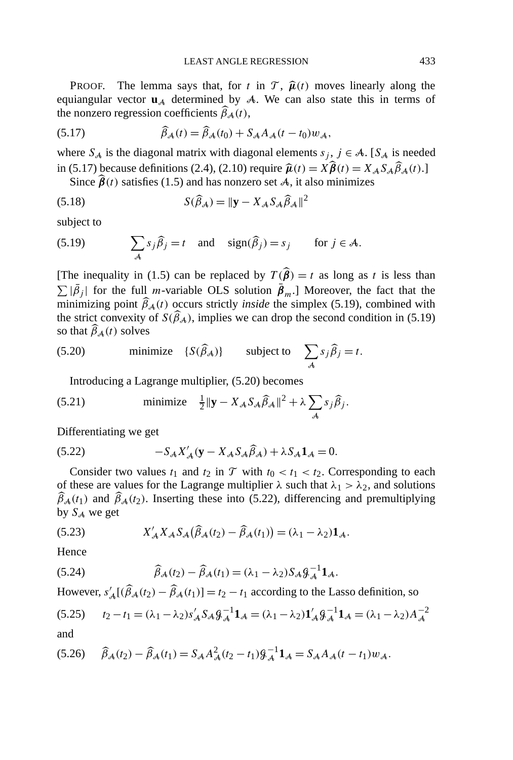PROOF. The lemma says that, for *t* in  $\mathcal{T}$ ,  $\hat{\boldsymbol{\mu}}(t)$  moves linearly along the equiangular vector  $\mathbf{u}_A$  determined by  $A$ . We can also state this in terms of the nonzero regression coefficients  $\beta_{\mathcal{A}}(t)$ ,

(5.17) 
$$
\widehat{\beta}_{A}(t) = \widehat{\beta}_{A}(t_0) + S_{A}A_{A}(t-t_0)w_{A},
$$

where  $S_A$  is the diagonal matrix with diagonal elements  $s_j$ ,  $j \in A$ . [ $S_A$  is needed in (5.17) because definitions (2.4), (2.10) require  $\hat{\mu}(t) = X\hat{\beta}(t) = X_A S_A \hat{\beta}_A(t)$ .]

Since  $\beta(t)$  satisfies (1.5) and has nonzero set A, it also minimizes

(5.18) 
$$
S(\widehat{\beta}_{A}) = ||\mathbf{y} - X_{A} S_{A} \widehat{\beta}_{A}||^{2}
$$

subject to

(5.19) 
$$
\sum_{\mathcal{A}} s_j \widehat{\beta}_j = t \text{ and } \text{sign}(\widehat{\beta}_j) = s_j \text{ for } j \in \mathcal{A}.
$$

[The inequality in (1.5) can be replaced by  $T(\hat{\beta}) = t$  as long as *t* is less than  $\sum |\bar{\beta}_j|$  for the full *m*-variable OLS solution  $\bar{\beta}_m$ .] Moreover, the fact that the minimizing point  $\hat{\beta}_{A}(t)$  occurs strictly *inside* the simplex (5.19), combined with the strict convexity of  $S(\hat{\beta}_A)$ , implies we can drop the second condition in (5.19) so that  $\beta_{\mathcal{A}}(t)$  solves

(5.20) minimize 
$$
\{S(\hat{\beta}_A)\}\
$$
 subject to  $\sum_{A} s_j \hat{\beta}_j = t$ .

Introducing a Lagrange multiplier, (5.20) becomes

(5.21) minimize 
$$
\frac{1}{2} ||\mathbf{y} - X_{\mathcal{A}} S_{\mathcal{A}} \widehat{\beta}_{\mathcal{A}}||^2 + \lambda \sum_{\mathcal{A}} s_j \widehat{\beta}_j
$$
.

Differentiating we get

(5.22) 
$$
-S_{\mathcal{A}}X'_{\mathcal{A}}(\mathbf{y}-X_{\mathcal{A}}S_{\mathcal{A}}\widehat{\beta}_{\mathcal{A}})+\lambda S_{\mathcal{A}}\mathbf{1}_{\mathcal{A}}=0.
$$

Consider two values  $t_1$  and  $t_2$  in T with  $t_0 < t_1 < t_2$ . Corresponding to each of these are values for the Lagrange multiplier  $\lambda$  such that  $\lambda_1 > \lambda_2$ , and solutions  $\beta_{A}(t_1)$  and  $\beta_{A}(t_2)$ . Inserting these into (5.22), differencing and premultiplying by *S*<sup>A</sup> we get

(5.23) 
$$
X'_{\mathcal{A}} X_{\mathcal{A}} S_{\mathcal{A}} (\widehat{\beta}_{\mathcal{A}}(t_2) - \widehat{\beta}_{\mathcal{A}}(t_1)) = (\lambda_1 - \lambda_2) \mathbf{1}_{\mathcal{A}}.
$$

Hence

(5.24) 
$$
\widehat{\beta}_{\mathcal{A}}(t_2) - \widehat{\beta}_{\mathcal{A}}(t_1) = (\lambda_1 - \lambda_2) S_{\mathcal{A}} \mathcal{G}_{\mathcal{A}}^{-1} \mathbf{1}_{\mathcal{A}}.
$$

However,  $s'_{A}[(\hat{\beta}_{A}(t_2) - \hat{\beta}_{A}(t_1)] = t_2 - t_1$  according to the Lasso definition, so

(5.25) 
$$
t_2 - t_1 = (\lambda_1 - \lambda_2) s'_{\mathcal{A}} S_{\mathcal{A}} \mathcal{G}_{\mathcal{A}}^{-1} \mathbf{1}_{\mathcal{A}} = (\lambda_1 - \lambda_2) \mathbf{1}'_{\mathcal{A}} \mathcal{G}_{\mathcal{A}}^{-1} \mathbf{1}_{\mathcal{A}} = (\lambda_1 - \lambda_2) A_{\mathcal{A}}^{-2}
$$

and

$$
(5.26) \quad \widehat{\beta}_{\mathcal{A}}(t_2) - \widehat{\beta}_{\mathcal{A}}(t_1) = S_{\mathcal{A}} A_{\mathcal{A}}^2 (t_2 - t_1) \widehat{\beta}_{\mathcal{A}}^{-1} \mathbf{1}_{\mathcal{A}} = S_{\mathcal{A}} A_{\mathcal{A}} (t - t_1) w_{\mathcal{A}}.
$$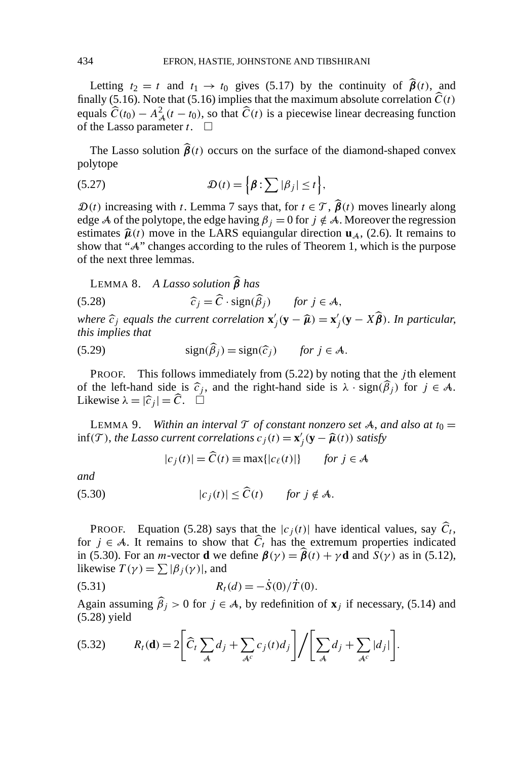Letting  $t_2 = t$  and  $t_1 \rightarrow t_0$  gives (5.17) by the continuity of  $\beta(t)$ , and finally (5.16). Note that (5.16) implies that the maximum absolute correlation  $C(t)$ equals  $\widehat{C}(t_0) - A^2_{A}(t - t_0)$ , so that  $\widehat{C}(t)$  is a piecewise linear decreasing function of the Lasso parameter  $t$ .  $\Box$ 

The Lasso solution  $\beta(t)$  occurs on the surface of the diamond-shaped convex polytope

(5.27) 
$$
\mathcal{D}(t) = \left\{ \boldsymbol{\beta} : \sum |\beta_j| \leq t \right\},\
$$

 $\mathcal{D}(t)$  increasing with *t*. Lemma 7 says that, for  $t \in \mathcal{T}$ ,  $\hat{\beta}(t)$  moves linearly along edge A of the polytope, the edge having  $\beta_j = 0$  for  $j \notin A$ . Moreover the regression estimates  $\hat{\boldsymbol{\mu}}(t)$  move in the LARS equiangular direction  $\mathbf{u}_{\mathcal{A}}$ , (2.6). It remains to show that "A" changes according to the rules of Theorem 1, which is the purpose of the next three lemmas.

LEMMA 8. *A Lasso solution* 
$$
\hat{\beta}
$$
 has  
(5.28)  $\hat{c}_j = \hat{C} \cdot sign(\hat{\beta}_j)$  for  $j \in \mathcal{A}$ ,

*where*  $\hat{c}_j$  *equals the current correlation*  $\mathbf{x}'_j(\mathbf{y} - \hat{\boldsymbol{\mu}}) = \mathbf{x}'_j(\mathbf{y} - X\hat{\boldsymbol{\beta}})$ . In particular, *this implies that*

(5.29) 
$$
\text{sign}(\widehat{\beta}_j) = \text{sign}(\widehat{c}_j) \quad \text{for } j \in \mathcal{A}.
$$

PROOF. This follows immediately from (5.22) by noting that the *j* th element of the left-hand side is  $\hat{c}_j$ , and the right-hand side is  $\lambda \cdot \text{sign}(\hat{\beta}_j)$  for  $j \in \mathcal{A}$ . Likewise  $\lambda = |\hat{c}_j| = \hat{C}$ .  $\Box$ 

LEMMA 9. *Within an interval*  $\mathcal T$  *of constant nonzero set*  $\mathcal A$ *, and also at*  $t_0 =$  $\inf(\mathcal{T})$ , *the Lasso current correlations*  $c_j(t) = \mathbf{x}'_j(\mathbf{y} - \hat{\boldsymbol{\mu}}(t))$  *satisfy* 

$$
|c_j(t)| = \widehat{C}(t) \equiv \max\{|c_\ell(t)|\} \quad \text{for } j \in \mathcal{A}
$$

*and*

(5.30) 
$$
|c_j(t)| \leq \widehat{C}(t) \quad \text{for } j \notin \mathcal{A}.
$$

PROOF. Equation (5.28) says that the  $|c_j(t)|$  have identical values, say  $\tilde{C}_t$ , for  $j \in A$ . It remains to show that  $\widehat{C}_t$  has the extremum properties indicated in (5.30). For an *m*-vector **d** we define  $\beta(\gamma) = \hat{\beta}(t) + \gamma \mathbf{d}$  and  $S(\gamma)$  as in (5.12), likewise  $T(\gamma) = \sum |\beta_i(\gamma)|$ , and

(5.31) 
$$
R_t(d) = -\dot{S}(0)/\dot{T}(0).
$$

Again assuming  $\hat{\beta}_j > 0$  for  $j \in \mathcal{A}$ , by redefinition of  $\mathbf{x}_j$  if necessary, (5.14) and (5.28) yield

(5.32) 
$$
R_t(\mathbf{d}) = 2 \left[ \widehat{C}_t \sum_{\mathcal{A}} d_j + \sum_{\mathcal{A}^c} c_j(t) d_j \right] / \left[ \sum_{\mathcal{A}} d_j + \sum_{\mathcal{A}^c} |d_j| \right].
$$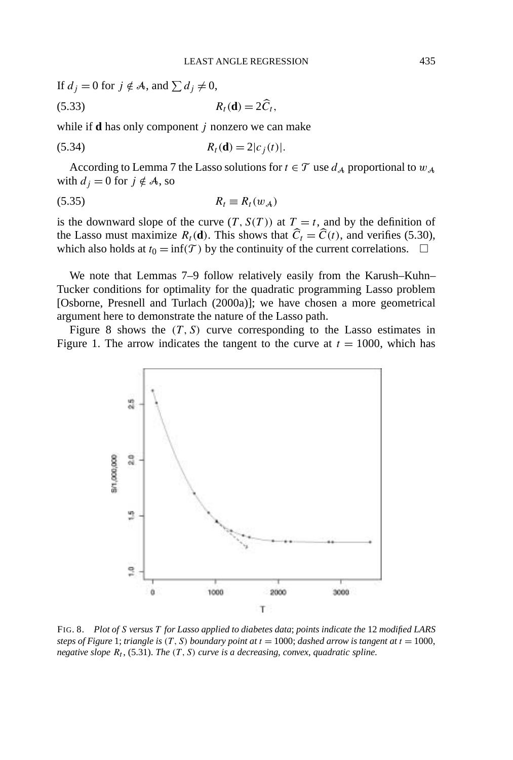If 
$$
d_j = 0
$$
 for  $j \notin A$ , and  $\sum d_j \neq 0$ ,  
(5.33)  $R_t(\mathbf{d}) = 2\widehat{C}_t$ ,

while if **d** has only component *j* nonzero we can make

(5.34) 
$$
R_t(\mathbf{d}) = 2|c_j(t)|.
$$

According to Lemma 7 the Lasso solutions for  $t \in \mathcal{T}$  use  $d_A$  proportional to  $w_A$ with  $d_j = 0$  for  $j \notin A$ , so

$$
(5.35) \t\t R_t \equiv R_t(w_A)
$$

is the downward slope of the curve  $(T, S(T))$  at  $T = t$ , and by the definition of the Lasso must maximize  $R_t(\mathbf{d})$ . This shows that  $\hat{C}_t = \hat{C}(t)$ , and verifies (5.30), which also holds at  $t_0 = \inf(\mathcal{T})$  by the continuity of the current correlations.  $\Box$ 

We note that Lemmas 7–9 follow relatively easily from the Karush–Kuhn– Tucker conditions for optimality for the quadratic programming Lasso problem [Osborne, Presnell and Turlach (2000a)]; we have chosen a more geometrical argument here to demonstrate the nature of the Lasso path.

Figure 8 shows the  $(T, S)$  curve corresponding to the Lasso estimates in Figure 1. The arrow indicates the tangent to the curve at  $t = 1000$ , which has



FIG. 8. *Plot of S versus T for Lasso applied to diabetes data*; *points indicate the* 12 *modified LARS steps of Figure* 1; *triangle is*  $(T, S)$  *boundary point at*  $t = 1000$ ; *dashed arrow is tangent at*  $t = 1000$ , *negative slope Rt* , (5.31). *The (T , S) curve is a decreasing*, *convex*, *quadratic spline*.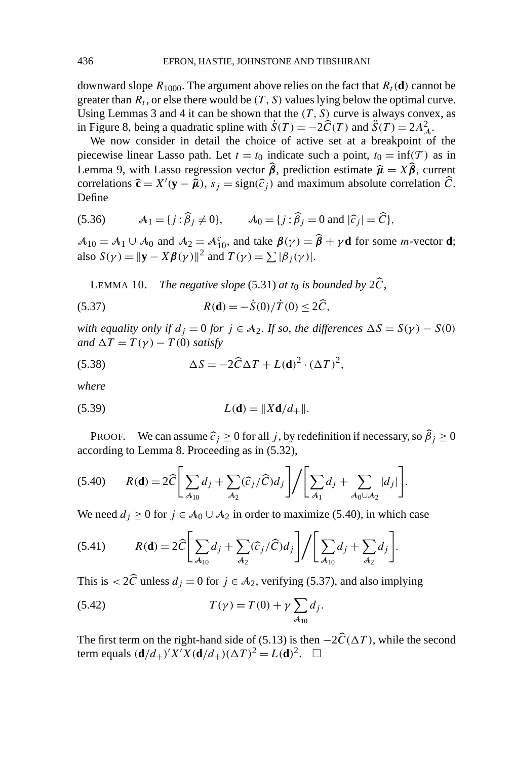downward slope  $R_{1000}$ . The argument above relies on the fact that  $R_t$ (**d**) cannot be greater than  $R_t$ , or else there would be  $(T, S)$  values lying below the optimal curve. Using Lemmas 3 and 4 it can be shown that the  $(T, S)$  curve is always convex, as in Figure 8, being a quadratic spline with  $\dot{S}(T) = -2\hat{C}(T)$  and  $\ddot{S}(T) = 2A_{\mathcal{A}}^2$ .

We now consider in detail the choice of active set at a breakpoint of the piecewise linear Lasso path. Let  $t = t_0$  indicate such a point,  $t_0 = \inf(\mathcal{T})$  as in Lemma 9, with Lasso regression vector  $\beta$ , prediction estimate  $\hat{\mu} = X\hat{\beta}$ , current Correlations  $\hat{\mathbf{c}} = X'(\mathbf{y} - \hat{\boldsymbol{\mu}})$ ,  $s_j = \text{sign}(\hat{c}_j)$  and maximum absolute correlation  $\hat{C}$ . Define

(5.36) 
$$
\mathcal{A}_1 = \{j : \widehat{\beta}_j \neq 0\}, \qquad \mathcal{A}_0 = \{j : \widehat{\beta}_j = 0 \text{ and } |\widehat{c}_j| = \widehat{C}\},
$$

 $A_{10} = A_1 \cup A_0$  and  $A_2 = A_{10}^c$ , and take  $\beta(\gamma) = \hat{\beta} + \gamma \mathbf{d}$  for some *m*-vector **d**; also  $S(\gamma) = ||\mathbf{y} - X\boldsymbol{\beta}(\gamma)||^2$  and  $T(\gamma) = \sum |\beta_j(\gamma)|$ .

LEMMA 10. *The negative slope* (5.31) *at*  $t_0$  *is bounded by*  $2\tilde{C}$ ,

(5.37) 
$$
R(\mathbf{d}) = -\dot{S}(0)/\dot{T}(0) \le 2\hat{C},
$$

*with equality only if*  $d_j = 0$  *for*  $j \in A_2$ . *If so, the differences*  $\Delta S = S(\gamma) - S(0)$ *and*  $\Delta T = T(\gamma) - T(0)$  *satisfy* 

(5.38) 
$$
\Delta S = -2\widehat{C}\Delta T + L(\mathbf{d})^2 \cdot (\Delta T)^2,
$$

*where*

(5.39) 
$$
L(\mathbf{d}) = \|X\mathbf{d}/d_+\|.
$$

PROOF. We can assume  $\hat{c}_j \ge 0$  for all *j*, by redefinition if necessary, so  $\hat{\beta}_j \ge 0$ according to Lemma 8. Proceeding as in (5.32),

$$
(5.40) \qquad R(\mathbf{d}) = 2\widehat{C} \bigg[ \sum_{\mathcal{A}_{10}} d_j + \sum_{\mathcal{A}_2} (\widehat{c}_j / \widehat{C}) d_j \bigg] / \bigg[ \sum_{\mathcal{A}_1} d_j + \sum_{\mathcal{A}_0 \cup \mathcal{A}_2} |d_j| \bigg].
$$

We need  $d_i \ge 0$  for  $j \in A_0 \cup A_2$  in order to maximize (5.40), in which case

(5.41) 
$$
R(\mathbf{d}) = 2\widehat{C} \bigg[ \sum_{\mathcal{A}_{10}} d_j + \sum_{\mathcal{A}_2} (\widehat{c}_j / \widehat{C}) d_j \bigg] / \bigg[ \sum_{\mathcal{A}_{10}} d_j + \sum_{\mathcal{A}_2} d_j \bigg].
$$

This is  $\langle 2\hat{C}$  unless  $d_j = 0$  for  $j \in \mathcal{A}_2$ , verifying (5.37), and also implying

(5.42) 
$$
T(\gamma) = T(0) + \gamma \sum_{\mathcal{A}_{10}} d_j.
$$

The first term on the right-hand side of (5.13) is then  $-2\hat{C}(\Delta T)$ , while the second term equals  $(\mathbf{d}/d_+)$ <sup>'</sup>  $X'X(\mathbf{d}/d_+)(\Delta T)^2 = L(\mathbf{d})^2$ .  $\Box$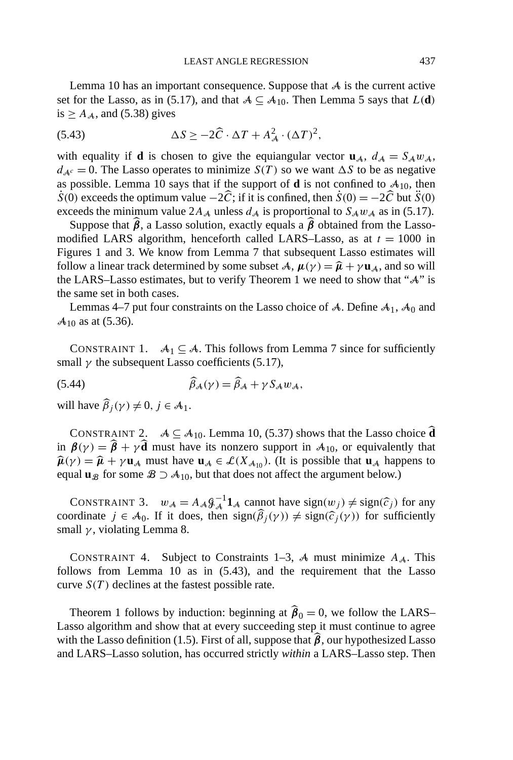Lemma 10 has an important consequence. Suppose that A is the current active set for the Lasso, as in (5.17), and that  $A \subseteq A_{10}$ . Then Lemma 5 says that  $L(\mathbf{d})$ is  $\geq A_{A}$ , and (5.38) gives

(5.43) 
$$
\Delta S \ge -2\widehat{C} \cdot \Delta T + A_{\mathcal{A}}^2 \cdot (\Delta T)^2,
$$

with equality if **d** is chosen to give the equiangular vector  $\mathbf{u}_{\mathcal{A}}$ ,  $d_{\mathcal{A}} = S_{\mathcal{A}} w_{\mathcal{A}}$ ,  $d_{\mathcal{A}^c} = 0$ . The Lasso operates to minimize  $S(T)$  so we want  $\Delta S$  to be as negative as possible. Lemma 10 says that if the support of **d** is not confined to  $A_{10}$ , then  $\dot{S}(0)$  exceeds the optimum value  $-2\hat{C}$ ; if it is confined, then  $\dot{S}(0) = -2\hat{C}$  but  $\ddot{S}(0)$ exceeds the minimum value  $2A_A$  unless  $d_A$  is proportional to  $S_A w_A$  as in (5.17).

Suppose that  $\beta$ , a Lasso solution, exactly equals a  $\beta$  obtained from the Lassomodified LARS algorithm, henceforth called LARS–Lasso, as at  $t = 1000$  in Figures 1 and 3. We know from Lemma 7 that subsequent Lasso estimates will follow a linear track determined by some subset A,  $\mu(\gamma) = \hat{\mu} + \gamma \mathbf{u}_A$ , and so will the LARS–Lasso estimates, but to verify Theorem 1 we need to show that "A" is the same set in both cases.

Lemmas 4–7 put four constraints on the Lasso choice of A. Define  $A_1$ ,  $A_0$  and  $A_{10}$  as at (5.36).

CONSTRAINT 1.  $A_1 \subseteq A$ . This follows from Lemma 7 since for sufficiently small  $\gamma$  the subsequent Lasso coefficients (5.17),

(5.44)  $\widehat{\beta}_{A}(\gamma) = \widehat{\beta}_{A} + \gamma S_{A} w_{A},$ 

will have  $\widehat{\beta}_j(\gamma) \neq 0, j \in \mathcal{A}_1$ .

CONSTRAINT 2.  $A \subseteq A_{10}$ . Lemma 10, (5.37) shows that the Lasso choice  $\hat{\mathbf{d}}$ in  $\beta(\gamma) = \beta + \gamma \hat{\mathbf{d}}$  must have its nonzero support in  $\mathcal{A}_{10}$ , or equivalently that  $\hat{\mu}(\gamma) = \hat{\mu} + \gamma \mathbf{u}_A$  must have  $\mathbf{u}_A \in \mathcal{L}(X_{A_{10}})$ . (It is possible that  $\mathbf{u}_A$  happens to equal  $\mathbf{u}_{\mathcal{B}}$  for some  $\mathcal{B} \supset \mathcal{A}_{10}$ , but that does not affect the argument below.)

CONSTRAINT 3.  $w_A = A_A \mathcal{G}_A^{-1} \mathbf{1}_A$  cannot have  $sign(w_j) \neq sign(\hat{c}_j)$  for any coordinate  $j \in A_0$ . If it does, then  $sign(\widehat{\beta}_j(\gamma)) \neq sign(\widehat{c}_j(\gamma))$  for sufficiently small *γ* , violating Lemma 8.

CONSTRAINT 4. Subject to Constraints 1–3, A must minimize  $A_{\mathcal{A}}$ . This follows from Lemma 10 as in (5.43), and the requirement that the Lasso curve  $S(T)$  declines at the fastest possible rate.

Theorem 1 follows by induction: beginning at  $\hat{\beta}_0 = 0$ , we follow the LARS– Lasso algorithm and show that at every succeeding step it must continue to agree with the Lasso definition (1.5). First of all, suppose that **β**, our hypothesized Lasso and LARS–Lasso solution, has occurred strictly *within* a LARS–Lasso step. Then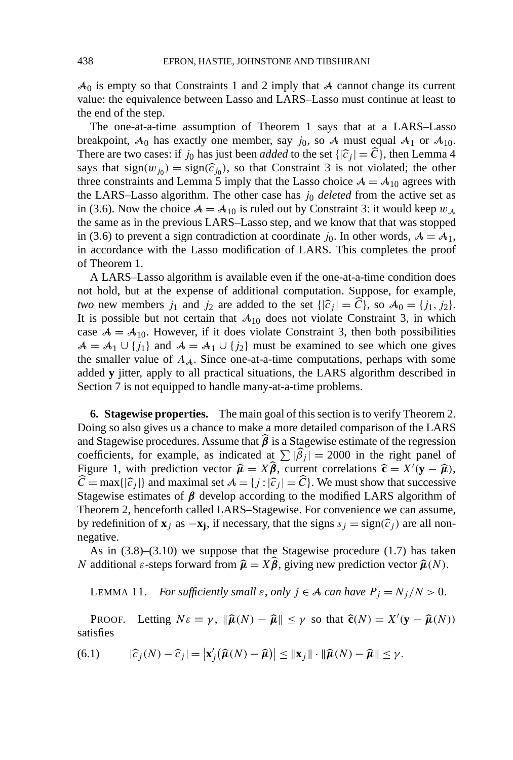$\mathcal{A}_0$  is empty so that Constraints 1 and 2 imply that A cannot change its current value: the equivalence between Lasso and LARS–Lasso must continue at least to the end of the step.

The one-at-a-time assumption of Theorem 1 says that at a LARS–Lasso breakpoint,  $A_0$  has exactly one member, say  $j_0$ , so A must equal  $A_1$  or  $A_{10}$ . There are two cases: if *j*<sub>0</sub> has just been *added* to the set  $\{|\hat{c}_j| = \hat{c}\}$ , then Lemma 4 says that  $sign(w_{j_0}) = sign(\hat{c}_{j_0})$ , so that Constraint 3 is not violated; the other three constraints and Lemma 5 imply that the Lasso choice  $A = A_{10}$  agrees with the LARS–Lasso algorithm. The other case has *j*<sup>0</sup> *deleted* from the active set as in (3.6). Now the choice  $A = A_{10}$  is ruled out by Constraint 3: it would keep  $w_A$ the same as in the previous LARS–Lasso step, and we know that that was stopped in (3.6) to prevent a sign contradiction at coordinate  $j_0$ . In other words,  $A = A_1$ , in accordance with the Lasso modification of LARS. This completes the proof of Theorem 1.

A LARS–Lasso algorithm is available even if the one-at-a-time condition does not hold, but at the expense of additional computation. Suppose, for example, *two* new members  $j_1$  and  $j_2$  are added to the set  $\{|\hat{c}_j| = \hat{c}\}$ , so  $A_0 = \{j_1, j_2\}$ . It is possible but not certain that  $A_{10}$  does not violate Constraint 3, in which case  $A = A_{10}$ . However, if it does violate Constraint 3, then both possibilities  $A = A_1 \cup \{j_1\}$  and  $A = A_1 \cup \{j_2\}$  must be examined to see which one gives the smaller value of  $A_{\mathcal{A}}$ . Since one-at-a-time computations, perhaps with some added **y** jitter, apply to all practical situations, the LARS algorithm described in Section 7 is not equipped to handle many-at-a-time problems.

**6. Stagewise properties.** The main goal of this section is to verify Theorem 2. Doing so also gives us a chance to make a more detailed comparison of the LARS and Stagewise procedures. Assume that  $\beta$  is a Stagewise estimate of the regression coefficients, for example, as indicated at  $\sum |\hat{\beta}_j| = 2000$  in the right panel of Figure 1, with prediction vector  $\hat{\mu} = X\hat{\beta}$ , current correlations  $\hat{\mathbf{c}} = X'(\mathbf{y} - \hat{\mu})$ ,  $\hat{C} = \max\{|\hat{c}_j|\}$  and maximal set  $\mathcal{A} = \{j : |\hat{c}_j| = \hat{C}\}$ . We must show that successive Stagewise estimates of *β* develop according to the modified LARS algorithm of Theorem 2, henceforth called LARS–Stagewise. For convenience we can assume, by redefinition of  $\mathbf{x}_j$  as  $-\mathbf{x}_j$ , if necessary, that the signs  $s_j = \text{sign}(\hat{c}_j)$  are all nonnegative.

As in (3.8)–(3.10) we suppose that the Stagewise procedure (1.7) has taken *N* additional *ε*-steps forward from  $\hat{\mu} = X\hat{\beta}$ , giving new prediction vector  $\hat{\mu}(N)$ .

LEMMA 11. *For sufficiently small*  $ε$ , *only*  $j ∈ A$  *can have*  $P_j = N_j / N > 0$ .

PROOF. Letting  $N\varepsilon \equiv \gamma$ ,  $\|\hat{\mu}(N) - \hat{\mu}\| \leq \gamma$  so that  $\hat{\mathbf{c}}(N) = X'(\mathbf{y} - \hat{\mu}(N))$ satisfies

(6.1) 
$$
|\widehat{c}_j(N)-\widehat{c}_j|=|\mathbf{x}'_j(\widehat{\boldsymbol{\mu}}(N)-\widehat{\boldsymbol{\mu}})|\leq \|\mathbf{x}_j\|\cdot\|\widehat{\boldsymbol{\mu}}(N)-\widehat{\boldsymbol{\mu}}\|\leq \gamma.
$$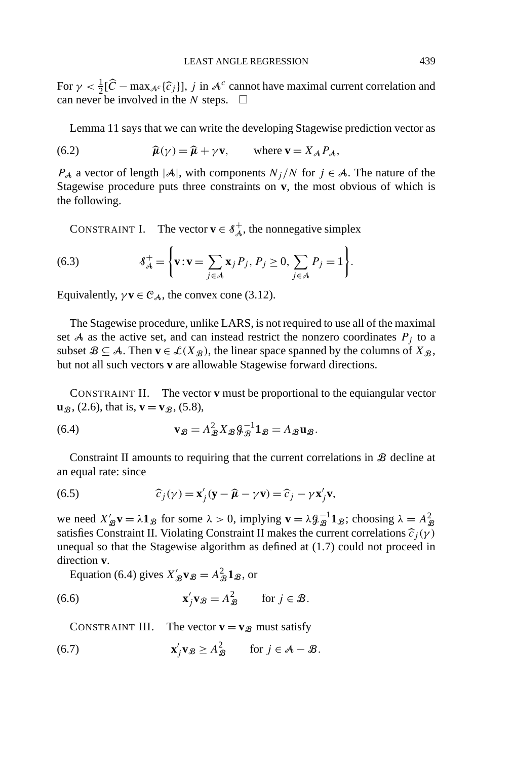For  $\gamma < \frac{1}{2} [\widehat{C} - \max_{\mathcal{A}^c} {\{\widehat{C}_j\}}]$ , *j* in  $\mathcal{A}^c$  cannot have maximal current correlation and can never be involved in the *N* steps.  $\Box$ 

Lemma 11 says that we can write the developing Stagewise prediction vector as

(6.2) 
$$
\widehat{\boldsymbol{\mu}}(\gamma) = \widehat{\boldsymbol{\mu}} + \gamma \mathbf{v}, \qquad \text{where } \mathbf{v} = X_A P_A,
$$

*P<sub>A</sub>* a vector of length  $|A|$ , with components *N<sub>j</sub> /N* for *j* ∈ *A*. The nature of the Stagewise procedure puts three constraints on **v**, the most obvious of which is the following.

CONSTRAINT I. The vector **v**  $\in \mathcal{S}_{\mathcal{A}}^{+}$ , the nonnegative simplex

(6.3) 
$$
\mathcal{S}_{\mathcal{A}}^+ = \left\{ \mathbf{v} : \mathbf{v} = \sum_{j \in \mathcal{A}} \mathbf{x}_j P_j, P_j \ge 0, \sum_{j \in \mathcal{A}} P_j = 1 \right\}.
$$

Equivalently,  $\gamma \mathbf{v} \in \mathcal{C}_A$ , the convex cone (3.12).

The Stagewise procedure, unlike LARS, is not required to use all of the maximal set A as the active set, and can instead restrict the nonzero coordinates  $P_i$  to a subset  $\mathcal{B} \subseteq \mathcal{A}$ . Then  $\mathbf{v} \in \mathcal{L}(X_{\mathcal{B}})$ , the linear space spanned by the columns of  $X_{\mathcal{B}}$ , but not all such vectors **v** are allowable Stagewise forward directions.

CONSTRAINT II. The vector **v** must be proportional to the equiangular vector  $\mathbf{u}_{\mathcal{B}}$ , (2.6), that is,  $\mathbf{v} = \mathbf{v}_{\mathcal{B}}$ , (5.8),

(6.4) 
$$
\mathbf{v}_{\mathcal{B}} = A_{\mathcal{B}}^2 X_{\mathcal{B}} \mathcal{G}_{\mathcal{B}}^{-1} \mathbf{1}_{\mathcal{B}} = A_{\mathcal{B}} \mathbf{u}_{\mathcal{B}}.
$$

Constraint II amounts to requiring that the current correlations in B decline at an equal rate: since

(6.5) 
$$
\widehat{c}_j(\gamma) = \mathbf{x}'_j(\mathbf{y} - \widehat{\boldsymbol{\mu}} - \gamma \mathbf{v}) = \widehat{c}_j - \gamma \mathbf{x}'_j \mathbf{v},
$$

we need  $X'_{\mathcal{B}}\mathbf{v} = \lambda \mathbf{1}_{\mathcal{B}}$  for some  $\lambda > 0$ , implying  $\mathbf{v} = \lambda \mathcal{G}_{\mathcal{B}}^{-1} \mathbf{1}_{\mathcal{B}}$ ; choosing  $\lambda = A_{\mathcal{B}}^2$ satisfies Constraint II. Violating Constraint II makes the current correlations  $\hat{c}_j(\gamma)$ unequal so that the Stagewise algorithm as defined at (1.7) could not proceed in direction **v**.

Equation (6.4) gives  $X'_{\mathcal{B}} \mathbf{v}_{\mathcal{B}} = A_{\mathcal{B}}^2 \mathbf{1}_{\mathcal{B}}$ , or

(6.6) 
$$
\mathbf{x}'_j \mathbf{v}_\mathcal{B} = A_\mathcal{B}^2 \quad \text{for } j \in \mathcal{B}.
$$

CONSTRAINT III. The vector  $\mathbf{v} = \mathbf{v}_{\mathcal{B}}$  must satisfy

(6.7) 
$$
\mathbf{x}'_j \mathbf{v}_\mathcal{B} \ge A_\mathcal{B}^2 \quad \text{for } j \in \mathcal{A} - \mathcal{B}.
$$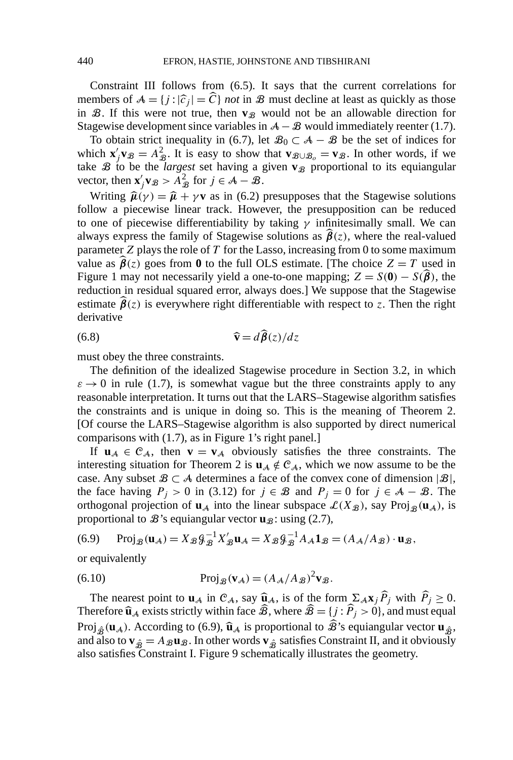Constraint III follows from (6.5). It says that the current correlations for members of  $A = \{j : |\hat{c}_j| = \hat{C}\}$  *not* in B must decline at least as quickly as those in  $\mathcal{B}$ . If this were not true, then  $\mathbf{v}_{\mathcal{B}}$  would not be an allowable direction for Stagewise development since variables in  $A - B$  would immediately reenter (1.7).

To obtain strict inequality in (6.7), let  $\mathcal{B}_0 \subset \mathcal{A} - \mathcal{B}$  be the set of indices for which  $\mathbf{x}'_j \mathbf{v}_B = A_B^2$ . It is easy to show that  $\mathbf{v}_{B \cup B_0} = \mathbf{v}_B$ . In other words, if we take  $\mathcal{B}$  to be the *largest* set having a given  $\mathbf{v}_{\mathcal{B}}$  proportional to its equiangular vector, then  $\mathbf{x}'_j \mathbf{v}_{\mathcal{B}} > \tilde{A}_{\mathcal{B}}^2$  for  $j \in \mathcal{A} - \mathcal{B}$ .

Writing  $\hat{\boldsymbol{\mu}}(\gamma) = \hat{\boldsymbol{\mu}} + \gamma \mathbf{v}$  as in (6.2) presupposes that the Stagewise solutions follow a piecewise linear track. However, the presupposition can be reduced to one of piecewise differentiability by taking *γ* infinitesimally small. We can always express the family of Stagewise solutions as  $\beta(z)$ , where the real-valued parameter *Z* plays the role of *T* for the Lasso, increasing from 0 to some maximum value as  $\hat{\boldsymbol{\beta}}(z)$  goes from **0** to the full OLS estimate. [The choice  $Z = T$  used in Figure 1 may not necessarily yield a one-to-one mapping;  $Z = S(0) - S(\hat{\beta})$ , the reduction in residual squared error, always does.] We suppose that the Stagewise estimate  $\beta(z)$  is everywhere right differentiable with respect to *z*. Then the right derivative

$$
\widehat{\mathbf{v}} = d\widehat{\boldsymbol{\beta}}(z)/dz
$$

must obey the three constraints.

The definition of the idealized Stagewise procedure in Section 3.2, in which  $\varepsilon \to 0$  in rule (1.7), is somewhat vague but the three constraints apply to any reasonable interpretation. It turns out that the LARS–Stagewise algorithm satisfies the constraints and is unique in doing so. This is the meaning of Theorem 2. [Of course the LARS–Stagewise algorithm is also supported by direct numerical comparisons with (1.7), as in Figure 1's right panel.]

If  $u_A \in C_A$ , then  $v = v_A$  obviously satisfies the three constraints. The interesting situation for Theorem 2 is  $\mathbf{u}_{\mathcal{A}} \notin \mathcal{C}_{\mathcal{A}}$ , which we now assume to be the case. Any subset  $\mathcal{B} \subset \mathcal{A}$  determines a face of the convex cone of dimension  $|\mathcal{B}|$ , the face having  $P_j > 0$  in (3.12) for  $j \in \mathcal{B}$  and  $P_j = 0$  for  $j \in \mathcal{A} - \mathcal{B}$ . The orthogonal projection of  $\mathbf{u}_\mathcal{A}$  into the linear subspace  $\mathcal{L}(X_\mathcal{B})$ , say Proj<sub> $\mathcal{B}(\mathbf{u}_\mathcal{A})$ , is</sub> proportional to  $\mathcal{B}$ 's equiangular vector  $\mathbf{u}_{\mathcal{B}}$ : using (2.7),

(6.9) 
$$
\operatorname{Proj}_{\mathcal{B}}(\mathbf{u}_{\mathcal{A}}) = X_{\mathcal{B}}\mathcal{G}_{\mathcal{B}}^{-1}X_{\mathcal{B}}'\mathbf{u}_{\mathcal{A}} = X_{\mathcal{B}}\mathcal{G}_{\mathcal{B}}^{-1}A_{\mathcal{A}}\mathbf{1}_{\mathcal{B}} = (A_{\mathcal{A}}/A_{\mathcal{B}})\cdot\mathbf{u}_{\mathcal{B}},
$$

or equivalently

(6.10) 
$$
\operatorname{Proj}_{\mathcal{B}}(\mathbf{v}_{\mathcal{A}}) = (A_{\mathcal{A}}/A_{\mathcal{B}})^2 \mathbf{v}_{\mathcal{B}}.
$$

The nearest point to  $\mathbf{u}_{\mathcal{A}}$  in  $\mathcal{C}_{\mathcal{A}}$ , say  $\widehat{\mathbf{u}}_{\mathcal{A}}$ , is of the form  $\sum_{\mathcal{A}} \mathbf{x}_{j} P_{j}$  with  $P_{j} \geq 0$ . Therefore  $\widehat{\mathbf{u}}_{\mathcal{A}}$  exists strictly within face  $\widehat{\mathcal{B}}$ , where  $\widehat{\mathcal{B}} = \{j : \widehat{P}_j > 0\}$ , and must equal Proj<sub> $\hat{\mathcal{B}}(\mathbf{u}_\mathcal{A})$ . According to (6.9),  $\hat{\mathbf{u}}_A$  is proportional to  $\hat{\mathcal{B}}$ 's equiangular vector  $\mathbf{u}_{\hat{\mathcal{B}}}$ ,</sub> and also to  $\mathbf{v}_{\hat{\mathcal{B}}} = A_{\mathcal{B}} \mathbf{u}_{\mathcal{B}}$ . In other words  $\mathbf{v}_{\hat{\mathcal{B}}}$  satisfies Constraint II, and it obviously also satisfies Constraint I. Figure 9 schematically illustrates the geometry.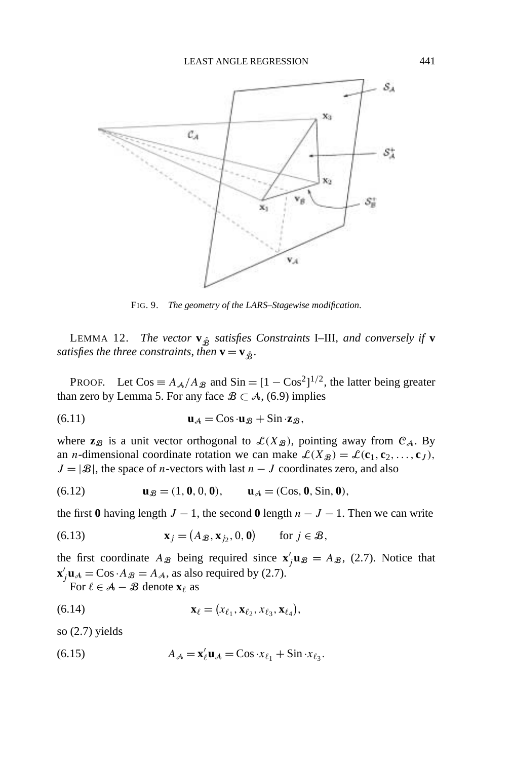

FIG. 9. *The geometry of the LARS–Stagewise modification*.

LEMMA 12. *The vector*  $\mathbf{v}_{\hat{\mathbf{B}}}$  *satisfies Constraints* I–III, *and conversely if*  $\mathbf{v}$ *satisfies the three constraints, then*  $\mathbf{v} = \mathbf{v}_{\hat{\mathbf{r}}}$ .

PROOF. Let  $\cos \equiv A_A/A_B$  and  $\sin = [1 - \cos^2]^{1/2}$ , the latter being greater than zero by Lemma 5. For any face  $\mathcal{B} \subset \mathcal{A}$ , (6.9) implies

(6.11) 
$$
\mathbf{u}_{A} = \cos \cdot \mathbf{u}_{B} + \sin \cdot \mathbf{z}_{B},
$$

where  $z_{\mathcal{B}}$  is a unit vector orthogonal to  $\mathcal{L}(X_{\mathcal{B}})$ , pointing away from  $\mathcal{C}_{\mathcal{A}}$ . By an *n*-dimensional coordinate rotation we can make  $\mathcal{L}(X_{\mathcal{B}}) = \mathcal{L}(\mathbf{c}_1, \mathbf{c}_2, \dots, \mathbf{c}_J)$ ,  $J = |\mathcal{B}|$ , the space of *n*-vectors with last  $n - J$  coordinates zero, and also

(6.12) 
$$
\mathbf{u}_{\mathcal{B}} = (1, 0, 0, 0), \qquad \mathbf{u}_{\mathcal{A}} = (\cos, 0, \sin, 0),
$$

the first  $\bf{0}$  having length  $J - 1$ , the second  $\bf{0}$  length  $n - J - 1$ . Then we can write

(6.13) 
$$
\mathbf{x}_j = (A_{\mathcal{B}}, \mathbf{x}_{j_2}, 0, \mathbf{0}) \quad \text{for } j \in \mathcal{B},
$$

the first coordinate  $A_{\mathcal{B}}$  being required since  $\mathbf{x}'_j \mathbf{u}_{\mathcal{B}} = A_{\mathcal{B}}$ , (2.7). Notice that  $\mathbf{x}'_j \mathbf{u}_A = \cos \cdot A_B = A_A$ , as also required by (2.7). For  $\ell \in \mathcal{A} - \mathcal{B}$  denote  $\mathbf{x}_{\ell}$  as

(6.14) 
$$
\mathbf{x}_{\ell} = (x_{\ell_1}, \mathbf{x}_{\ell_2}, x_{\ell_3}, \mathbf{x}_{\ell_4}),
$$

so (2.7) yields

(6.15) 
$$
A_{\mathcal{A}} = \mathbf{x}_{\ell}' \mathbf{u}_{\mathcal{A}} = \cos \cdot x_{\ell_1} + \sin \cdot x_{\ell_3}.
$$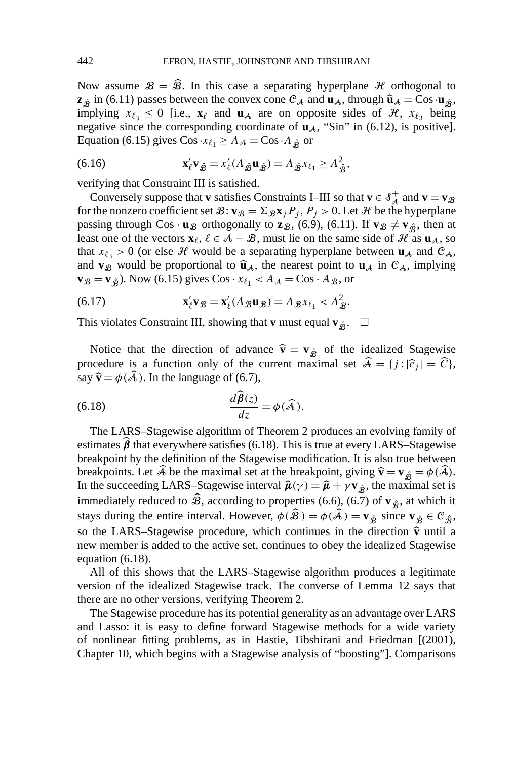Now assume  $\mathcal{B} = \widehat{\mathcal{B}}$ . In this case a separating hyperplane  $\mathcal{H}$  orthogonal to  $\mathbf{z}_{\hat{\mathcal{B}}}$  in (6.11) passes between the convex cone  $\mathcal{C}_A$  and  $\mathbf{u}_A$ , through  $\hat{\mathbf{u}}_A = \cos \cdot \mathbf{u}_{\hat{\mathcal{B}}}$ , implying  $x_{\ell_3} \leq 0$  [i.e.,  $\mathbf{x}_{\ell}$  and  $\mathbf{u}_{\ell_4}$  are on opposite sides of  $\mathcal{H}$ ,  $x_{\ell_3}$  being negative since the corresponding coordinate of  $\mathbf{u}_{\mathcal{A}}$ , "Sin" in (6.12), is positive]. Equation (6.15) gives  $\cos x_{\ell_1} \geq A_A = \cos A_{\hat{B}}$  or

(6.16) 
$$
\mathbf{x}_{\ell}' \mathbf{v}_{\hat{\mathcal{B}}} = x_{\ell}' (A_{\hat{\mathcal{B}}} \mathbf{u}_{\hat{\mathcal{B}}}) = A_{\hat{\mathcal{B}}} x_{\ell 1} \ge A_{\hat{\mathcal{B}}}^2,
$$

verifying that Constraint III is satisfied.

Conversely suppose that **v** satisfies Constraints I–III so that **v**  $\in \mathcal{S}_{\mathcal{A}}^{+}$  and **v** = **v**<sub>B</sub> for the nonzero coefficient set  $\mathcal{B}: \mathbf{v}_{\mathcal{B}} = \Sigma_{\mathcal{B}} \mathbf{x}_j P_j$ ,  $P_j > 0$ . Let  $\mathcal{H}$  be the hyperplane passing through Cos  $\cdot$  **u**<sub>B</sub> orthogonally to **z**<sub>B</sub>, (6.9), (6.11). If  $\mathbf{v}_{\mathcal{B}} \neq \mathbf{v}_{\hat{\phi}}$ , then at least one of the vectors  $\mathbf{x}_{\ell}, \ell \in \mathcal{A} - \mathcal{B}$ , must lie on the same side of  $\mathcal{H}$  as  $\mathbf{u}_{\mathcal{A}}$ , so that  $x_{\ell_3} > 0$  (or else H would be a separating hyperplane between  $\mathbf{u}_A$  and  $\mathcal{C}_A$ , and  $\mathbf{v}_{\mathcal{B}}$  would be proportional to  $\hat{\mathbf{u}}_{\mathcal{A}}$ , the nearest point to  $\mathbf{u}_{\mathcal{A}}$  in  $\mathcal{C}_{\mathcal{A}}$ , implying  $\mathbf{v}_{\mathcal{B}} = \mathbf{v}_{\hat{\mathcal{B}}}$ ). Now (6.15) gives  $\cos \cdot x_{\ell_1} < A_{\mathcal{A}} = \cos \cdot A_{\mathcal{B}}$ , or

(6.17) 
$$
\mathbf{x}_{\ell}' \mathbf{v}_{\mathcal{B}} = \mathbf{x}_{\ell}' (A_{\mathcal{B}} \mathbf{u}_{\mathcal{B}}) = A_{\mathcal{B}} x_{\ell_1} < A_{\mathcal{B}}^2.
$$

This violates Constraint III, showing that **v** must equal  $\mathbf{v}_{\hat{\mathcal{B}}}$ .  $\Box$ 

Notice that the direction of advance  $\hat{\mathbf{v}} = \mathbf{v}_{\hat{\mathcal{B}}}$  of the idealized Stagewise procedure is a function only of the current maximal set  $\widehat{A} = \{j : |\widehat{c}_j| = \widehat{C}\},\$ say  $\hat{\mathbf{v}} = \phi(\hat{\mathcal{A}})$ . In the language of (6.7),

(6.18) 
$$
\frac{d\vec{\beta}(z)}{dz} = \phi(\widehat{\mathcal{A}}).
$$

The LARS–Stagewise algorithm of Theorem 2 produces an evolving family of estimates  $\beta$  that everywhere satisfies (6.18). This is true at every LARS–Stagewise breakpoint by the definition of the Stagewise modification. It is also true between breakpoints. Let  $\widehat{A}$  be the maximal set at the breakpoint, giving  $\widehat{\mathbf{v}} = \mathbf{v}_{\widehat{\mathcal{B}}} = \phi(\widehat{A})$ . In the succeeding LARS–Stagewise interval  $\hat{\mu}(\gamma) = \hat{\mu} + \gamma \mathbf{v}_{\hat{B}}$ , the maximal set is immediately reduced to  $\hat{B}$ , according to properties (6.6), (6.7) of  $\mathbf{v}_{\hat{B}}$ , at which it stays during the entire interval. However,  $\phi(\hat{B}) = \phi(\hat{A}) = \mathbf{v}_{\hat{B}}$  since  $\mathbf{v}_{\hat{B}} \in \mathcal{C}_{\hat{B}}$ , so the LARS–Stagewise procedure, which continues in the direction  $\hat{v}$  until a new member is added to the active set, continues to obey the idealized Stagewise equation (6.18).

All of this shows that the LARS–Stagewise algorithm produces a legitimate version of the idealized Stagewise track. The converse of Lemma 12 says that there are no other versions, verifying Theorem 2.

The Stagewise procedure has its potential generality as an advantage over LARS and Lasso: it is easy to define forward Stagewise methods for a wide variety of nonlinear fitting problems, as in Hastie, Tibshirani and Friedman [(2001), Chapter 10, which begins with a Stagewise analysis of "boosting"]. Comparisons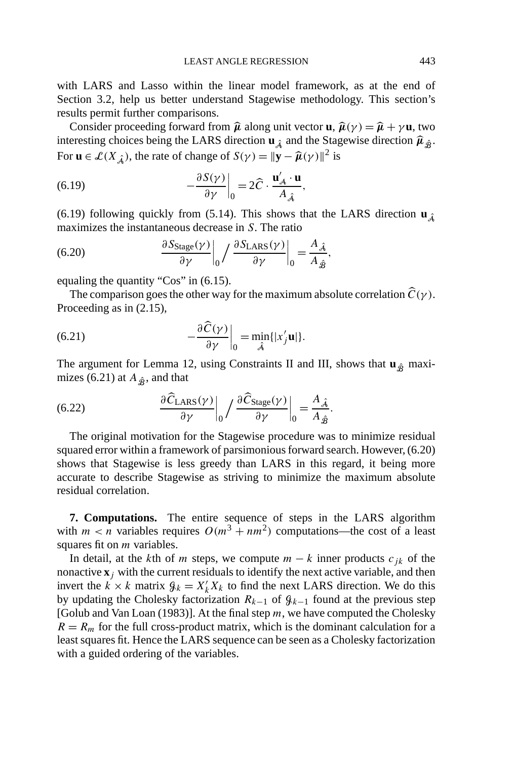with LARS and Lasso within the linear model framework, as at the end of Section 3.2, help us better understand Stagewise methodology. This section's results permit further comparisons.

Consider proceeding forward from  $\hat{\mu}$  along unit vector **u**,  $\hat{\mu}(\gamma) = \hat{\mu} + \gamma \mathbf{u}$ , two Exercisely proceeding forward from  $\mu$  along that vector **u**,  $\mu(\gamma) = \mu + \gamma \mathbf{u}$ , two interesting choices being the LARS direction  $\mathbf{u}_{\hat{\mathcal{A}}}$  and the Stagewise direction  $\hat{\mathbf{u}}_{\hat{\mathcal{B}}}$ . For  $\mathbf{u} \in \mathcal{L}(X_{\hat{\mathcal{A}}})$ , the rate of change of  $S(\gamma) = ||\mathbf{y} - \hat{\boldsymbol{\mu}}(\gamma)||^2$  is

(6.19) 
$$
-\frac{\partial S(\gamma)}{\partial \gamma}\Big|_{0} = 2\widehat{C} \cdot \frac{\mathbf{u}'_{A} \cdot \mathbf{u}}{A_{\widehat{A}}},
$$

(6.19) following quickly from (5.14). This shows that the LARS direction  $\mathbf{u}_{\hat{\mathcal{A}}}$ maximizes the instantaneous decrease in *S*. The ratio

(6.20) 
$$
\frac{\partial S_{\text{Stage}}(\gamma)}{\partial \gamma}\bigg|_0 / \frac{\partial S_{\text{LARS}}(\gamma)}{\partial \gamma}\bigg|_0 = \frac{A_{\hat{\mathcal{A}}}}{A_{\hat{\mathcal{B}}}},
$$

equaling the quantity "Cos" in (6.15).

The comparison goes the other way for the maximum absolute correlation  $C(\gamma)$ . Proceeding as in (2.15),

(6.21) 
$$
-\frac{\partial \widehat{C}(\gamma)}{\partial \gamma}\Big|_{0} = \min_{\hat{\mathcal{A}}} \{|x'_{j}\mathbf{u}|\}.
$$

The argument for Lemma 12, using Constraints II and III, shows that  $\mathbf{u}_{\hat{\mathcal{B}}}$  maximizes (6.21) at  $A_{\hat{\mathbf{\alpha}}}$ , and that

(6.22) 
$$
\frac{\partial \widehat{C}_{\text{LARS}}(\gamma)}{\partial \gamma}\bigg|_0 / \frac{\partial \widehat{C}_{\text{Stage}}(\gamma)}{\partial \gamma}\bigg|_0 = \frac{A_{\hat{\mathcal{A}}}}{A_{\hat{\mathcal{B}}}}.
$$

The original motivation for the Stagewise procedure was to minimize residual squared error within a framework of parsimonious forward search. However, (6.20) shows that Stagewise is less greedy than LARS in this regard, it being more accurate to describe Stagewise as striving to minimize the maximum absolute residual correlation.

**7. Computations.** The entire sequence of steps in the LARS algorithm with  $m < n$  variables requires  $O(m^3 + nm^2)$  computations—the cost of a least squares fit on *m* variables.

In detail, at the *k*th of *m* steps, we compute  $m - k$  inner products  $c_{ik}$  of the nonactive  $\mathbf{x}_j$  with the current residuals to identify the next active variable, and then invert the  $k \times k$  matrix  $\mathcal{G}_k = X_k' X_k$  to find the next LARS direction. We do this by updating the Cholesky factorization  $R_{k-1}$  of  $\mathcal{G}_{k-1}$  found at the previous step [Golub and Van Loan (1983)]. At the final step *m*, we have computed the Cholesky  $R = R<sub>m</sub>$  for the full cross-product matrix, which is the dominant calculation for a least squares fit. Hence the LARS sequence can be seen as a Cholesky factorization with a guided ordering of the variables.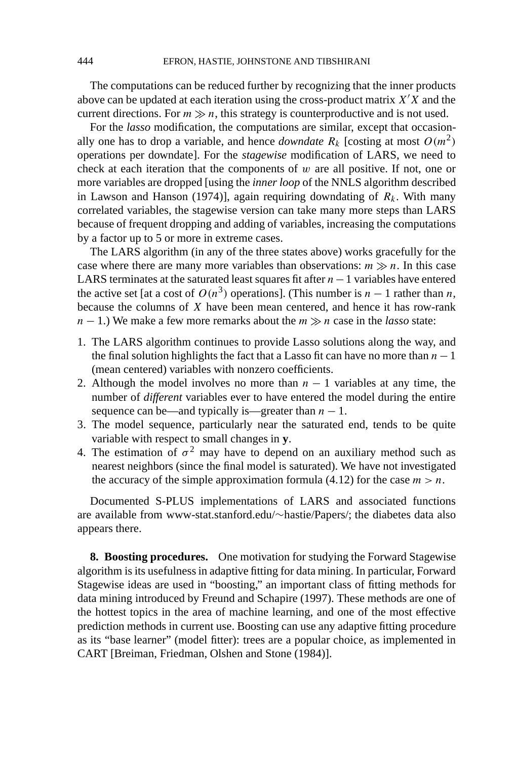The computations can be reduced further by recognizing that the inner products above can be updated at each iteration using the cross-product matrix *X X* and the current directions. For  $m \gg n$ , this strategy is counterproductive and is not used.

For the *lasso* modification, the computations are similar, except that occasionally one has to drop a variable, and hence *downdate*  $R_k$  [costing at most  $O(m^2)$ ] operations per downdate]. For the *stagewise* modification of LARS, we need to check at each iteration that the components of *w* are all positive. If not, one or more variables are dropped [using the *inner loop* of the NNLS algorithm described in Lawson and Hanson (1974)], again requiring downdating of  $R_k$ . With many correlated variables, the stagewise version can take many more steps than LARS because of frequent dropping and adding of variables, increasing the computations by a factor up to 5 or more in extreme cases.

The LARS algorithm (in any of the three states above) works gracefully for the case where there are many more variables than observations:  $m \gg n$ . In this case LARS terminates at the saturated least squares fit after *n*−1 variables have entered the active set [at a cost of  $O(n^3)$  operations]. (This number is  $n-1$  rather than *n*, because the columns of *X* have been mean centered, and hence it has row-rank *n* − 1.) We make a few more remarks about the  $m \gg n$  case in the *lasso* state:

- 1. The LARS algorithm continues to provide Lasso solutions along the way, and the final solution highlights the fact that a Lasso fit can have no more than *n*−1 (mean centered) variables with nonzero coefficients.
- 2. Although the model involves no more than  $n 1$  variables at any time, the number of *different* variables ever to have entered the model during the entire sequence can be—and typically is—greater than  $n - 1$ .
- 3. The model sequence, particularly near the saturated end, tends to be quite variable with respect to small changes in **y**.
- 4. The estimation of  $\sigma^2$  may have to depend on an auxiliary method such as nearest neighbors (since the final model is saturated). We have not investigated the accuracy of the simple approximation formula (4.12) for the case  $m > n$ .

Documented S-PLUS implementations of LARS and associated functions are available from www-stat.stanford.edu/∼hastie/Papers/; the diabetes data also appears there.

**8. Boosting procedures.** One motivation for studying the Forward Stagewise algorithm is its usefulness in adaptive fitting for data mining. In particular, Forward Stagewise ideas are used in "boosting," an important class of fitting methods for data mining introduced by Freund and Schapire (1997). These methods are one of the hottest topics in the area of machine learning, and one of the most effective prediction methods in current use. Boosting can use any adaptive fitting procedure as its "base learner" (model fitter): trees are a popular choice, as implemented in CART [Breiman, Friedman, Olshen and Stone (1984)].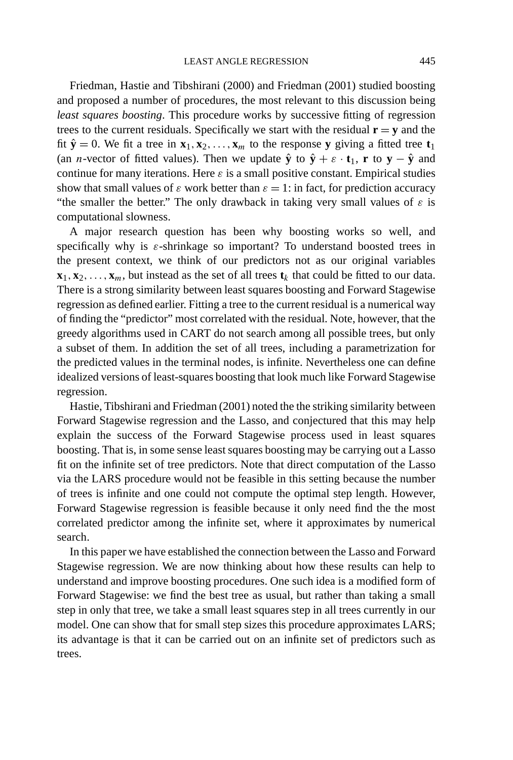Friedman, Hastie and Tibshirani (2000) and Friedman (2001) studied boosting and proposed a number of procedures, the most relevant to this discussion being *least squares boosting*. This procedure works by successive fitting of regression trees to the current residuals. Specifically we start with the residual  $\mathbf{r} = \mathbf{y}$  and the fit  $\hat{y} = 0$ . We fit a tree in  $x_1, x_2, \ldots, x_m$  to the response y giving a fitted tree  $t_1$ (an *n*-vector of fitted values). Then we update  $\hat{y}$  to  $\hat{y} + \varepsilon \cdot t_1$ , **r** to  $y - \hat{y}$  and continue for many iterations. Here  $\varepsilon$  is a small positive constant. Empirical studies show that small values of  $\varepsilon$  work better than  $\varepsilon = 1$ : in fact, for prediction accuracy "the smaller the better." The only drawback in taking very small values of  $\varepsilon$  is computational slowness.

A major research question has been why boosting works so well, and specifically why is *ε*-shrinkage so important? To understand boosted trees in the present context, we think of our predictors not as our original variables  $\mathbf{x}_1, \mathbf{x}_2, \ldots, \mathbf{x}_m$ , but instead as the set of all trees  $\mathbf{t}_k$  that could be fitted to our data. There is a strong similarity between least squares boosting and Forward Stagewise regression as defined earlier. Fitting a tree to the current residual is a numerical way of finding the "predictor" most correlated with the residual. Note, however, that the greedy algorithms used in CART do not search among all possible trees, but only a subset of them. In addition the set of all trees, including a parametrization for the predicted values in the terminal nodes, is infinite. Nevertheless one can define idealized versions of least-squares boosting that look much like Forward Stagewise regression.

Hastie, Tibshirani and Friedman (2001) noted the the striking similarity between Forward Stagewise regression and the Lasso, and conjectured that this may help explain the success of the Forward Stagewise process used in least squares boosting. That is, in some sense least squares boosting may be carrying out a Lasso fit on the infinite set of tree predictors. Note that direct computation of the Lasso via the LARS procedure would not be feasible in this setting because the number of trees is infinite and one could not compute the optimal step length. However, Forward Stagewise regression is feasible because it only need find the the most correlated predictor among the infinite set, where it approximates by numerical search.

In this paper we have established the connection between the Lasso and Forward Stagewise regression. We are now thinking about how these results can help to understand and improve boosting procedures. One such idea is a modified form of Forward Stagewise: we find the best tree as usual, but rather than taking a small step in only that tree, we take a small least squares step in all trees currently in our model. One can show that for small step sizes this procedure approximates LARS; its advantage is that it can be carried out on an infinite set of predictors such as trees.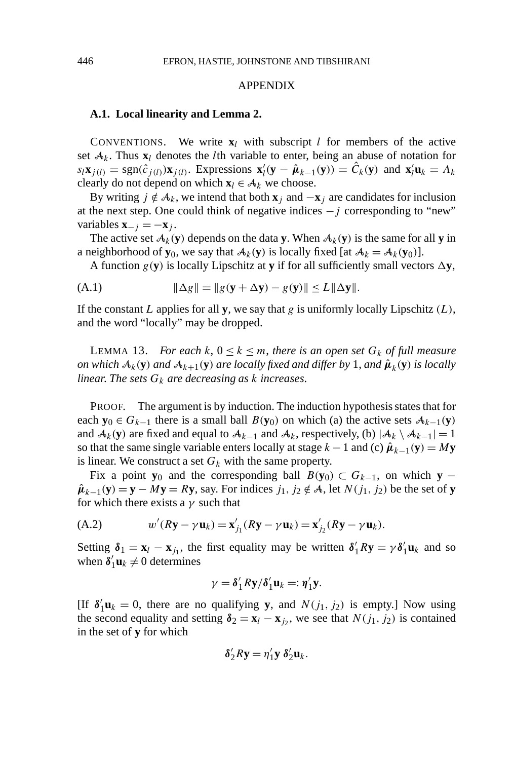### APPENDIX

### **A.1. Local linearity and Lemma 2.**

CONVENTIONS. We write  $\mathbf{x}_l$  with subscript *l* for members of the active set  $A_k$ . Thus  $\mathbf{x}_l$  denotes the *l*th variable to enter, being an abuse of notation for  $s_l \mathbf{x}_{j(l)} = \text{sgn}(\hat{c}_{j(l)}) \mathbf{x}_{j(l)}$ . Expressions  $\mathbf{x}'_l(\mathbf{y} - \hat{\boldsymbol{\mu}}_{k-1}(\mathbf{y})) = \hat{c}_k(\mathbf{y})$  and  $\mathbf{x}'_l \mathbf{u}_k = A_k$ clearly do not depend on which  $\mathbf{x}_l \in \mathcal{A}_k$  we choose.

By writing  $j \notin A_k$ , we intend that both  $\mathbf{x}_j$  and  $-\mathbf{x}_j$  are candidates for inclusion at the next step. One could think of negative indices −*j* corresponding to "new" variables  $\mathbf{x}_{-j} = -\mathbf{x}_j$ .

The active set  $A_k(y)$  depends on the data **y**. When  $A_k(y)$  is the same for all **y** in a neighborhood of **y**<sub>0</sub>, we say that  $A_k$ (**y**) is locally fixed [at  $A_k = A_k$ (**y**<sub>0</sub>)].

A function  $g(y)$  is locally Lipschitz at **y** if for all sufficiently small vectors  $\Delta y$ ,

(A.1) 
$$
\|\Delta g\| = \|g(y + \Delta y) - g(y)\| \le L \|\Delta y\|.
$$

If the constant *L* applies for all **y**, we say that *g* is uniformly locally Lipschitz *(L)*, and the word "locally" may be dropped.

LEMMA 13. *For each*  $k, 0 \le k \le m$ , there is an open set  $G_k$  of full measure *on which*  $A_k(y)$  *and*  $A_{k+1}(y)$  *are locally fixed and differ by* 1, *and*  $\hat{\mu}_k(y)$  *is locally linear. The sets*  $G_k$  *are decreasing as k increases.* 

PROOF. The argument is by induction. The induction hypothesis states that for each **y**<sub>0</sub> ∈ *G*<sub>*k*−1</sub> there is a small ball *B*(**y**<sub>0</sub>)</sub> on which (a) the active sets  $A_{k-1}$ (**y**) and  $A_k$ (**y**) are fixed and equal to  $A_{k-1}$  and  $A_k$ , respectively, (b)  $|A_k \setminus A_{k-1}| = 1$ so that the same single variable enters locally at stage  $k - 1$  and (c)  $\hat{\mu}_{k-1}(\mathbf{y}) = M\mathbf{y}$ is linear. We construct a set  $G_k$  with the same property.

Fix a point **y**<sub>0</sub> and the corresponding ball  $B(y_0) \subset G_{k-1}$ , on which **y** −  $\hat{\mu}_{k-1}(\mathbf{y}) = \mathbf{y} - M\mathbf{y} = R\mathbf{y}$ , say. For indices  $j_1, j_2 \notin \mathcal{A}$ , let  $N(j_1, j_2)$  be the set of **y** for which there exists a *γ* such that

(A.2) 
$$
w'(R\mathbf{y} - \gamma \mathbf{u}_k) = \mathbf{x}'_{j_1}(R\mathbf{y} - \gamma \mathbf{u}_k) = \mathbf{x}'_{j_2}(R\mathbf{y} - \gamma \mathbf{u}_k).
$$

Setting  $\delta_1 = \mathbf{x}_l - \mathbf{x}_{j_1}$ , the first equality may be written  $\delta'_1 R \mathbf{y} = \gamma \delta'_1 \mathbf{u}_k$  and so when  $\delta_1' \mathbf{u}_k \neq 0$  determines

$$
\gamma = \delta_1' R \mathbf{y} / \delta_1' \mathbf{u}_k =: \eta_1' \mathbf{y}.
$$

[If  $\delta_1' \mathbf{u}_k = 0$ , there are no qualifying **y**, and  $N(j_1, j_2)$  is empty.] Now using the second equality and setting  $\delta_2 = \mathbf{x}_l - \mathbf{x}_{j_2}$ , we see that  $N(j_1, j_2)$  is contained in the set of **y** for which

$$
\delta_2'R\mathbf{y} = \eta_1'\mathbf{y} \; \delta_2'\mathbf{u}_k.
$$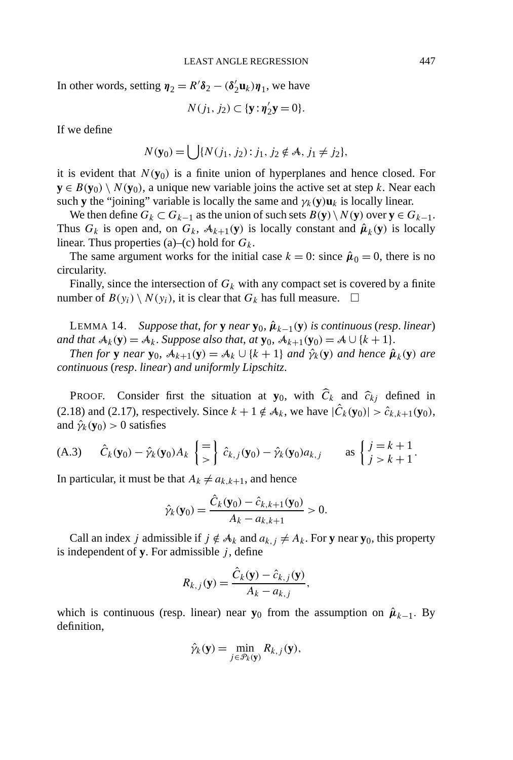In other words, setting  $\eta_2 = R' \delta_2 - (\delta'_2 \mathbf{u}_k) \eta_1$ , we have

$$
N(j_1, j_2) \subset \{ \mathbf{y} : \mathbf{\eta}_2' \mathbf{y} = 0 \}.
$$

If we define

$$
N(\mathbf{y}_0) = \bigcup \{ N(j_1, j_2) : j_1, j_2 \notin \mathcal{A}, j_1 \neq j_2 \},\
$$

it is evident that  $N(\mathbf{v}_0)$  is a finite union of hyperplanes and hence closed. For **y** ∈ *B*(**y**<sub>0</sub>) \ *N*(**y**<sub>0</sub>), a unique new variable joins the active set at step *k*. Near each such **y** the "joining" variable is locally the same and  $\gamma_k(y)u_k$  is locally linear.

We then define  $G_k$  ⊂  $G_{k-1}$  as the union of such sets  $B(y) \setminus N(y)$  over  $y \in G_{k-1}$ . Thus  $G_k$  is open and, on  $G_k$ ,  $A_{k+1}(\mathbf{y})$  is locally constant and  $\hat{\boldsymbol{\mu}}_k(\mathbf{y})$  is locally linear. Thus properties (a)–(c) hold for  $G_k$ .

The same argument works for the initial case  $k = 0$ : since  $\hat{\mu}_0 = 0$ , there is no circularity.

Finally, since the intersection of  $G_k$  with any compact set is covered by a finite number of  $B(y_i) \setminus N(y_i)$ , it is clear that  $G_k$  has full measure.  $\Box$ 

LEMMA 14. *Suppose that, for* **y** *near* **y**<sub>0</sub>,  $\hat{\mu}_{k-1}(\mathbf{y})$  *is continuous (resp. linear) and that*  $A_k(y) = A_k$ . *Suppose also that*, *at*  $y_0$ ,  $A_{k+1}(y_0) = A \cup \{k+1\}$ .

*Then for* **y** *near* **y**<sub>0</sub>,  $A_{k+1}(\mathbf{y}) = A_k \cup \{k+1\}$  *and*  $\hat{\gamma}_k(\mathbf{y})$  *and hence*  $\hat{\mu}_k(\mathbf{y})$  *are continuous* (*resp*. *linear*) *and uniformly Lipschitz*.

PROOF. Consider first the situation at **y**<sub>0</sub>, with  $\overrightarrow{C}_k$  and  $\widehat{C}_{kj}$  defined in (2.18) and (2.17), respectively. Since  $k + 1 \notin A_k$ , we have  $|\hat{C}_k(\mathbf{y}_0)| > \hat{c}_{k,k+1}(\mathbf{y}_0)$ , and  $\hat{\gamma}_k(\mathbf{y}_0) > 0$  satisfies

(A.3) 
$$
\hat{C}_k(\mathbf{y}_0) - \hat{\gamma}_k(\mathbf{y}_0) A_k \left\{ \begin{matrix} = \\ > \end{matrix} \right\} \hat{c}_{k,j}(\mathbf{y}_0) - \hat{\gamma}_k(\mathbf{y}_0) a_{k,j} \quad \text{as } \begin{cases} j = k+1 \\ j > k+1 \end{cases}.
$$

In particular, it must be that  $A_k \neq a_{k,k+1}$ , and hence

$$
\hat{\gamma}_k(\mathbf{y}_0) = \frac{\hat{C}_k(\mathbf{y}_0) - \hat{c}_{k,k+1}(\mathbf{y}_0)}{A_k - a_{k,k+1}} > 0.
$$

Call an index *j* admissible if  $j \notin A_k$  and  $a_{k,j} \neq A_k$ . For **y** near **y**<sub>0</sub>, this property is independent of  $\bf{y}$ . For admissible  $j$ , define

$$
R_{k,j}(\mathbf{y}) = \frac{\hat{C}_k(\mathbf{y}) - \hat{c}_{k,j}(\mathbf{y})}{A_k - a_{k,j}},
$$

which is continuous (resp. linear) near **y**<sub>0</sub> from the assumption on  $\hat{\mu}_{k-1}$ . By definition,

$$
\hat{\gamma}_k(\mathbf{y}) = \min_{j \in \mathcal{P}_k(\mathbf{y})} R_{k,j}(\mathbf{y}),
$$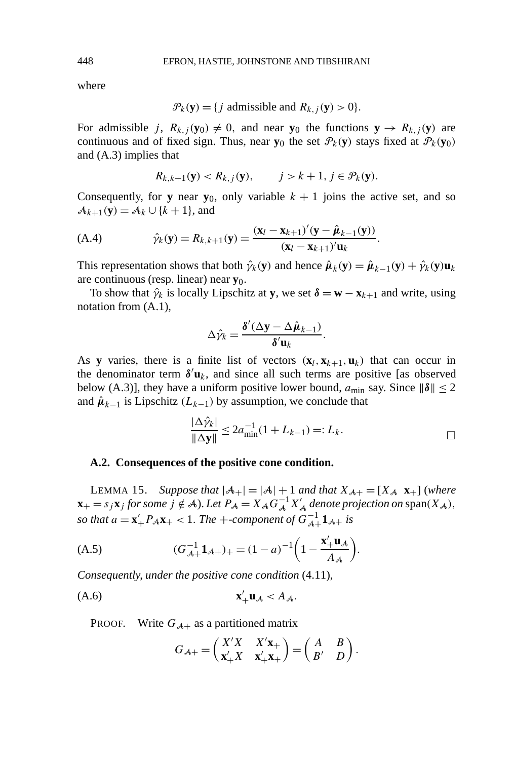where

$$
\mathcal{P}_k(\mathbf{y}) = \{ j \text{ admissible and } R_{k,j}(\mathbf{y}) > 0 \}.
$$

For admissible *j*,  $R_{k,j}(\mathbf{y}_0) \neq 0$ , and near  $\mathbf{y}_0$  the functions  $\mathbf{y} \to R_{k,j}(\mathbf{y})$  are continuous and of fixed sign. Thus, near  $\mathbf{y}_0$  the set  $\mathcal{P}_k(\mathbf{y})$  stays fixed at  $\mathcal{P}_k(\mathbf{y}_0)$ and (A.3) implies that

$$
R_{k,k+1}(\mathbf{y}) < R_{k,j}(\mathbf{y}), \qquad j > k+1, \, j \in \mathcal{P}_k(\mathbf{y}).
$$

Consequently, for **y** near **y**<sub>0</sub>, only variable  $k + 1$  joins the active set, and so  $\mathcal{A}_{k+1}(\mathbf{y}) = \mathcal{A}_k \cup \{k+1\}$ , and

(A.4) 
$$
\hat{\gamma}_k(\mathbf{y}) = R_{k,k+1}(\mathbf{y}) = \frac{(\mathbf{x}_l - \mathbf{x}_{k+1})'(\mathbf{y} - \hat{\boldsymbol{\mu}}_{k-1}(\mathbf{y}))}{(\mathbf{x}_l - \mathbf{x}_{k+1})' \mathbf{u}_k}.
$$

This representation shows that both  $\hat{\gamma}_k(\mathbf{y})$  and hence  $\hat{\mu}_k(\mathbf{y}) = \hat{\mu}_{k-1}(\mathbf{y}) + \hat{\gamma}_k(\mathbf{y})\mathbf{u}_k$ are continuous (resp. linear) near **y**0.

To show that  $\hat{\gamma}_k$  is locally Lipschitz at **y**, we set  $\delta = \mathbf{w} - \mathbf{x}_{k+1}$  and write, using notation from (A.1),

$$
\Delta \hat{\gamma}_k = \frac{\delta'(\Delta \mathbf{y} - \Delta \hat{\boldsymbol{\mu}}_{k-1})}{\delta' \mathbf{u}_k}.
$$

As **y** varies, there is a finite list of vectors  $(\mathbf{x}_l, \mathbf{x}_{k+1}, \mathbf{u}_k)$  that can occur in the denominator term  $\delta'$ **u**<sub>k</sub>, and since all such terms are positive [as observed below (A.3)], they have a uniform positive lower bound,  $a_{\text{min}}$  say. Since  $\|\delta\| \leq 2$ and  $\hat{\mu}_{k-1}$  is Lipschitz  $(L_{k-1})$  by assumption, we conclude that

$$
\frac{|\Delta \hat{\gamma}_k|}{\|\Delta \mathbf{y}\|} \le 2a_{\min}^{-1}(1 + L_{k-1}) =: L_k.
$$

### **A.2. Consequences of the positive cone condition.**

LEMMA 15. *Suppose that*  $|\mathcal{A}_+| = |\mathcal{A}| + 1$  *and that*  $X_{\mathcal{A}_+} = [X_{\mathcal{A}} \mathbf{x}_+]$  (where  $\mathbf{x}_{+} = s_j \mathbf{x}_j$  *for some*  $j \notin A$ ). Let  $P_A = X_A G_A^{-1} X'_A$  denote projection on span $(X_A)$ , *so that*  $a = \mathbf{x}'_+ P_A \mathbf{x}_+ < 1$ *. The* +-component of  $G_{A+}^{-1} \mathbf{1}_{A+}$  *is* 

(A.5) 
$$
(G_{\mathcal{A}+}^{-1}1_{\mathcal{A}+})_{+} = (1-a)^{-1} \left(1 - \frac{\mathbf{x}'_{+} \mathbf{u}_{\mathcal{A}}}{A_{\mathcal{A}}}\right).
$$

*Consequently*, *under the positive cone condition* (4.11),

$$
\mathbf{X}'_+ \mathbf{u}_A < A_A.
$$

PROOF. Write  $G_{A+}$  as a partitioned matrix

$$
G_{\mathcal{A}+} = \begin{pmatrix} X'X & X'\mathbf{x}_+ \\ \mathbf{x}'_+X & \mathbf{x}'_+\mathbf{x}_+ \end{pmatrix} = \begin{pmatrix} A & B \\ B' & D \end{pmatrix}.
$$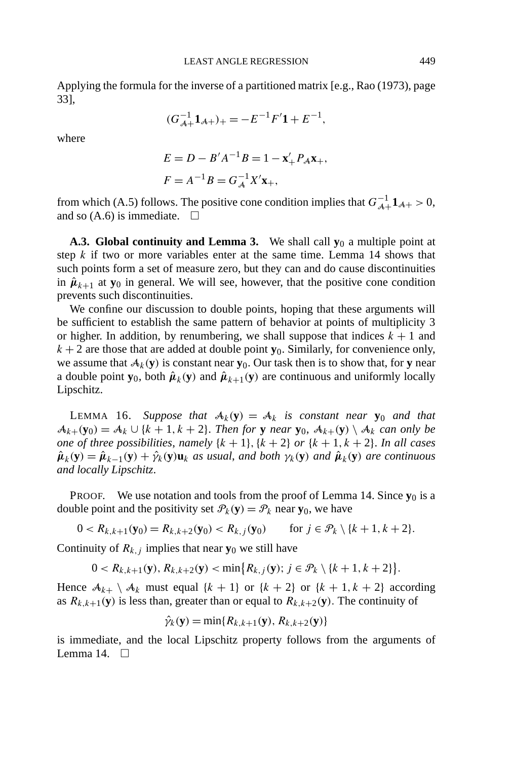Applying the formula for the inverse of a partitioned matrix [e.g., Rao (1973), page 33],

$$
(G_{\mathcal{A}+}^{-1}1_{\mathcal{A}+})_{+} = -E^{-1}F'1 + E^{-1},
$$

where

$$
E = D - B'A^{-1}B = 1 - \mathbf{x}'_+ P_A \mathbf{x}_+, F = A^{-1}B = G_A^{-1} X' \mathbf{x}_+,
$$

from which (A.5) follows. The positive cone condition implies that  $G_{\mathcal{A}+}^{-1} \mathbf{1}_{\mathcal{A}+} > 0$ , and so (A.6) is immediate.  $\square$ 

**A.3. Global continuity and Lemma 3.** We shall call **y**<sub>0</sub> a multiple point at step *k* if two or more variables enter at the same time. Lemma 14 shows that such points form a set of measure zero, but they can and do cause discontinuities in  $\hat{\mu}_{k+1}$  at  $y_0$  in general. We will see, however, that the positive cone condition prevents such discontinuities.

We confine our discussion to double points, hoping that these arguments will be sufficient to establish the same pattern of behavior at points of multiplicity 3 or higher. In addition, by renumbering, we shall suppose that indices  $k + 1$  and  $k + 2$  are those that are added at double point **y**<sub>0</sub>. Similarly, for convenience only, we assume that  $A_k(y)$  is constant near  $y_0$ . Our task then is to show that, for **y** near a double point  $\mathbf{y}_0$ , both  $\hat{\boldsymbol{\mu}}_k(\mathbf{y})$  and  $\hat{\boldsymbol{\mu}}_{k+1}(\mathbf{y})$  are continuous and uniformly locally Lipschitz.

LEMMA 16. Suppose that  $A_k(y) = A_k$  is constant near  $y_0$  and that  $A_{k+}(\mathbf{y}_0) = A_k \cup \{k+1, k+2\}$ . Then for **y** near **y**<sub>0</sub>,  $A_{k+}(\mathbf{y}) \setminus A_k$  can only be *one of three possibilities, namely*  $\{k+1\}$ ,  $\{k+2\}$  *or*  $\{k+1, k+2\}$ *. In all cases*  $\hat{\boldsymbol{\mu}}_k(\mathbf{y}) = \hat{\boldsymbol{\mu}}_{k-1}(\mathbf{y}) + \hat{\gamma}_k(\mathbf{y})\mathbf{u}_k$  as usual, and both  $\gamma_k(\mathbf{y})$  and  $\hat{\boldsymbol{\mu}}_k(\mathbf{y})$  are continuous *and locally Lipschitz*.

**PROOF.** We use notation and tools from the proof of Lemma 14. Since  $y_0$  is a double point and the positivity set  $\mathcal{P}_k(\mathbf{y}) = \mathcal{P}_k$  near  $\mathbf{y}_0$ , we have

$$
0 < R_{k,k+1}(\mathbf{y}_0) = R_{k,k+2}(\mathbf{y}_0) < R_{k,j}(\mathbf{y}_0) \quad \text{for } j \in \mathcal{P}_k \setminus \{k+1, k+2\}.
$$

Continuity of  $R_{k,j}$  implies that near  $y_0$  we still have

$$
0 < R_{k,k+1}(\mathbf{y}), R_{k,k+2}(\mathbf{y}) < \min\{R_{k,j}(\mathbf{y}); j \in \mathcal{P}_k \setminus \{k+1, k+2\}\}.
$$

Hence  $A_{k+} \setminus A_k$  must equal  $\{k+1\}$  or  $\{k+2\}$  or  $\{k+1, k+2\}$  according as  $R_{k,k+1}(\mathbf{y})$  is less than, greater than or equal to  $R_{k,k+2}(\mathbf{y})$ . The continuity of

$$
\hat{\gamma}_k(\mathbf{y}) = \min\{R_{k,k+1}(\mathbf{y}), R_{k,k+2}(\mathbf{y})\}
$$

is immediate, and the local Lipschitz property follows from the arguments of Lemma 14.  $\Box$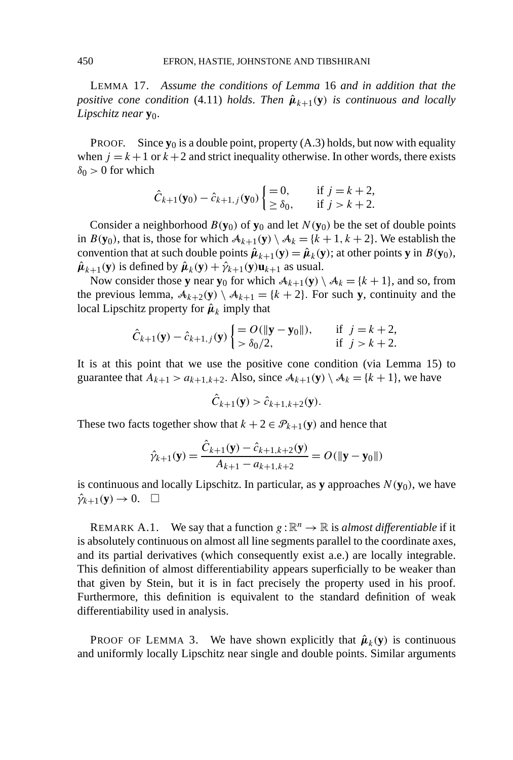LEMMA 17. *Assume the conditions of Lemma* 16 *and in addition that the positive cone condition* (4.11) *holds*. *Then*  $\hat{\mu}_{k+1}(\mathbf{y})$  *is continuous and locally Lipschitz near* **v**<sub>0</sub>*.* 

**PROOF.** Since  $y_0$  is a double point, property  $(A.3)$  holds, but now with equality when  $j = k + 1$  or  $k + 2$  and strict inequality otherwise. In other words, there exists  $\delta_0 > 0$  for which

$$
\hat{C}_{k+1}(\mathbf{y}_0) - \hat{c}_{k+1,j}(\mathbf{y}_0) \begin{cases} = 0, & \text{if } j = k+2, \\ \ge \delta_0, & \text{if } j > k+2. \end{cases}
$$

Consider a neighborhood  $B(y_0)$  of  $y_0$  and let  $N(y_0)$  be the set of double points in *B*(**y**<sub>0</sub>), that is, those for which  $A_{k+1}(\mathbf{y}) \setminus A_k = \{k+1, k+2\}$ . We establish the convention that at such double points  $\hat{\mu}_{k+1}(\mathbf{y}) = \hat{\mu}_k(\mathbf{y})$ ; at other points **y** in  $B(\mathbf{y}_0)$ ,  $\hat{\boldsymbol{\mu}}_{k+1}(\mathbf{y})$  is defined by  $\hat{\boldsymbol{\mu}}_k(\mathbf{y}) + \hat{\gamma}_{k+1}(\mathbf{y})\mathbf{u}_{k+1}$  as usual.

Now consider those **y** near **y**<sub>0</sub> for which  $A_{k+1}(\mathbf{y}) \setminus A_k = \{k+1\}$ , and so, from the previous lemma,  $A_{k+2}(\mathbf{y}) \setminus A_{k+1} = \{k+2\}$ . For such **y**, continuity and the local Lipschitz property for  $\hat{\mu}_k$  imply that

$$
\hat{C}_{k+1}(\mathbf{y}) - \hat{c}_{k+1,j}(\mathbf{y}) \begin{cases} = O(\|\mathbf{y} - \mathbf{y}_0\|), & \text{if } j = k+2, \\ > \delta_0/2, & \text{if } j > k+2. \end{cases}
$$

It is at this point that we use the positive cone condition (via Lemma 15) to guarantee that  $A_{k+1} > a_{k+1,k+2}$ . Also, since  $A_{k+1}(\mathbf{y}) \setminus A_k = \{k+1\}$ , we have

$$
\hat{C}_{k+1}(\mathbf{y}) > \hat{c}_{k+1,k+2}(\mathbf{y}).
$$

These two facts together show that  $k + 2 \in \mathcal{P}_{k+1}(\mathbf{y})$  and hence that

$$
\hat{\gamma}_{k+1}(\mathbf{y}) = \frac{\hat{C}_{k+1}(\mathbf{y}) - \hat{c}_{k+1,k+2}(\mathbf{y})}{A_{k+1} - a_{k+1,k+2}} = O(\|\mathbf{y} - \mathbf{y}_0\|)
$$

is continuous and locally Lipschitz. In particular, as **y** approaches  $N(y_0)$ , we have  $\hat{\gamma}_{k+1}(\mathbf{y}) \to 0.$   $\Box$ 

REMARK A.1. We say that a function  $g : \mathbb{R}^n \to \mathbb{R}$  is *almost differentiable* if it is absolutely continuous on almost all line segments parallel to the coordinate axes, and its partial derivatives (which consequently exist a.e.) are locally integrable. This definition of almost differentiability appears superficially to be weaker than that given by Stein, but it is in fact precisely the property used in his proof. Furthermore, this definition is equivalent to the standard definition of weak differentiability used in analysis.

PROOF OF LEMMA 3. We have shown explicitly that  $\hat{\mu}_k(y)$  is continuous and uniformly locally Lipschitz near single and double points. Similar arguments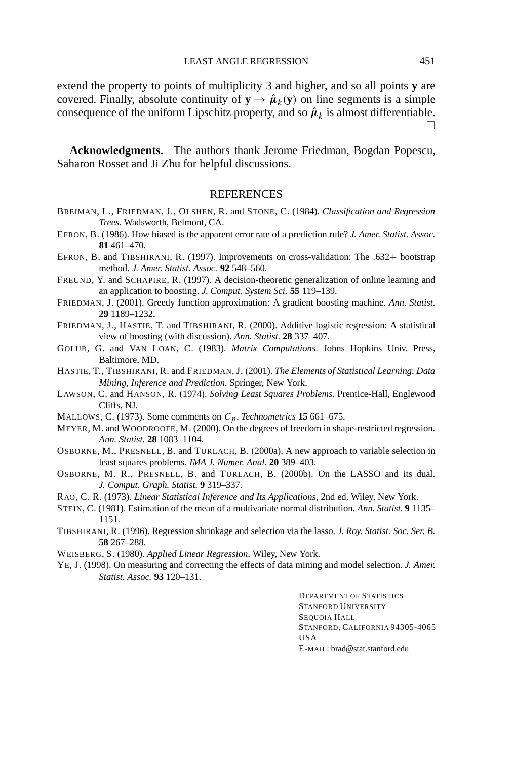extend the property to points of multiplicity 3 and higher, and so all points **y** are covered. Finally, absolute continuity of  $y \rightarrow \hat{\mu}_k(y)$  on line segments is a simple consequence of the uniform Lipschitz property, and so  $\hat{\mu}_k$  is almost differentiable.  $\Box$ 

**Acknowledgments.** The authors thank Jerome Friedman, Bogdan Popescu, Saharon Rosset and Ji Zhu for helpful discussions.

### REFERENCES

- BREIMAN, L., FRIEDMAN, J., OLSHEN, R. and STONE, C. (1984). *Classification and Regression Trees*. Wadsworth, Belmont, CA.
- EFRON, B. (1986). How biased is the apparent error rate of a prediction rule? *J. Amer. Statist. Assoc.* **81** 461–470.
- EFRON, B. and TIBSHIRANI, R. (1997). Improvements on cross-validation: The *.*632+ bootstrap method. *J. Amer. Statist. Assoc.* **92** 548–560.
- FREUND, Y. and SCHAPIRE, R. (1997). A decision-theoretic generalization of online learning and an application to boosting. *J. Comput. System Sci.* **55** 119–139.
- FRIEDMAN, J. (2001). Greedy function approximation: A gradient boosting machine. *Ann. Statist.* **29** 1189–1232.
- FRIEDMAN, J., HASTIE, T. and TIBSHIRANI, R. (2000). Additive logistic regression: A statistical view of boosting (with discussion). *Ann. Statist.* **28** 337–407.
- GOLUB, G. and VAN LOAN, C. (1983). *Matrix Computations*. Johns Hopkins Univ. Press, Baltimore, MD.
- HASTIE, T., TIBSHIRANI, R. and FRIEDMAN, J. (2001). *The Elements of Statistical Learning*: *Data Mining*, *Inference and Prediction*. Springer, New York.
- LAWSON, C. and HANSON, R. (1974). *Solving Least Squares Problems*. Prentice-Hall, Englewood Cliffs, NJ.
- MALLOWS, C. (1973). Some comments on *Cp*. *Technometrics* **15** 661–675.
- MEYER, M. and WOODROOFE, M. (2000). On the degrees of freedom in shape-restricted regression. *Ann. Statist.* **28** 1083–1104.
- OSBORNE, M., PRESNELL, B. and TURLACH, B. (2000a). A new approach to variable selection in least squares problems. *IMA J. Numer. Anal.* **20** 389–403.
- OSBORNE, M. R., PRESNELL, B. and TURLACH, B. (2000b). On the LASSO and its dual. *J. Comput. Graph. Statist.* **9** 319–337.
- RAO, C. R. (1973). *Linear Statistical Inference and Its Applications*, 2nd ed. Wiley, New York.
- STEIN, C. (1981). Estimation of the mean of a multivariate normal distribution. *Ann. Statist.* **9** 1135– 1151.
- TIBSHIRANI, R. (1996). Regression shrinkage and selection via the lasso. *J. Roy. Statist. Soc. Ser. B.* **58** 267–288.
- WEISBERG, S. (1980). *Applied Linear Regression*. Wiley, New York.
- YE, J. (1998). On measuring and correcting the effects of data mining and model selection. *J. Amer. Statist. Assoc.* **93** 120–131.

DEPARTMENT OF STATISTICS STANFORD UNIVERSITY SEQUOIA HALL STANFORD, CALIFORNIA 94305-4065 **IISA** E-MAIL: brad@stat.stanford.edu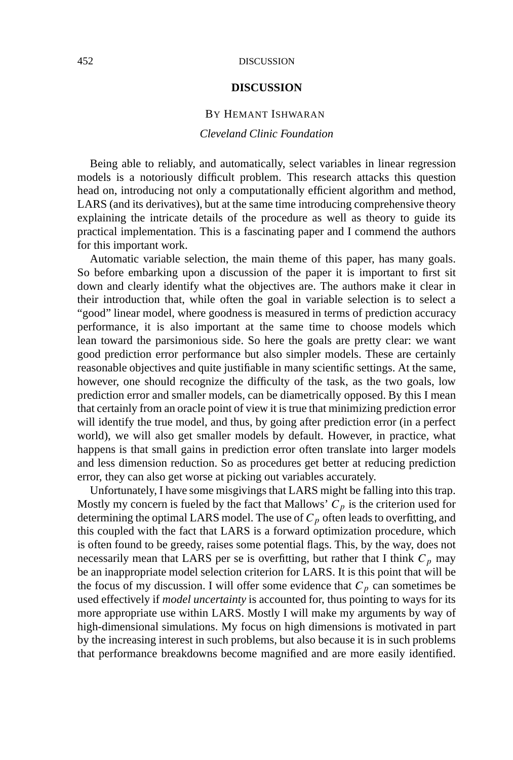### 452 DISCUSSION

## **DISCUSSION**

# BY HEMANT ISHWARAN

### *Cleveland Clinic Foundation*

Being able to reliably, and automatically, select variables in linear regression models is a notoriously difficult problem. This research attacks this question head on, introducing not only a computationally efficient algorithm and method, LARS (and its derivatives), but at the same time introducing comprehensive theory explaining the intricate details of the procedure as well as theory to guide its practical implementation. This is a fascinating paper and I commend the authors for this important work.

Automatic variable selection, the main theme of this paper, has many goals. So before embarking upon a discussion of the paper it is important to first sit down and clearly identify what the objectives are. The authors make it clear in their introduction that, while often the goal in variable selection is to select a "good" linear model, where goodness is measured in terms of prediction accuracy performance, it is also important at the same time to choose models which lean toward the parsimonious side. So here the goals are pretty clear: we want good prediction error performance but also simpler models. These are certainly reasonable objectives and quite justifiable in many scientific settings. At the same, however, one should recognize the difficulty of the task, as the two goals, low prediction error and smaller models, can be diametrically opposed. By this I mean that certainly from an oracle point of view it is true that minimizing prediction error will identify the true model, and thus, by going after prediction error (in a perfect world), we will also get smaller models by default. However, in practice, what happens is that small gains in prediction error often translate into larger models and less dimension reduction. So as procedures get better at reducing prediction error, they can also get worse at picking out variables accurately.

Unfortunately, I have some misgivings that LARS might be falling into this trap. Mostly my concern is fueled by the fact that Mallows'  $C_p$  is the criterion used for determining the optimal LARS model. The use of  $C_p$  often leads to overfitting, and this coupled with the fact that LARS is a forward optimization procedure, which is often found to be greedy, raises some potential flags. This, by the way, does not necessarily mean that LARS per se is overfitting, but rather that I think  $C_p$  may be an inappropriate model selection criterion for LARS. It is this point that will be the focus of my discussion. I will offer some evidence that  $C_p$  can sometimes be used effectively if *model uncertainty* is accounted for, thus pointing to ways for its more appropriate use within LARS. Mostly I will make my arguments by way of high-dimensional simulations. My focus on high dimensions is motivated in part by the increasing interest in such problems, but also because it is in such problems that performance breakdowns become magnified and are more easily identified.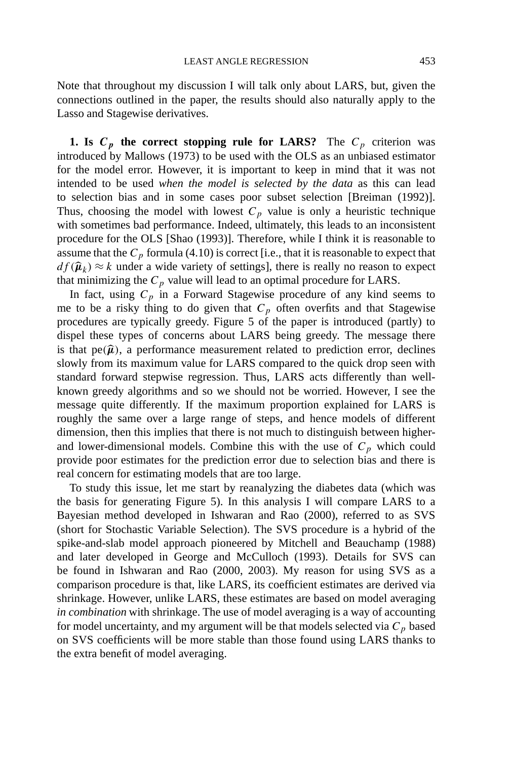Note that throughout my discussion I will talk only about LARS, but, given the connections outlined in the paper, the results should also naturally apply to the Lasso and Stagewise derivatives.

**1.** Is  $C_p$  the correct stopping rule for LARS? The  $C_p$  criterion was introduced by Mallows (1973) to be used with the OLS as an unbiased estimator for the model error. However, it is important to keep in mind that it was not intended to be used *when the model is selected by the data* as this can lead to selection bias and in some cases poor subset selection [Breiman (1992)]. Thus, choosing the model with lowest  $C_p$  value is only a heuristic technique with sometimes bad performance. Indeed, ultimately, this leads to an inconsistent procedure for the OLS [Shao (1993)]. Therefore, while I think it is reasonable to assume that the  $C_p$  formula (4.10) is correct [i.e., that it is reasonable to expect that  $df(\hat{\boldsymbol{\mu}}_k) \approx k$  under a wide variety of settings], there is really no reason to expect  $\mu_f$  ( $\mu_k$ )  $\sim \kappa$  under a wide variety of settings], there is really no reason to<br>that minimizing the  $C_p$  value will lead to an optimal procedure for LARS.

In fact, using  $C_p$  in a Forward Stagewise procedure of any kind seems to me to be a risky thing to do given that  $C_p$  often overfits and that Stagewise procedures are typically greedy. Figure 5 of the paper is introduced (partly) to dispel these types of concerns about LARS being greedy. The message there is that  $pe(\hat{\boldsymbol{\mu}})$ , a performance measurement related to prediction error, declines slowly from its maximum value for LARS compared to the quick drop seen with standard forward stepwise regression. Thus, LARS acts differently than wellknown greedy algorithms and so we should not be worried. However, I see the message quite differently. If the maximum proportion explained for LARS is roughly the same over a large range of steps, and hence models of different dimension, then this implies that there is not much to distinguish between higherand lower-dimensional models. Combine this with the use of  $C_p$  which could provide poor estimates for the prediction error due to selection bias and there is real concern for estimating models that are too large.

To study this issue, let me start by reanalyzing the diabetes data (which was the basis for generating Figure 5). In this analysis I will compare LARS to a Bayesian method developed in Ishwaran and Rao (2000), referred to as SVS (short for Stochastic Variable Selection). The SVS procedure is a hybrid of the spike-and-slab model approach pioneered by Mitchell and Beauchamp (1988) and later developed in George and McCulloch (1993). Details for SVS can be found in Ishwaran and Rao (2000, 2003). My reason for using SVS as a comparison procedure is that, like LARS, its coefficient estimates are derived via shrinkage. However, unlike LARS, these estimates are based on model averaging *in combination* with shrinkage. The use of model averaging is a way of accounting for model uncertainty, and my argument will be that models selected via  $C_p$  based on SVS coefficients will be more stable than those found using LARS thanks to the extra benefit of model averaging.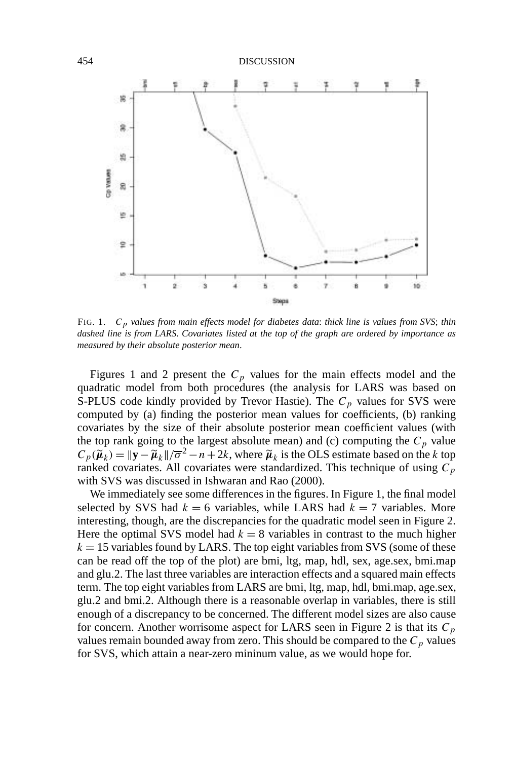

FIG. 1. *Cp values from main effects model for diabetes data*: *thick line is values from SVS*; *thin dashed line is from LARS*. *Covariates listed at the top of the graph are ordered by importance as measured by their absolute posterior mean*.

Figures 1 and 2 present the  $C_p$  values for the main effects model and the quadratic model from both procedures (the analysis for LARS was based on S-PLUS code kindly provided by Trevor Hastie). The  $C_p$  values for SVS were computed by (a) finding the posterior mean values for coefficients, (b) ranking covariates by the size of their absolute posterior mean coefficient values (with the top rank going to the largest absolute mean) and (c) computing the  $C_p$  value  $C_p(\widetilde{\mu}_k) = ||\mathbf{y} - \widetilde{\mu}_k||/\overline{\sigma}^2 - n + 2k$ , where  $\widetilde{\mu}_k$  is the OLS estimate based on the *k* top ranked covariates. All covariates were standardized. This technique of using  $C_p$ with SVS was discussed in Ishwaran and Rao (2000).

We immediately see some differences in the figures. In Figure 1, the final model selected by SVS had  $k = 6$  variables, while LARS had  $k = 7$  variables. More interesting, though, are the discrepancies for the quadratic model seen in Figure 2. Here the optimal SVS model had  $k = 8$  variables in contrast to the much higher  $k = 15$  variables found by LARS. The top eight variables from SVS (some of these can be read off the top of the plot) are bmi, ltg, map, hdl, sex, age.sex, bmi.map and glu.2. The last three variables are interaction effects and a squared main effects term. The top eight variables from LARS are bmi, ltg, map, hdl, bmi.map, age.sex, glu.2 and bmi.2. Although there is a reasonable overlap in variables, there is still enough of a discrepancy to be concerned. The different model sizes are also cause for concern. Another worrisome aspect for LARS seen in Figure 2 is that its  $C_p$ values remain bounded away from zero. This should be compared to the  $C_p$  values for SVS, which attain a near-zero mininum value, as we would hope for.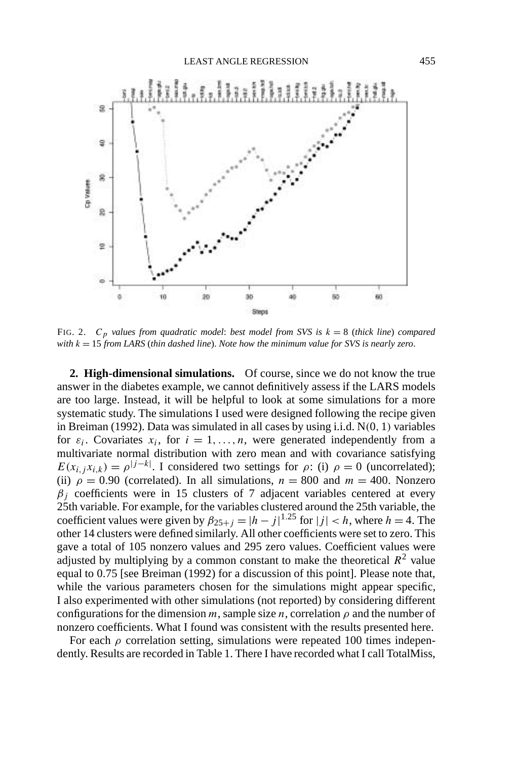

FIG. 2. *Cp values from quadratic model*: *best model from SVS is k* = 8 (*thick line*) *compared with k* = 15 *from LARS* (*thin dashed line*). *Note how the minimum value for SVS is nearly zero*.

**2. High-dimensional simulations.** Of course, since we do not know the true answer in the diabetes example, we cannot definitively assess if the LARS models are too large. Instead, it will be helpful to look at some simulations for a more systematic study. The simulations I used were designed following the recipe given in Breiman (1992). Data was simulated in all cases by using i.i.d. N*(*0*,* 1*)* variables for  $\varepsilon_i$ . Covariates  $x_i$ , for  $i = 1, \ldots, n$ , were generated independently from a multivariate normal distribution with zero mean and with covariance satisfying  $E(x_i, jx_i, k) = \rho^{|j-k|}$ . I considered two settings for  $\rho$ : (i)  $\rho = 0$  (uncorrelated); (ii)  $\rho = 0.90$  (correlated). In all simulations,  $n = 800$  and  $m = 400$ . Nonzero  $\beta_i$  coefficients were in 15 clusters of 7 adjacent variables centered at every 25th variable. For example, for the variables clustered around the 25th variable, the coefficient values were given by  $\beta_{25+j} = |h-j|^{1.25}$  for  $|j| < h$ , where  $h = 4$ . The other 14 clusters were defined similarly. All other coefficients were set to zero. This gave a total of 105 nonzero values and 295 zero values. Coefficient values were adjusted by multiplying by a common constant to make the theoretical  $R^2$  value equal to 0.75 [see Breiman (1992) for a discussion of this point]. Please note that, while the various parameters chosen for the simulations might appear specific, I also experimented with other simulations (not reported) by considering different configurations for the dimension  $m$ , sample size  $n$ , correlation  $\rho$  and the number of nonzero coefficients. What I found was consistent with the results presented here.

For each  $\rho$  correlation setting, simulations were repeated 100 times independently. Results are recorded in Table 1. There I have recorded what I call TotalMiss,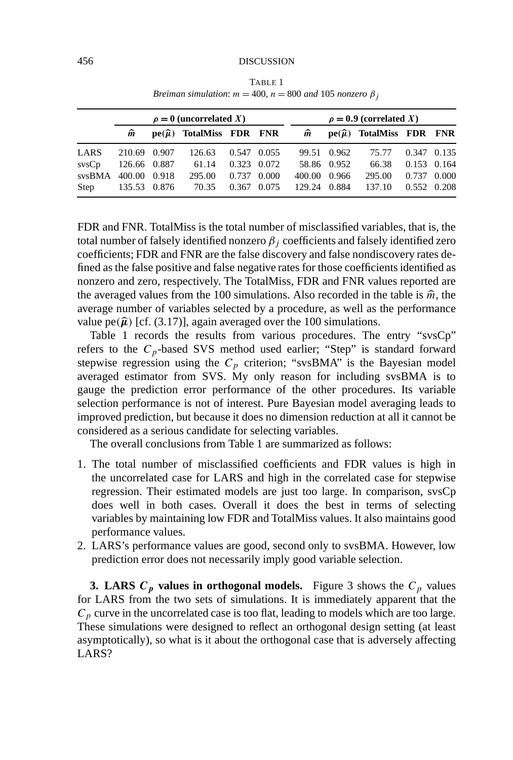#### 456 DISCUSSION

|             | $\rho = 0$ (uncorrelated X) |  |                                   |       |             | $\rho = 0.9$ (correlated X) |             |                               |                 |       |  |
|-------------|-----------------------------|--|-----------------------------------|-------|-------------|-----------------------------|-------------|-------------------------------|-----------------|-------|--|
|             | m                           |  | $pe(\hat{\mu})$ TotalMiss FDR FNR |       |             | m                           |             | $pe(\hat{\mu})$ TotalMiss FDR |                 | FNR   |  |
| LARS        | 210.69 0.907                |  | 126.63                            |       | 0.547 0.055 |                             | 99.51 0.962 | 75.77                         | 0.347 0.135     |       |  |
| svsCp       | 126.66 0.887                |  | 61.14                             |       | 0.323 0.072 |                             | 58.86 0.952 | 66.38                         | $0.153$ $0.164$ |       |  |
| svsBMA      | 400.00 0.918                |  | 295.00                            | 0.737 | 0.000       | 400.00                      | 0.966       | 295.00                        | 0.737           | 0.000 |  |
| <b>Step</b> | 135.53 0.876                |  | 70.35                             | 0.367 | 0.075       | 129.24                      | 0.884       | 137.10                        | 0.552 0.208     |       |  |

TABLE 1 *Breiman simulation:*  $m = 400$ ,  $n = 800$  *and* 105 *nonzero*  $\beta_i$ 

FDR and FNR. TotalMiss is the total number of misclassified variables, that is, the total number of falsely identified nonzero  $\beta_j$  coefficients and falsely identified zero coefficients; FDR and FNR are the false discovery and false nondiscovery rates defined as the false positive and false negative rates for those coefficients identified as nonzero and zero, respectively. The TotalMiss, FDR and FNR values reported are the averaged values from the 100 simulations. Also recorded in the table is  $\hat{m}$ , the average number of variables selected by a procedure, as well as the performance value pe $(\hat{\boldsymbol{\mu}})$  [cf. (3.17)], again averaged over the 100 simulations.

Table 1 records the results from various procedures. The entry "svsCp" refers to the *Cp*-based SVS method used earlier; "Step" is standard forward stepwise regression using the  $C_p$  criterion; "svsBMA" is the Bayesian model averaged estimator from SVS. My only reason for including svsBMA is to gauge the prediction error performance of the other procedures. Its variable selection performance is not of interest. Pure Bayesian model averaging leads to improved prediction, but because it does no dimension reduction at all it cannot be considered as a serious candidate for selecting variables.

The overall conclusions from Table 1 are summarized as follows:

- 1. The total number of misclassified coefficients and FDR values is high in the uncorrelated case for LARS and high in the correlated case for stepwise regression. Their estimated models are just too large. In comparison, svsCp does well in both cases. Overall it does the best in terms of selecting variables by maintaining low FDR and TotalMiss values. It also maintains good performance values.
- 2. LARS's performance values are good, second only to svsBMA. However, low prediction error does not necessarily imply good variable selection.

**3. LARS**  $C_p$  values in orthogonal models. Figure 3 shows the  $C_p$  values for LARS from the two sets of simulations. It is immediately apparent that the  $C_p$  curve in the uncorrelated case is too flat, leading to models which are too large. These simulations were designed to reflect an orthogonal design setting (at least asymptotically), so what is it about the orthogonal case that is adversely affecting LARS?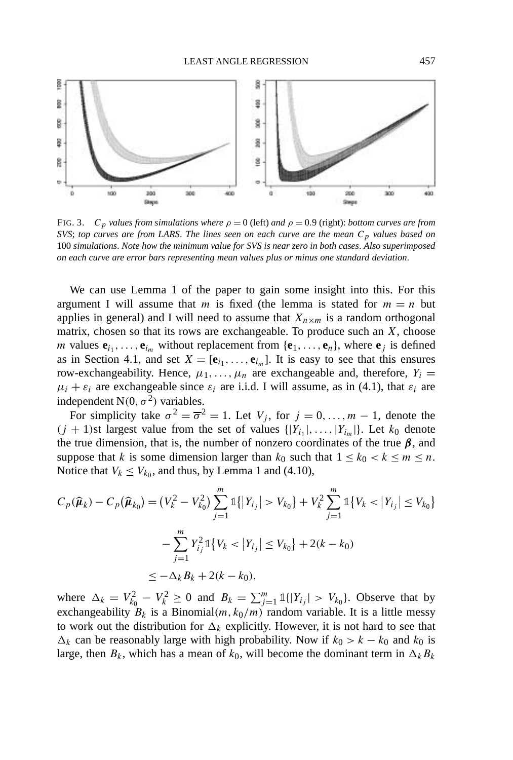

FIG. 3. *Cp values from simulations where ρ* = 0 (left) *and ρ* = 0*.*9 (right): *bottom curves are from SVS*; *top curves are from LARS. The lines seen on each curve are the mean*  $C_p$  *values based on* 100 *simulations*. *Note how the minimum value for SVS is near zero in both cases*. *Also superimposed on each curve are error bars representing mean values plus or minus one standard deviation*.

We can use Lemma 1 of the paper to gain some insight into this. For this argument I will assume that *m* is fixed (the lemma is stated for  $m = n$  but applies in general) and I will need to assume that  $X_{n\times m}$  is a random orthogonal matrix, chosen so that its rows are exchangeable. To produce such an *X*, choose *m* values  $\mathbf{e}_{i_1}, \ldots, \mathbf{e}_{i_m}$  without replacement from  $\{\mathbf{e}_1, \ldots, \mathbf{e}_n\}$ , where  $\mathbf{e}_j$  is defined as in Section 4.1, and set  $X = [\mathbf{e}_{i_1}, \dots, \mathbf{e}_{i_m}]$ . It is easy to see that this ensures row-exchangeability. Hence,  $\mu_1, \ldots, \mu_n$  are exchangeable and, therefore,  $Y_i$  =  $\mu_i + \varepsilon_i$  are exchangeable since  $\varepsilon_i$  are i.i.d. I will assume, as in (4.1), that  $\varepsilon_i$  are independent  $N(0, \sigma^2)$  variables.

For simplicity take  $\sigma^2 = \overline{\sigma}^2 = 1$ . Let  $V_j$ , for  $j = 0, ..., m - 1$ , denote the  $(j + 1)$ st largest value from the set of values  $\{ |Y_{i_1}|, \ldots, |Y_{i_m}|\}$ . Let  $k_0$  denote the true dimension, that is, the number of nonzero coordinates of the true  $\beta$ , and suppose that *k* is some dimension larger than  $k_0$  such that  $1 \leq k_0 < k \leq m \leq n$ . Notice that  $V_k \leq V_{k_0}$ , and thus, by Lemma 1 and (4.10),

$$
C_p(\widehat{\mu}_k) - C_p(\widehat{\mu}_{k_0}) = (V_k^2 - V_{k_0}^2) \sum_{j=1}^m \mathbb{1}\{|Y_{i_j}| > V_{k_0}\} + V_k^2 \sum_{j=1}^m \mathbb{1}\{V_k < |Y_{i_j}| \le V_{k_0}\}
$$

$$
- \sum_{j=1}^m Y_{i_j}^2 \mathbb{1}\{V_k < |Y_{i_j}| \le V_{k_0}\} + 2(k - k_0)
$$

$$
\le -\Delta_k B_k + 2(k - k_0),
$$

where  $\Delta_k = V_{k_0}^2 - V_k^2 \ge 0$  and  $B_k = \sum_{j=1}^m \mathbb{1}\{|Y_{i_j}| > V_{k_0}\}\$ . Observe that by exchangeability  $B_k$  is a Binomial $(m, k_0/m)$  random variable. It is a little messy to work out the distribution for  $\Delta_k$  explicitly. However, it is not hard to see that  $\Delta_k$  can be reasonably large with high probability. Now if  $k_0 > k - k_0$  and  $k_0$  is large, then  $B_k$ , which has a mean of  $k_0$ , will become the dominant term in  $\Delta_k B_k$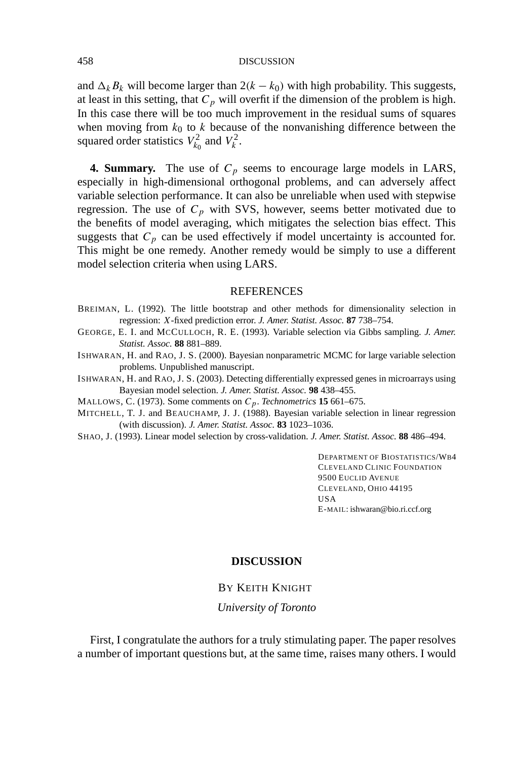### 458 DISCUSSION

and  $\Delta_k B_k$  will become larger than  $2(k - k_0)$  with high probability. This suggests, at least in this setting, that  $C_p$  will overfit if the dimension of the problem is high. In this case there will be too much improvement in the residual sums of squares when moving from  $k_0$  to  $k$  because of the nonvanishing difference between the squared order statistics  $V_{k_0}^2$  and  $V_k^2$ .

**4. Summary.** The use of  $C_p$  seems to encourage large models in LARS, especially in high-dimensional orthogonal problems, and can adversely affect variable selection performance. It can also be unreliable when used with stepwise regression. The use of  $C_p$  with SVS, however, seems better motivated due to the benefits of model averaging, which mitigates the selection bias effect. This suggests that  $C_p$  can be used effectively if model uncertainty is accounted for. This might be one remedy. Another remedy would be simply to use a different model selection criteria when using LARS.

#### **REFERENCES**

- BREIMAN, L. (1992). The little bootstrap and other methods for dimensionality selection in regression: *X*-fixed prediction error. *J. Amer. Statist. Assoc.* **87** 738–754.
- GEORGE, E. I. and MCCULLOCH, R. E. (1993). Variable selection via Gibbs sampling. *J. Amer. Statist. Assoc.* **88** 881–889.
- ISHWARAN, H. and RAO, J. S. (2000). Bayesian nonparametric MCMC for large variable selection problems. Unpublished manuscript.
- ISHWARAN, H. and RAO, J. S. (2003). Detecting differentially expressed genes in microarrays using Bayesian model selection. *J. Amer. Statist. Assoc.* **98** 438–455.
- MALLOWS, C. (1973). Some comments on *Cp*. *Technometrics* **15** 661–675.
- MITCHELL, T. J. and BEAUCHAMP, J. J. (1988). Bayesian variable selection in linear regression (with discussion). *J. Amer. Statist. Assoc.* **83** 1023–1036.
- SHAO, J. (1993). Linear model selection by cross-validation. *J. Amer. Statist. Assoc.* **88** 486–494.

DEPARTMENT OF BIOSTATISTICS/WB4 CLEVELAND CLINIC FOUNDATION 9500 EUCLID AVENUE CLEVELAND, OHIO 44195 USA E-MAIL: ishwaran@bio.ri.ccf.org

### **DISCUSSION**

# BY KEITH KNIGHT

### *University of Toronto*

First, I congratulate the authors for a truly stimulating paper. The paper resolves a number of important questions but, at the same time, raises many others. I would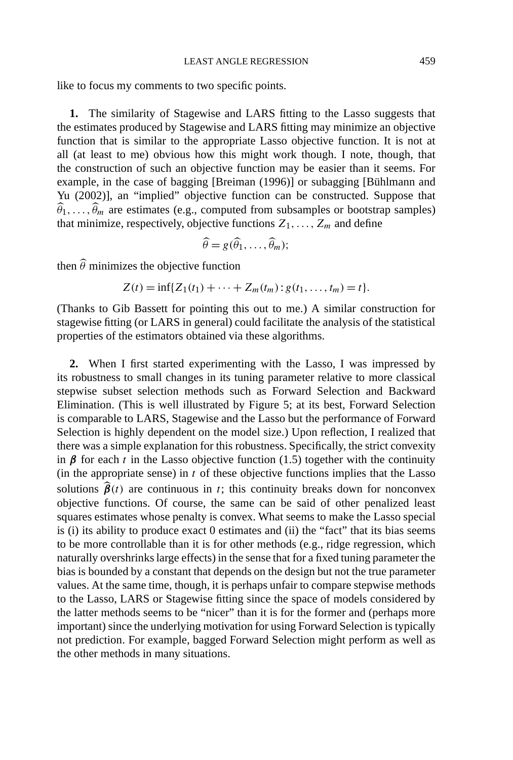like to focus my comments to two specific points.

**1.** The similarity of Stagewise and LARS fitting to the Lasso suggests that the estimates produced by Stagewise and LARS fitting may minimize an objective function that is similar to the appropriate Lasso objective function. It is not at all (at least to me) obvious how this might work though. I note, though, that the construction of such an objective function may be easier than it seems. For example, in the case of bagging [Breiman (1996)] or subagging [Bühlmann and Yu (2002)], an "implied" objective function can be constructed. Suppose that  $\hat{\theta}_1, \ldots, \hat{\theta}_m$  are estimates (e.g., computed from subsamples or bootstrap samples) that minimize, respectively, objective functions  $Z_1, \ldots, Z_m$  and define

$$
\widehat{\theta} = g(\widehat{\theta}_1, \ldots, \widehat{\theta}_m);
$$

then  $\theta$  minimizes the objective function

$$
Z(t) = \inf \{ Z_1(t_1) + \cdots + Z_m(t_m) : g(t_1, \ldots, t_m) = t \}.
$$

(Thanks to Gib Bassett for pointing this out to me.) A similar construction for stagewise fitting (or LARS in general) could facilitate the analysis of the statistical properties of the estimators obtained via these algorithms.

**2.** When I first started experimenting with the Lasso, I was impressed by its robustness to small changes in its tuning parameter relative to more classical stepwise subset selection methods such as Forward Selection and Backward Elimination. (This is well illustrated by Figure 5; at its best, Forward Selection is comparable to LARS, Stagewise and the Lasso but the performance of Forward Selection is highly dependent on the model size.) Upon reflection, I realized that there was a simple explanation for this robustness. Specifically, the strict convexity in  $\beta$  for each *t* in the Lasso objective function (1.5) together with the continuity (in the appropriate sense) in  $t$  of these objective functions implies that the Lasso solutions  $\beta(t)$  are continuous in *t*; this continuity breaks down for nonconvex objective functions. Of course, the same can be said of other penalized least squares estimates whose penalty is convex. What seems to make the Lasso special is (i) its ability to produce exact 0 estimates and (ii) the "fact" that its bias seems to be more controllable than it is for other methods (e.g., ridge regression, which naturally overshrinks large effects) in the sense that for a fixed tuning parameter the bias is bounded by a constant that depends on the design but not the true parameter values. At the same time, though, it is perhaps unfair to compare stepwise methods to the Lasso, LARS or Stagewise fitting since the space of models considered by the latter methods seems to be "nicer" than it is for the former and (perhaps more important) since the underlying motivation for using Forward Selection is typically not prediction. For example, bagged Forward Selection might perform as well as the other methods in many situations.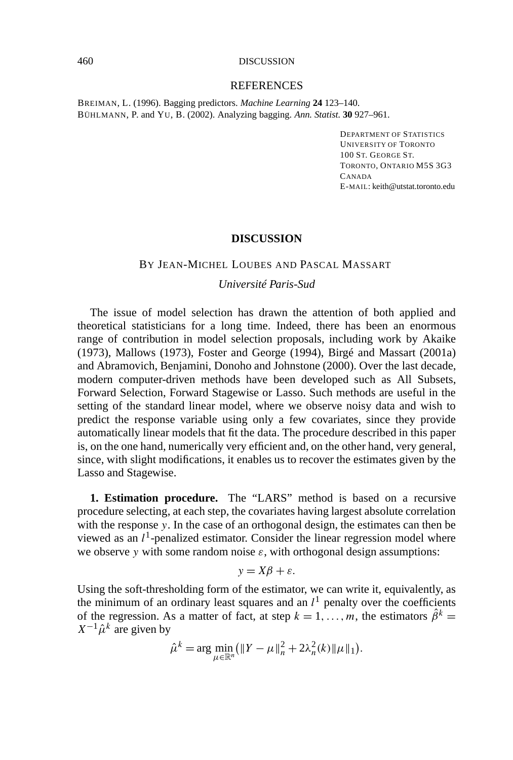#### 460 DISCUSSION

#### REFERENCES

BREIMAN, L. (1996). Bagging predictors. *Machine Learning* **24** 123–140. BÜHLMANN, P. and YU, B. (2002). Analyzing bagging. *Ann. Statist.* **30** 927–961.

> DEPARTMENT OF STATISTICS UNIVERSITY OF TORONTO 100 ST. GEORGE ST. TORONTO, ONTARIO M5S 3G3 CANADA E-MAIL: keith@utstat.toronto.edu

### **DISCUSSION**

### BY JEAN-MICHEL LOUBES AND PASCAL MASSART

*Université Paris-Sud*

The issue of model selection has drawn the attention of both applied and theoretical statisticians for a long time. Indeed, there has been an enormous range of contribution in model selection proposals, including work by Akaike (1973), Mallows (1973), Foster and George (1994), Birgé and Massart (2001a) and Abramovich, Benjamini, Donoho and Johnstone (2000). Over the last decade, modern computer-driven methods have been developed such as All Subsets, Forward Selection, Forward Stagewise or Lasso. Such methods are useful in the setting of the standard linear model, where we observe noisy data and wish to predict the response variable using only a few covariates, since they provide automatically linear models that fit the data. The procedure described in this paper is, on the one hand, numerically very efficient and, on the other hand, very general, since, with slight modifications, it enables us to recover the estimates given by the Lasso and Stagewise.

**1. Estimation procedure.** The "LARS" method is based on a recursive procedure selecting, at each step, the covariates having largest absolute correlation with the response *y*. In the case of an orthogonal design, the estimates can then be viewed as an *l* 1-penalized estimator. Consider the linear regression model where we observe *y* with some random noise  $\varepsilon$ , with orthogonal design assumptions:

$$
y = X\beta + \varepsilon.
$$

Using the soft-thresholding form of the estimator, we can write it, equivalently, as the minimum of an ordinary least squares and an  $l<sup>1</sup>$  penalty over the coefficients of the regression. As a matter of fact, at step  $k = 1, \ldots, m$ , the estimators  $\hat{\beta}^k =$  $X^{-1}\hat{\mu}^k$  are given by

$$
\hat{\mu}^k = \arg \min_{\mu \in \mathbb{R}^n} (||Y - \mu||_n^2 + 2\lambda_n^2(k)||\mu||_1).
$$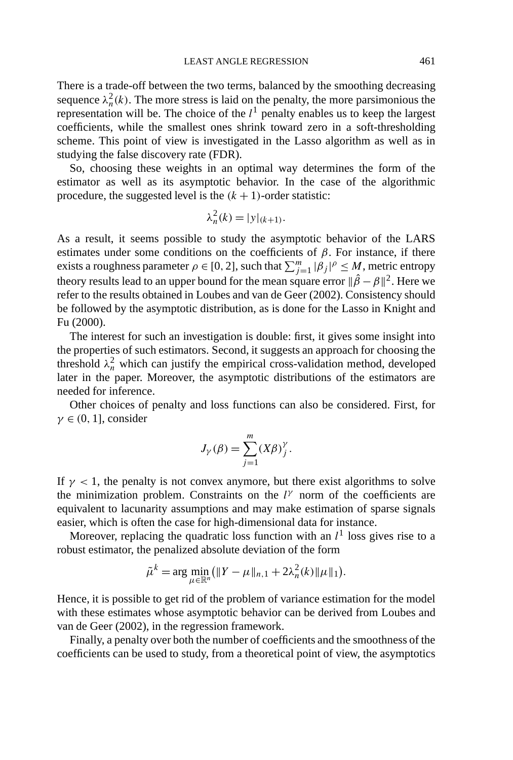There is a trade-off between the two terms, balanced by the smoothing decreasing sequence  $\lambda_n^2(k)$ . The more stress is laid on the penalty, the more parsimonious the representation will be. The choice of the  $l<sup>1</sup>$  penalty enables us to keep the largest coefficients, while the smallest ones shrink toward zero in a soft-thresholding scheme. This point of view is investigated in the Lasso algorithm as well as in studying the false discovery rate (FDR).

So, choosing these weights in an optimal way determines the form of the estimator as well as its asymptotic behavior. In the case of the algorithmic procedure, the suggested level is the  $(k + 1)$ -order statistic:

$$
\lambda_n^2(k) = |y|_{(k+1)}.
$$

As a result, it seems possible to study the asymptotic behavior of the LARS estimates under some conditions on the coefficients of  $\beta$ . For instance, if there exists a roughness parameter  $\rho \in [0, 2]$ , such that  $\sum_{j=1}^{m} |\beta_j|^{\rho} \leq M$ , metric entropy theory results lead to an upper bound for the mean square error  $\|\hat{\beta} - \beta\|^2$ . Here we refer to the results obtained in Loubes and van de Geer (2002). Consistency should be followed by the asymptotic distribution, as is done for the Lasso in Knight and Fu (2000).

The interest for such an investigation is double: first, it gives some insight into the properties of such estimators. Second, it suggests an approach for choosing the threshold  $\lambda_n^2$  which can justify the empirical cross-validation method, developed later in the paper. Moreover, the asymptotic distributions of the estimators are needed for inference.

Other choices of penalty and loss functions can also be considered. First, for  $\gamma \in (0, 1]$ , consider

$$
J_{\gamma}(\beta) = \sum_{j=1}^{m} (X\beta)^{\gamma}_{j}.
$$

If  $\gamma$  < 1, the penalty is not convex anymore, but there exist algorithms to solve the minimization problem. Constraints on the  $l^{\gamma}$  norm of the coefficients are equivalent to lacunarity assumptions and may make estimation of sparse signals easier, which is often the case for high-dimensional data for instance.

Moreover, replacing the quadratic loss function with an  $l<sup>1</sup>$  loss gives rise to a robust estimator, the penalized absolute deviation of the form

$$
\tilde{\mu}^k = \arg \min_{\mu \in \mathbb{R}^n} (||Y - \mu||_{n,1} + 2\lambda_n^2(k)||\mu||_1).
$$

Hence, it is possible to get rid of the problem of variance estimation for the model with these estimates whose asymptotic behavior can be derived from Loubes and van de Geer (2002), in the regression framework.

Finally, a penalty over both the number of coefficients and the smoothness of the coefficients can be used to study, from a theoretical point of view, the asymptotics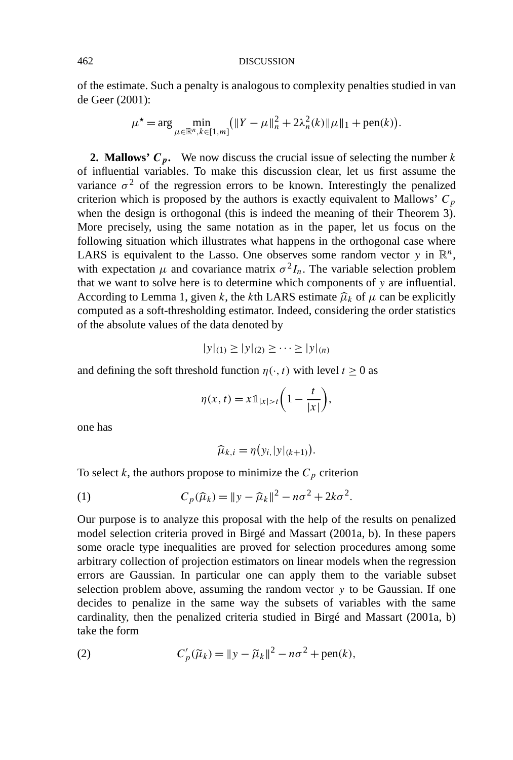### 462 DISCUSSION

of the estimate. Such a penalty is analogous to complexity penalties studied in van de Geer (2001):

$$
\mu^* = \arg \min_{\mu \in \mathbb{R}^n, k \in [1,m]} (\|Y - \mu\|_n^2 + 2\lambda_n^2(k)\|\mu\|_1 + \text{pen}(k)).
$$

**2. Mallows'**  $C_p$ . We now discuss the crucial issue of selecting the number  $k$ of influential variables. To make this discussion clear, let us first assume the variance  $\sigma^2$  of the regression errors to be known. Interestingly the penalized criterion which is proposed by the authors is exactly equivalent to Mallows'  $C_p$ when the design is orthogonal (this is indeed the meaning of their Theorem 3). More precisely, using the same notation as in the paper, let us focus on the following situation which illustrates what happens in the orthogonal case where LARS is equivalent to the Lasso. One observes some random vector  $y$  in  $\mathbb{R}^n$ , with expectation  $\mu$  and covariance matrix  $\sigma^2 I_n$ . The variable selection problem that we want to solve here is to determine which components of *y* are influential. According to Lemma 1, given *k*, the *k*th LARS estimate  $\hat{\mu}_k$  of  $\mu$  can be explicitly computed as a soft-thresholding estimator. Indeed, considering the order statistics of the absolute values of the data denoted by

$$
|y|_{(1)} \ge |y|_{(2)} \ge \cdots \ge |y|_{(n)}
$$

and defining the soft threshold function  $\eta(\cdot, t)$  with level  $t \ge 0$  as

$$
\eta(x,t) = x \mathbb{1}_{|x| > t} \left( 1 - \frac{t}{|x|} \right),\,
$$

one has

$$
\widehat{\mu}_{k,i} = \eta(y_{i,}|y|_{(k+1)}).
$$

To select  $k$ , the authors propose to minimize the  $C_p$  criterion

(1) 
$$
C_p(\hat{\mu}_k) = ||y - \hat{\mu}_k||^2 - n\sigma^2 + 2k\sigma^2.
$$

Our purpose is to analyze this proposal with the help of the results on penalized model selection criteria proved in Birgé and Massart (2001a, b). In these papers some oracle type inequalities are proved for selection procedures among some arbitrary collection of projection estimators on linear models when the regression errors are Gaussian. In particular one can apply them to the variable subset selection problem above, assuming the random vector *y* to be Gaussian. If one decides to penalize in the same way the subsets of variables with the same cardinality, then the penalized criteria studied in Birgé and Massart (2001a, b) take the form

(2) 
$$
C'_{p}(\widetilde{\mu}_{k}) = ||y - \widetilde{\mu}_{k}||^{2} - n\sigma^{2} + \text{pen}(k),
$$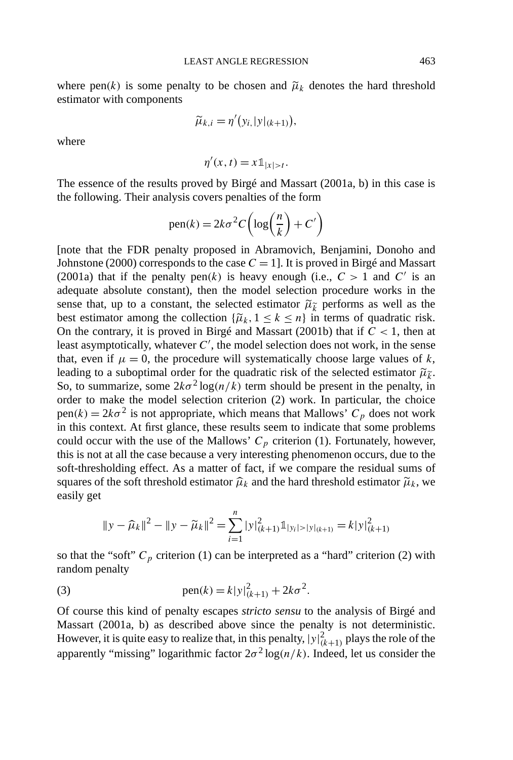$$
\widetilde{\mu}_{k,i} = \eta'(y_{i,}|y|_{(k+1)}),
$$

where

$$
\eta'(x,t) = x \mathbb{1}_{|x| > t}.
$$

The essence of the results proved by Birgé and Massart (2001a, b) in this case is the following. Their analysis covers penalties of the form

$$
pen(k) = 2k\sigma^2 C \left( \log \left( \frac{n}{k} \right) + C' \right)
$$

[note that the FDR penalty proposed in Abramovich, Benjamini, Donoho and Johnstone (2000) corresponds to the case  $C = 1$ . It is proved in Birgé and Massart (2001a) that if the penalty pen $(k)$  is heavy enough (i.e.,  $C > 1$  and  $C'$  is an adequate absolute constant), then the model selection procedure works in the sense that, up to a constant, the selected estimator  $\tilde{\mu}_{\tilde{k}}$  performs as well as the best estimator among the collection  $\{\tilde{\mu}_k, 1 \leq k \leq n\}$  in terms of quadratic risk. On the contrary, it is proved in Birgé and Massart (2001b) that if *C <* 1, then at least asymptotically, whatever *C* , the model selection does not work, in the sense that, even if  $\mu = 0$ , the procedure will systematically choose large values of *k*, leading to a suboptimal order for the quadratic risk of the selected estimator  $\tilde{\mu}_{\tilde{k}}$ . So, to summarize, some  $2k\sigma^2 \log(n/k)$  term should be present in the penalty, in order to make the model selection criterion (2) work. In particular, the choice  $pen(k) = 2k\sigma^2$  is not appropriate, which means that Mallows'  $C_p$  does not work in this context. At first glance, these results seem to indicate that some problems could occur with the use of the Mallows'  $C_p$  criterion (1). Fortunately, however, this is not at all the case because a very interesting phenomenon occurs, due to the soft-thresholding effect. As a matter of fact, if we compare the residual sums of squares of the soft threshold estimator  $\hat{\mu}_k$  and the hard threshold estimator  $\tilde{\mu}_k$ , we easily get

$$
\|y - \widehat{\mu}_k\|^2 - \|y - \widetilde{\mu}_k\|^2 = \sum_{i=1}^n |y|_{(k+1)}^2 \mathbb{1}_{|y_i| > |y|_{(k+1)}} = k|y|_{(k+1)}^2
$$

so that the "soft"  $C_p$  criterion (1) can be interpreted as a "hard" criterion (2) with random penalty

(3) 
$$
\text{pen}(k) = k|y|_{(k+1)}^2 + 2k\sigma^2.
$$

Of course this kind of penalty escapes *stricto sensu* to the analysis of Birgé and Massart (2001a, b) as described above since the penalty is not deterministic. However, it is quite easy to realize that, in this penalty,  $|y|^2_{(k+1)}$  plays the role of the apparently "missing" logarithmic factor  $2\sigma^2 \log(n/k)$ . Indeed, let us consider the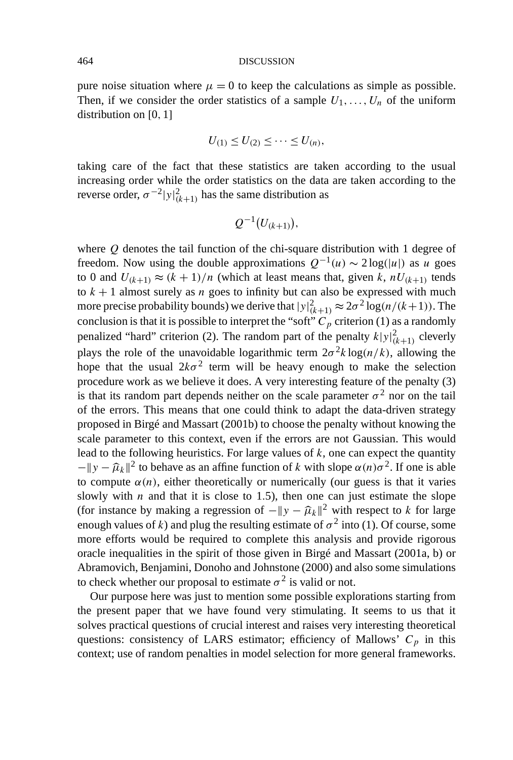pure noise situation where  $\mu = 0$  to keep the calculations as simple as possible. Then, if we consider the order statistics of a sample  $U_1, \ldots, U_n$  of the uniform distribution on [0*,* 1]

$$
U_{(1)} \leq U_{(2)} \leq \cdots \leq U_{(n)},
$$

taking care of the fact that these statistics are taken according to the usual increasing order while the order statistics on the data are taken according to the reverse order,  $\sigma^{-2}|y|_{(k+1)}^2$  has the same distribution as

$$
Q^{-1}(U_{(k+1)}),
$$

where *Q* denotes the tail function of the chi-square distribution with 1 degree of freedom. Now using the double approximations  $Q^{-1}(u) \sim 2 \log(|u|)$  as *u* goes to 0 and  $U_{(k+1)} \approx (k+1)/n$  (which at least means that, given *k*,  $nU_{(k+1)}$  tends to  $k + 1$  almost surely as *n* goes to infinity but can also be expressed with much more precise probability bounds) we derive that  $|y|_{(k+1)}^2 \approx 2\sigma^2 \log(n/(k+1))$ . The conclusion is that it is possible to interpret the "soft"  $C_p$  criterion (1) as a randomly penalized "hard" criterion (2). The random part of the penalty  $k|y|_{(k+1)}^2$  cleverly plays the role of the unavoidable logarithmic term  $2\sigma^2 k \log(n/k)$ , allowing the hope that the usual  $2k\sigma^2$  term will be heavy enough to make the selection procedure work as we believe it does. A very interesting feature of the penalty (3) is that its random part depends neither on the scale parameter  $\sigma^2$  nor on the tail of the errors. This means that one could think to adapt the data-driven strategy proposed in Birgé and Massart (2001b) to choose the penalty without knowing the scale parameter to this context, even if the errors are not Gaussian. This would lead to the following heuristics. For large values of *k*, one can expect the quantity  $-||y - \hat{\mu}_k||^2$  to behave as an affine function of *k* with slope  $\alpha(n)\sigma^2$ . If one is able to compute  $\alpha(n)$ , either theoretically or numerically (our guess is that it varies slowly with  $n$  and that it is close to 1.5), then one can just estimate the slope (for instance by making a regression of  $-||y - \hat{\mu}_k||^2$  with respect to *k* for large enough values of *k*) and plug the resulting estimate of  $\sigma^2$  into (1). Of course, some more efforts would be required to complete this analysis and provide rigorous oracle inequalities in the spirit of those given in Birgé and Massart (2001a, b) or Abramovich, Benjamini, Donoho and Johnstone (2000) and also some simulations to check whether our proposal to estimate  $\sigma^2$  is valid or not.

Our purpose here was just to mention some possible explorations starting from the present paper that we have found very stimulating. It seems to us that it solves practical questions of crucial interest and raises very interesting theoretical questions: consistency of LARS estimator; efficiency of Mallows'  $C_p$  in this context; use of random penalties in model selection for more general frameworks.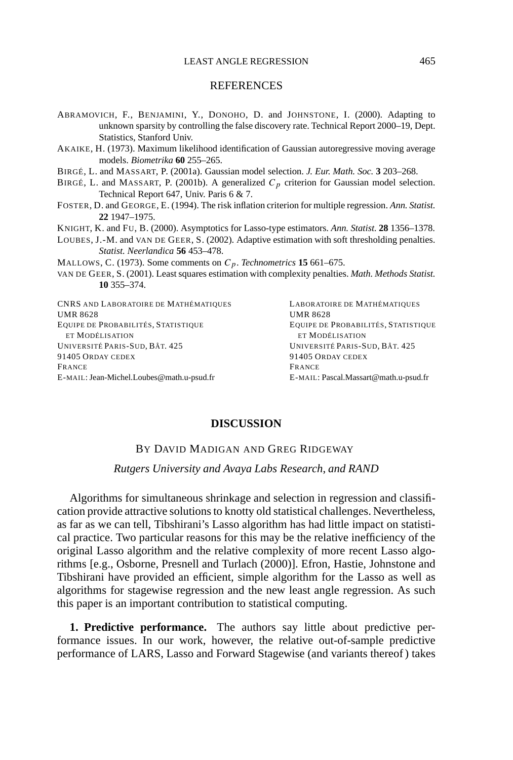# **REFERENCES**

| ABRAMOVICH, F., BENJAMINI, Y., DONOHO, D. and JOHNSTONE, I. (2000). Adapting to<br>unknown sparsity by controlling the false discovery rate. Technical Report 2000–19, Dept. |                                                        |
|------------------------------------------------------------------------------------------------------------------------------------------------------------------------------|--------------------------------------------------------|
| Statistics, Stanford Univ.                                                                                                                                                   |                                                        |
| AKAIKE, H. (1973). Maximum likelihood identification of Gaussian autoregressive moving average<br>models. <i>Biometrika</i> 60 255–265.                                      |                                                        |
| BIRGÉ, L. and MASSART, P. (2001a). Gaussian model selection. J. Eur. Math. Soc. 3 203–268.                                                                                   |                                                        |
| BIRGÉ, L. and MASSART, P. (2001b). A generalized $C_p$ criterion for Gaussian model selection.<br>Technical Report 647, Univ. Paris 6 & 7.                                   |                                                        |
| FOSTER, D. and GEORGE, E. (1994). The risk inflation criterion for multiple regression. Ann. Statist.<br>22 1947-1975.                                                       |                                                        |
| KNIGHT, K. and FU, B. (2000). Asymptotics for Lasso-type estimators. Ann. Statist. 28 1356–1378.                                                                             |                                                        |
| LOUBES, J.-M. and VAN DE GEER, S. (2002). Adaptive estimation with soft thresholding penalties.<br>Statist, Neerlandica 56 453-478.                                          |                                                        |
| MALLOWS, C. (1973). Some comments on $C_p$ . Technometrics 15 661–675.                                                                                                       |                                                        |
| VAN DE GEER, S. (2001). Least squares estimation with complexity penalties. Math. Methods Statist.                                                                           |                                                        |
| 10 355 - 374.                                                                                                                                                                |                                                        |
| <b>CNRS AND LABORATOIRE DE MATHÉMATIQUES</b><br><b>UMR 8628</b>                                                                                                              | LABORATOIRE DE MATHÉMATIQUES<br><b>UMR 8628</b>        |
| EQUIPE DE PROBABILITÉS, STATISTIQUE<br>ET MODÉLISATION                                                                                                                       | EQUIPE DE PROBABILITÉS, STATISTIQUE<br>ET MODÉLISATION |
| UNIVERSITÉ PARIS-SUD, BÂT. 425                                                                                                                                               | UNIVERSITÉ PARIS-SUD, BÂT. 425                         |
| 91405 ORDAY CEDEX                                                                                                                                                            | 91405 ORDAY CEDEX                                      |
| <b>FRANCE</b>                                                                                                                                                                | <b>FRANCE</b>                                          |
| E-MAIL: Jean-Michel.Loubes@math.u-psud.fr                                                                                                                                    | E-MAIL: Pascal.Massart@math.u-psud.fr                  |
|                                                                                                                                                                              |                                                        |

# **DISCUSSION**

## BY DAVID MADIGAN AND GREG RIDGEWAY

# *Rutgers University and Avaya Labs Research*, *and RAND*

Algorithms for simultaneous shrinkage and selection in regression and classification provide attractive solutions to knotty old statistical challenges. Nevertheless, as far as we can tell, Tibshirani's Lasso algorithm has had little impact on statistical practice. Two particular reasons for this may be the relative inefficiency of the original Lasso algorithm and the relative complexity of more recent Lasso algorithms [e.g., Osborne, Presnell and Turlach (2000)]. Efron, Hastie, Johnstone and Tibshirani have provided an efficient, simple algorithm for the Lasso as well as algorithms for stagewise regression and the new least angle regression. As such this paper is an important contribution to statistical computing.

**1. Predictive performance.** The authors say little about predictive performance issues. In our work, however, the relative out-of-sample predictive performance of LARS, Lasso and Forward Stagewise (and variants thereof ) takes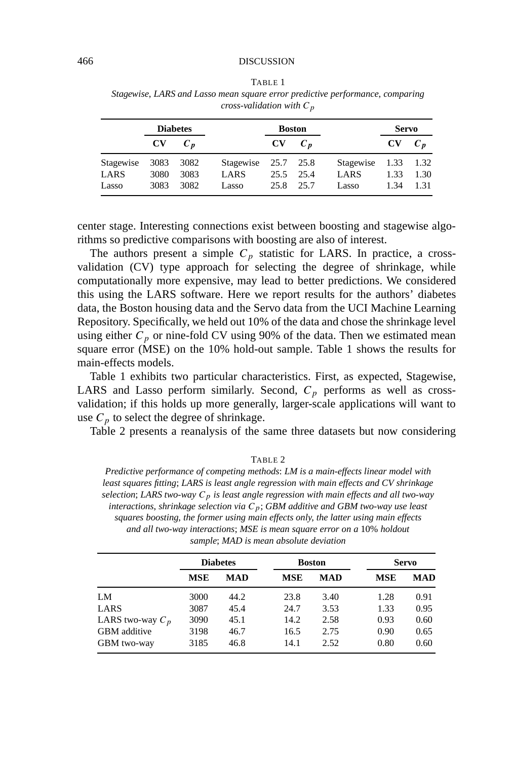|           | <b>Diabetes</b>        |       |                         | <b>Boston</b>          |       |                         | <b>Servo</b>           |       |
|-----------|------------------------|-------|-------------------------|------------------------|-------|-------------------------|------------------------|-------|
|           | $\mathbf{C}\mathbf{V}$ | $C_n$ |                         | $\mathbf{C}\mathbf{V}$ | $C_n$ |                         | $\mathbf{C}\mathbf{V}$ | $C_n$ |
| Stagewise | 3083                   | 3082  | Stagewise $25.7$ $25.8$ |                        |       | Stagewise $1.33$ $1.32$ |                        |       |
| LARS      | 3080                   | 3083  | LARS                    | 25.5                   | 25.4  | LARS                    | 1.33                   | 1.30  |
| Lasso     | 3083                   | 3082  | Lasso                   | 25.8                   | 25.7  | Lasso                   | 1.34                   | 1.31  |

| TABLE 1                                                                       |
|-------------------------------------------------------------------------------|
| Stagewise, LARS and Lasso mean square error predictive performance, comparing |
| cross-validation with $C_n$                                                   |

center stage. Interesting connections exist between boosting and stagewise algorithms so predictive comparisons with boosting are also of interest.

The authors present a simple  $C_p$  statistic for LARS. In practice, a crossvalidation (CV) type approach for selecting the degree of shrinkage, while computationally more expensive, may lead to better predictions. We considered this using the LARS software. Here we report results for the authors' diabetes data, the Boston housing data and the Servo data from the UCI Machine Learning Repository. Specifically, we held out 10% of the data and chose the shrinkage level using either  $C_p$  or nine-fold CV using 90% of the data. Then we estimated mean square error (MSE) on the 10% hold-out sample. Table 1 shows the results for main-effects models.

Table 1 exhibits two particular characteristics. First, as expected, Stagewise, LARS and Lasso perform similarly. Second,  $C_p$  performs as well as crossvalidation; if this holds up more generally, larger-scale applications will want to use  $C_p$  to select the degree of shrinkage.

Table 2 presents a reanalysis of the same three datasets but now considering

TABLE 2

*Predictive performance of competing methods*: *LM is a main-effects linear model with least squares fitting*; *LARS is least angle regression with main effects and CV shrinkage selection*; *LARS two-way Cp is least angle regression with main effects and all two-way interactions*, *shrinkage selection via Cp*; *GBM additive and GBM two-way use least squares boosting*, *the former using main effects only*, *the latter using main effects and all two-way interactions*; *MSE is mean square error on a* 10% *holdout sample*; *MAD is mean absolute deviation*

|                    | <b>Diabetes</b> |            |            | <b>Boston</b> | <b>Servo</b> |      |  |
|--------------------|-----------------|------------|------------|---------------|--------------|------|--|
|                    | <b>MSE</b>      | <b>MAD</b> | <b>MSE</b> | <b>MAD</b>    | <b>MSE</b>   | MAD  |  |
| LM                 | 3000            | 44.2       | 23.8       | 3.40          | 1.28         | 0.91 |  |
| LARS               | 3087            | 45.4       | 24.7       | 3.53          | 1.33         | 0.95 |  |
| LARS two-way $C_p$ | 3090            | 45.1       | 14.2       | 2.58          | 0.93         | 0.60 |  |
| GBM additive       | 3198            | 46.7       | 16.5       | 2.75          | 0.90         | 0.65 |  |
| GBM two-way        | 3185            | 46.8       | 14.1       | 2.52          | 0.80         | 0.60 |  |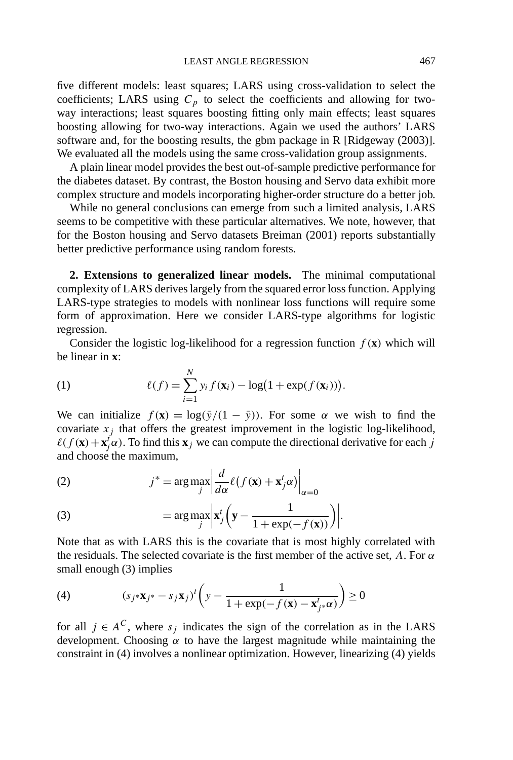five different models: least squares; LARS using cross-validation to select the coefficients; LARS using  $C_p$  to select the coefficients and allowing for twoway interactions; least squares boosting fitting only main effects; least squares boosting allowing for two-way interactions. Again we used the authors' LARS software and, for the boosting results, the gbm package in R [Ridgeway (2003)]. We evaluated all the models using the same cross-validation group assignments.

A plain linear model provides the best out-of-sample predictive performance for the diabetes dataset. By contrast, the Boston housing and Servo data exhibit more complex structure and models incorporating higher-order structure do a better job.

While no general conclusions can emerge from such a limited analysis, LARS seems to be competitive with these particular alternatives. We note, however, that for the Boston housing and Servo datasets Breiman (2001) reports substantially better predictive performance using random forests.

**2. Extensions to generalized linear models.** The minimal computational complexity of LARS derives largely from the squared error loss function. Applying LARS-type strategies to models with nonlinear loss functions will require some form of approximation. Here we consider LARS-type algorithms for logistic regression.

Consider the logistic log-likelihood for a regression function  $f(\mathbf{x})$  which will be linear in **x**:

(1) 
$$
\ell(f) = \sum_{i=1}^{N} y_i f(\mathbf{x}_i) - \log(1 + \exp(f(\mathbf{x}_i))).
$$

We can initialize  $f(\mathbf{x}) = \log(\bar{y}/(1 - \bar{y}))$ . For some  $\alpha$  we wish to find the covariate  $x_j$  that offers the greatest improvement in the logistic log-likelihood,  $\ell(f(\mathbf{x}) + \mathbf{x}_j^t \alpha)$ . To find this  $\mathbf{x}_j$  we can compute the directional derivative for each *j* and choose the maximum,

(2) 
$$
j^* = \arg \max_j \left| \frac{d}{d\alpha} \ell(f(\mathbf{x}) + \mathbf{x}_j^t \alpha) \right|_{\alpha=0}
$$

(3) 
$$
= \arg \max_{j} \left| \mathbf{x}_{j}^{t} \left( \mathbf{y} - \frac{1}{1 + \exp(-f(\mathbf{x}))} \right) \right|.
$$

Note that as with LARS this is the covariate that is most highly correlated with the residuals. The selected covariate is the first member of the active set, *A*. For *α* small enough (3) implies

(4) 
$$
(s_{j^*}\mathbf{x}_{j^*} - s_j\mathbf{x}_j)^t \left( y - \frac{1}{1 + \exp(-f(\mathbf{x}) - \mathbf{x}_{j^*}^t \alpha)} \right) \ge 0
$$

for all  $j \in A^C$ , where  $s_j$  indicates the sign of the correlation as in the LARS development. Choosing  $\alpha$  to have the largest magnitude while maintaining the constraint in (4) involves a nonlinear optimization. However, linearizing (4) yields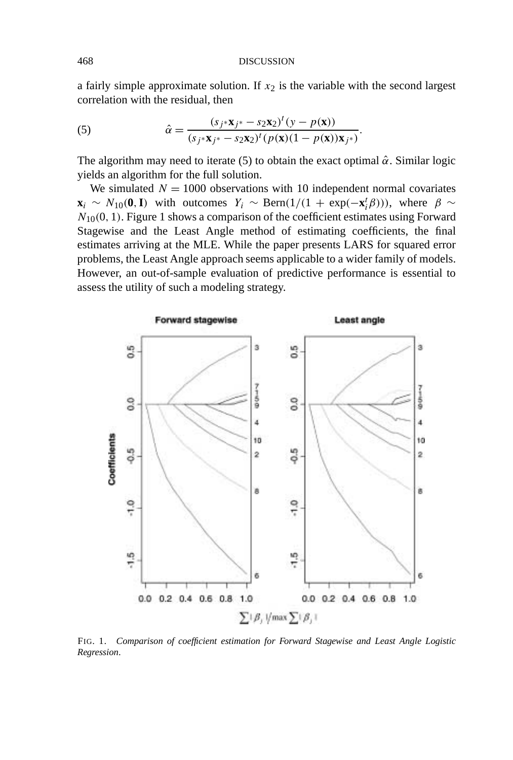a fairly simple approximate solution. If  $x_2$  is the variable with the second largest correlation with the residual, then

(5) 
$$
\hat{\alpha} = \frac{(s_j \cdot \mathbf{x}_{j^*} - s_2 \mathbf{x}_2)^t (y - p(\mathbf{x}))}{(s_j \cdot \mathbf{x}_{j^*} - s_2 \mathbf{x}_2)^t (p(\mathbf{x})(1 - p(\mathbf{x})) \mathbf{x}_{j^*})}.
$$

The algorithm may need to iterate (5) to obtain the exact optimal *α*ˆ. Similar logic yields an algorithm for the full solution.

We simulated  $N = 1000$  observations with 10 independent normal covariates **x**<sub>*i*</sub> ∼ *N*<sub>10</sub>(**0**, **I**) with outcomes *Y<sub>i</sub>* ∼ Bern(1/(1 + exp(−**x**<sup>*t*</sup><sub>*i*</sub>*β*))), where *β* ∼  $N_{10}(0, 1)$ . Figure 1 shows a comparison of the coefficient estimates using Forward Stagewise and the Least Angle method of estimating coefficients, the final estimates arriving at the MLE. While the paper presents LARS for squared error problems, the Least Angle approach seems applicable to a wider family of models. However, an out-of-sample evaluation of predictive performance is essential to assess the utility of such a modeling strategy.



FIG. 1. *Comparison of coefficient estimation for Forward Stagewise and Least Angle Logistic Regression*.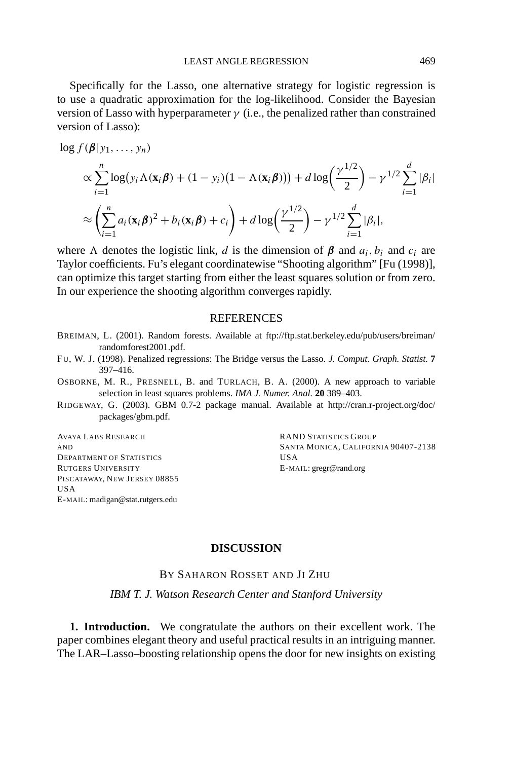Specifically for the Lasso, one alternative strategy for logistic regression is to use a quadratic approximation for the log-likelihood. Consider the Bayesian version of Lasso with hyperparameter  $\gamma$  (i.e., the penalized rather than constrained version of Lasso):

$$
\log f(\boldsymbol{\beta}|y_1,\ldots,y_n)
$$

$$
\propto \sum_{i=1}^{n} \log(y_i \Lambda(\mathbf{x}_i \boldsymbol{\beta}) + (1 - y_i)(1 - \Lambda(\mathbf{x}_i \boldsymbol{\beta}))) + d \log \left(\frac{\gamma^{1/2}}{2}\right) - \gamma^{1/2} \sum_{i=1}^{d} |\beta_i|
$$
  
 
$$
\approx \left(\sum_{i=1}^{n} a_i(\mathbf{x}_i \boldsymbol{\beta})^2 + b_i(\mathbf{x}_i \boldsymbol{\beta}) + c_i\right) + d \log \left(\frac{\gamma^{1/2}}{2}\right) - \gamma^{1/2} \sum_{i=1}^{d} |\beta_i|,
$$

where  $\Lambda$  denotes the logistic link, *d* is the dimension of  $\beta$  and  $a_i, b_i$  and  $c_i$  are Taylor coefficients. Fu's elegant coordinatewise "Shooting algorithm" [Fu (1998)], can optimize this target starting from either the least squares solution or from zero. In our experience the shooting algorithm converges rapidly.

### REFERENCES

- BREIMAN, L. (2001). Random forests. Available at ftp://ftp.stat.berkeley.edu/pub/users/breiman/ randomforest2001.pdf.
- FU, W. J. (1998). Penalized regressions: The Bridge versus the Lasso. *J. Comput. Graph. Statist.* **7** 397–416.
- OSBORNE, M. R., PRESNELL, B. and TURLACH, B. A. (2000). A new approach to variable selection in least squares problems. *IMA J. Numer. Anal.* **20** 389–403.
- RIDGEWAY, G. (2003). GBM 0.7-2 package manual. Available at http://cran.r-project.org/doc/ packages/gbm.pdf.

AVAYA LABS RESEARCH AND DEPARTMENT OF STATISTICS RUTGERS UNIVERSITY PISCATAWAY, NEW JERSEY 08855 USA E-MAIL: madigan@stat.rutgers.edu

RAND STATISTICS GROUP SANTA MONICA, CALIFORNIA 90407-2138 USA E-MAIL: gregr@rand.org

### **DISCUSSION**

## BY SAHARON ROSSET AND JI ZHU

### *IBM T. J. Watson Research Center and Stanford University*

**1. Introduction.** We congratulate the authors on their excellent work. The paper combines elegant theory and useful practical results in an intriguing manner. The LAR–Lasso–boosting relationship opens the door for new insights on existing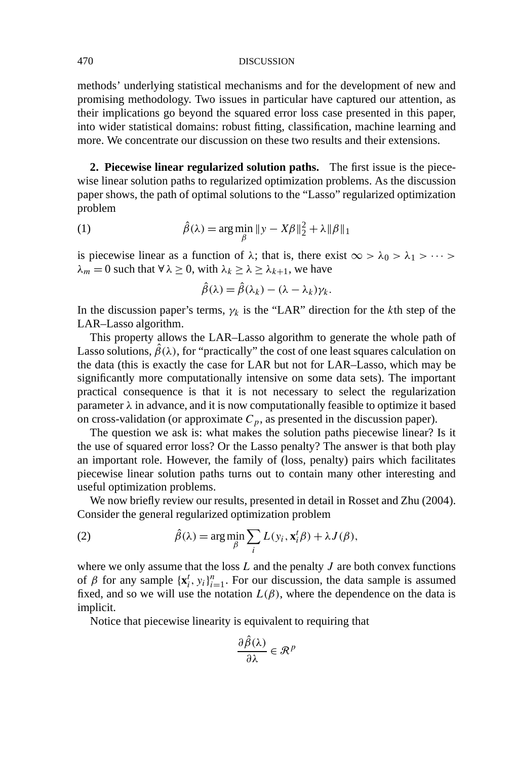### 470 DISCUSSION

methods' underlying statistical mechanisms and for the development of new and promising methodology. Two issues in particular have captured our attention, as their implications go beyond the squared error loss case presented in this paper, into wider statistical domains: robust fitting, classification, machine learning and more. We concentrate our discussion on these two results and their extensions.

**2. Piecewise linear regularized solution paths.** The first issue is the piecewise linear solution paths to regularized optimization problems. As the discussion paper shows, the path of optimal solutions to the "Lasso" regularized optimization problem

(1) 
$$
\hat{\beta}(\lambda) = \arg\min_{\beta} \|y - X\beta\|_2^2 + \lambda \|\beta\|_1
$$

is piecewise linear as a function of  $\lambda$ ; that is, there exist  $\infty > \lambda_0 > \lambda_1 > \cdots >$  $\lambda_m = 0$  such that  $\forall \lambda \geq 0$ , with  $\lambda_k \geq \lambda \geq \lambda_{k+1}$ , we have

$$
\hat{\beta}(\lambda) = \hat{\beta}(\lambda_k) - (\lambda - \lambda_k)\gamma_k.
$$

In the discussion paper's terms,  $\gamma_k$  is the "LAR" direction for the *k*th step of the LAR–Lasso algorithm.

This property allows the LAR–Lasso algorithm to generate the whole path of Lasso solutions,  $\hat{\beta}(\lambda)$ , for "practically" the cost of one least squares calculation on the data (this is exactly the case for LAR but not for LAR–Lasso, which may be significantly more computationally intensive on some data sets). The important practical consequence is that it is not necessary to select the regularization parameter  $\lambda$  in advance, and it is now computationally feasible to optimize it based on cross-validation (or approximate  $C_p$ , as presented in the discussion paper).

The question we ask is: what makes the solution paths piecewise linear? Is it the use of squared error loss? Or the Lasso penalty? The answer is that both play an important role. However, the family of (loss, penalty) pairs which facilitates piecewise linear solution paths turns out to contain many other interesting and useful optimization problems.

We now briefly review our results, presented in detail in Rosset and Zhu (2004). Consider the general regularized optimization problem

(2) 
$$
\hat{\beta}(\lambda) = \arg\min_{\beta} \sum_{i} L(y_i, \mathbf{x}_i^t \beta) + \lambda J(\beta),
$$

where we only assume that the loss *L* and the penalty *J* are both convex functions of  $\beta$  for any sample  $\{x_i^t, y_i\}_{i=1}^n$ . For our discussion, the data sample is assumed fixed, and so we will use the notation  $L(\beta)$ , where the dependence on the data is implicit.

Notice that piecewise linearity is equivalent to requiring that

$$
\frac{\partial \hat{\beta}(\lambda)}{\partial \lambda} \in \mathcal{R}^p
$$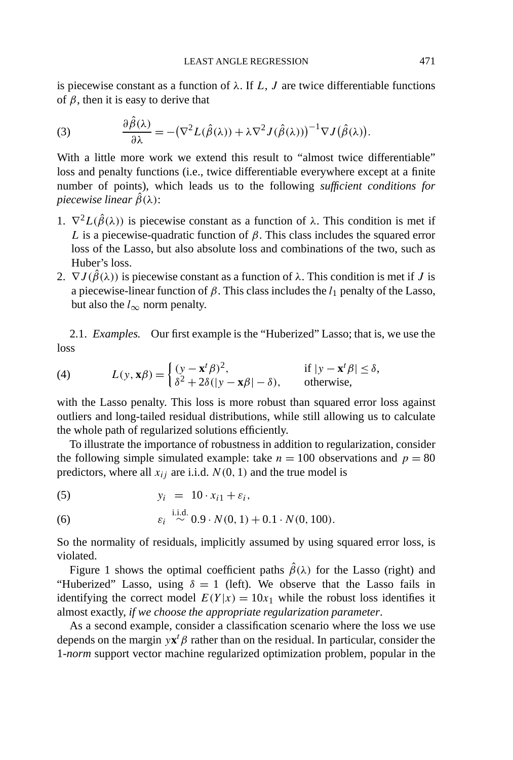is piecewise constant as a function of  $\lambda$ . If  $L$ ,  $J$  are twice differentiable functions of *β*, then it is easy to derive that

(3) 
$$
\frac{\partial \hat{\beta}(\lambda)}{\partial \lambda} = -(\nabla^2 L(\hat{\beta}(\lambda)) + \lambda \nabla^2 J(\hat{\beta}(\lambda)))^{-1} \nabla J(\hat{\beta}(\lambda)).
$$

With a little more work we extend this result to "almost twice differentiable" loss and penalty functions (i.e., twice differentiable everywhere except at a finite number of points), which leads us to the following *sufficient conditions for piecewise linear*  $\hat{\beta}(\lambda)$ :

- 1.  $\nabla^2 L(\hat{\beta}(\lambda))$  is piecewise constant as a function of  $\lambda$ . This condition is met if *L* is a piecewise-quadratic function of *β*. This class includes the squared error loss of the Lasso, but also absolute loss and combinations of the two, such as Huber's loss.
- 2.  $\nabla J(\hat{\beta}(\lambda))$  is piecewise constant as a function of  $\lambda$ . This condition is met if *J* is a piecewise-linear function of  $\beta$ . This class includes the  $l_1$  penalty of the Lasso, but also the  $l_{\infty}$  norm penalty.

2.1. *Examples.* Our first example is the "Huberized" Lasso; that is, we use the loss

(4) 
$$
L(y, \mathbf{x}\beta) = \begin{cases} (y - \mathbf{x}^t \beta)^2, & \text{if } |y - \mathbf{x}^t \beta| \le \delta, \\ \delta^2 + 2\delta(|y - \mathbf{x}\beta| - \delta), & \text{otherwise,} \end{cases}
$$

with the Lasso penalty. This loss is more robust than squared error loss against outliers and long-tailed residual distributions, while still allowing us to calculate the whole path of regularized solutions efficiently.

To illustrate the importance of robustness in addition to regularization, consider the following simple simulated example: take  $n = 100$  observations and  $p = 80$ predictors, where all  $x_{ij}$  are i.i.d.  $N(0, 1)$  and the true model is

$$
(5) \t y_i = 10 \cdot x_{i1} + \varepsilon_i,
$$

(6) 
$$
\varepsilon_i \stackrel{\text{i.i.d.}}{\sim} 0.9 \cdot N(0, 1) + 0.1 \cdot N(0, 100).
$$

So the normality of residuals, implicitly assumed by using squared error loss, is violated.

Figure 1 shows the optimal coefficient paths  $\hat{\beta}(\lambda)$  for the Lasso (right) and "Huberized" Lasso, using  $\delta = 1$  (left). We observe that the Lasso fails in identifying the correct model  $E(Y|x) = 10x_1$  while the robust loss identifies it almost exactly, *if we choose the appropriate regularization parameter*.

As a second example, consider a classification scenario where the loss we use depends on the margin  $y\mathbf{x}^t\beta$  rather than on the residual. In particular, consider the 1-*norm* support vector machine regularized optimization problem, popular in the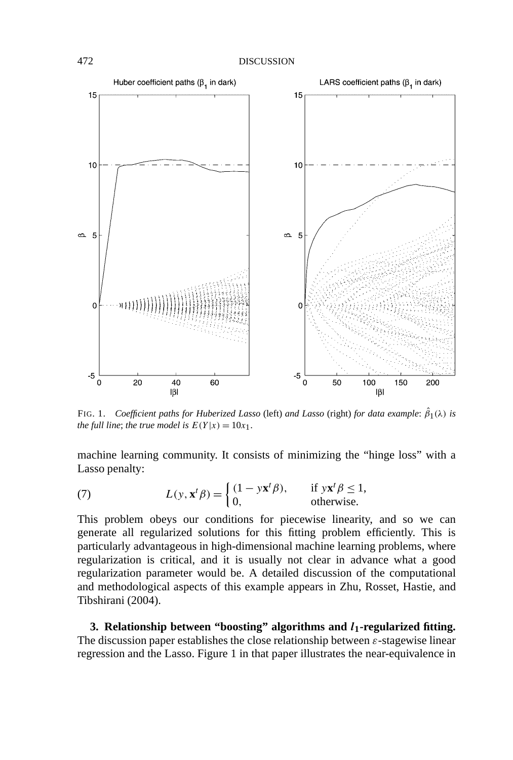

FIG. 1. *Coefficient paths for Huberized Lasso* (left) *and Lasso* (right) *for data example*: *β*ˆ 1*(λ) is the full line; the true model is*  $E(Y|x) = 10x_1$ .

machine learning community. It consists of minimizing the "hinge loss" with a Lasso penalty:

(7) 
$$
L(y, \mathbf{x}^t \beta) = \begin{cases} (1 - y\mathbf{x}^t \beta), & \text{if } y\mathbf{x}^t \beta \le 1, \\ 0, & \text{otherwise.} \end{cases}
$$

This problem obeys our conditions for piecewise linearity, and so we can generate all regularized solutions for this fitting problem efficiently. This is particularly advantageous in high-dimensional machine learning problems, where regularization is critical, and it is usually not clear in advance what a good regularization parameter would be. A detailed discussion of the computational and methodological aspects of this example appears in Zhu, Rosset, Hastie, and Tibshirani (2004).

**3. Relationship between "boosting" algorithms and** *l***1-regularized fitting.** The discussion paper establishes the close relationship between *ε*-stagewise linear regression and the Lasso. Figure 1 in that paper illustrates the near-equivalence in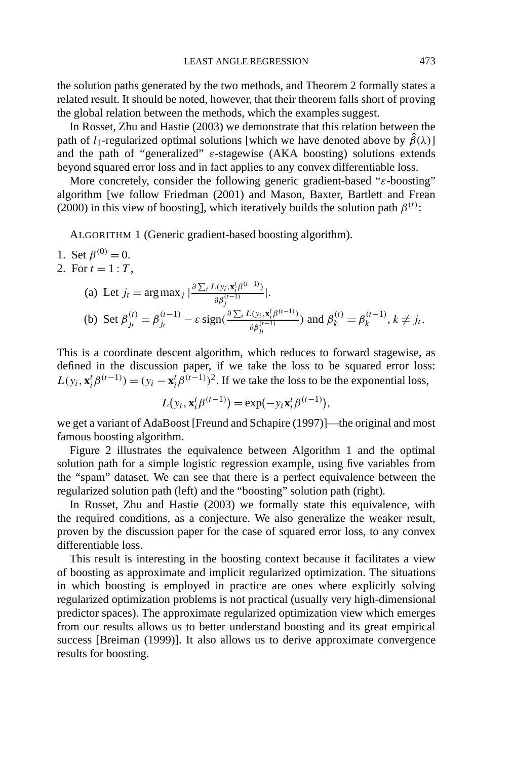the solution paths generated by the two methods, and Theorem 2 formally states a related result. It should be noted, however, that their theorem falls short of proving the global relation between the methods, which the examples suggest.

In Rosset, Zhu and Hastie (2003) we demonstrate that this relation between the path of *l*<sub>1</sub>-regularized optimal solutions [which we have denoted above by  $\hat{\beta}(\lambda)$ ] and the path of "generalized" *ε*-stagewise (AKA boosting) solutions extends beyond squared error loss and in fact applies to any convex differentiable loss.

More concretely, consider the following generic gradient-based "*ε*-boosting" algorithm [we follow Friedman (2001) and Mason, Baxter, Bartlett and Frean (2000) in this view of boosting], which iteratively builds the solution path  $\beta^{(t)}$ :

ALGORITHM 1 (Generic gradient-based boosting algorithm).

- 1. Set  $\beta^{(0)} = 0$ .
- 2. For  $t = 1 : T$ ,

(a) Let 
$$
j_t = \arg \max_j |\frac{\partial \sum_i L(y_i, \mathbf{x}_i' \beta^{(t-1)})}{\partial \beta_j^{(t-1)}}|
$$
.  
\n(b) Set  $\beta_{j_t}^{(t)} = \beta_{j_t}^{(t-1)} - \varepsilon \operatorname{sign}(\frac{\partial \sum_i L(y_i, \mathbf{x}_i' \beta^{(t-1)})}{\partial \beta_{j_t}^{(t-1)}})$  and  $\beta_k^{(t)} = \beta_k^{(t-1)}, k \neq j_t$ .

This is a coordinate descent algorithm, which reduces to forward stagewise, as defined in the discussion paper, if we take the loss to be squared error loss:  $L(y_i, \mathbf{x}_i^t \beta^{(t-1)}) = (y_i - \mathbf{x}_i^t \beta^{(t-1)})^2$ . If we take the loss to be the exponential loss,

$$
L(y_i, \mathbf{x}_i^t \boldsymbol{\beta}^{(t-1)}) = \exp(-y_i \mathbf{x}_i^t \boldsymbol{\beta}^{(t-1)}),
$$

we get a variant of AdaBoost [Freund and Schapire (1997)]—the original and most famous boosting algorithm.

Figure 2 illustrates the equivalence between Algorithm 1 and the optimal solution path for a simple logistic regression example, using five variables from the "spam" dataset. We can see that there is a perfect equivalence between the regularized solution path (left) and the "boosting" solution path (right).

In Rosset, Zhu and Hastie (2003) we formally state this equivalence, with the required conditions, as a conjecture. We also generalize the weaker result, proven by the discussion paper for the case of squared error loss, to any convex differentiable loss.

This result is interesting in the boosting context because it facilitates a view of boosting as approximate and implicit regularized optimization. The situations in which boosting is employed in practice are ones where explicitly solving regularized optimization problems is not practical (usually very high-dimensional predictor spaces). The approximate regularized optimization view which emerges from our results allows us to better understand boosting and its great empirical success [Breiman (1999)]. It also allows us to derive approximate convergence results for boosting.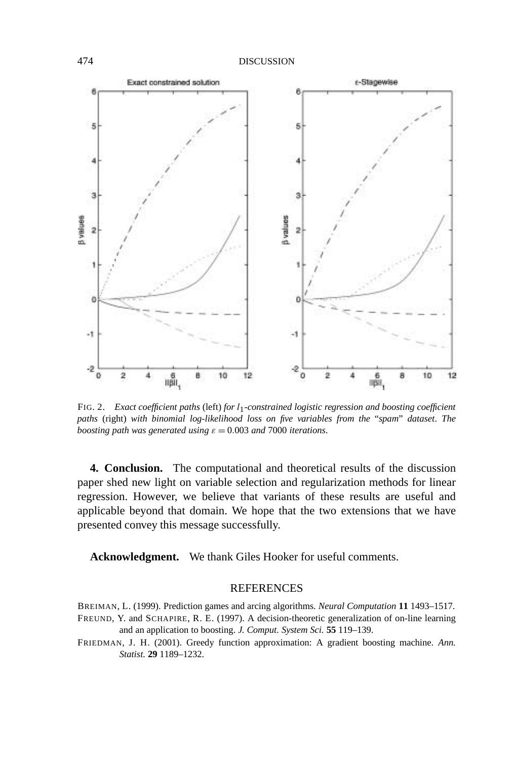

FIG. 2. *Exact coefficient paths* (left) *for l*1*-constrained logistic regression and boosting coefficient paths* (right) *with binomial log-likelihood loss on five variables from the* "*spam*" *dataset*. *The boosting path was generated using*  $\varepsilon = 0.003$  *and* 7000 *iterations*.

**4. Conclusion.** The computational and theoretical results of the discussion paper shed new light on variable selection and regularization methods for linear regression. However, we believe that variants of these results are useful and applicable beyond that domain. We hope that the two extensions that we have presented convey this message successfully.

**Acknowledgment.** We thank Giles Hooker for useful comments.

### **REFERENCES**

BREIMAN, L. (1999). Prediction games and arcing algorithms. *Neural Computation* **11** 1493–1517. FREUND, Y. and SCHAPIRE, R. E. (1997). A decision-theoretic generalization of on-line learning and an application to boosting. *J. Comput. System Sci.* **55** 119–139.

FRIEDMAN, J. H. (2001). Greedy function approximation: A gradient boosting machine. *Ann. Statist.* **29** 1189–1232.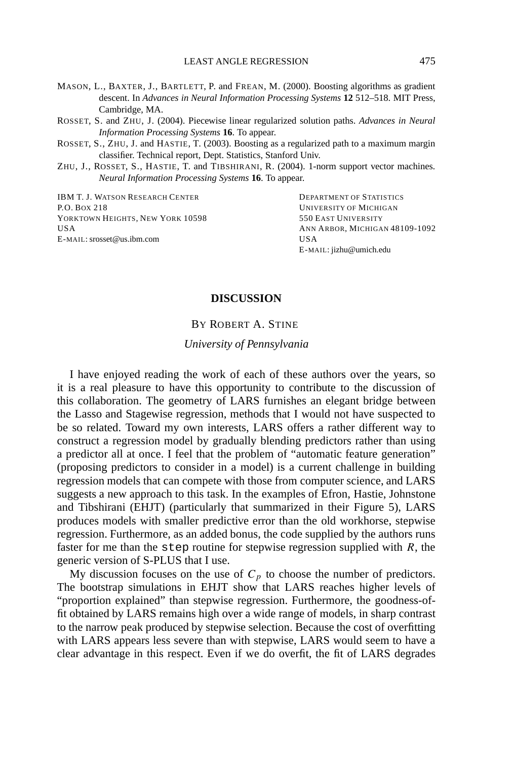LEAST ANGLE REGRESSION 475

MASON, L., BAXTER, J., BARTLETT, P. and FREAN, M. (2000). Boosting algorithms as gradient descent. In *Advances in Neural Information Processing Systems* **12** 512–518. MIT Press, Cambridge, MA.

ROSSET, S. and ZHU, J. (2004). Piecewise linear regularized solution paths. *Advances in Neural Information Processing Systems* **16**. To appear.

- ROSSET, S., ZHU, J. and HASTIE, T. (2003). Boosting as a regularized path to a maximum margin classifier. Technical report, Dept. Statistics, Stanford Univ.
- ZHU, J., ROSSET, S., HASTIE, T. and TIBSHIRANI, R. (2004). 1-norm support vector machines. *Neural Information Processing Systems* **16**. To appear.

IBM T. J. WATSON RESEARCH CENTER P.O. BOX 218 YORKTOWN HEIGHTS, NEW YORK 10598 USA E-MAIL: srosset@us.ibm.com

DEPARTMENT OF STATISTICS UNIVERSITY OF MICHIGAN 550 EAST UNIVERSITY ANN ARBOR, MICHIGAN 48109-1092 USA E-MAIL: jizhu@umich.edu

### **DISCUSSION**

# BY ROBERT A. STINE

## *University of Pennsylvania*

I have enjoyed reading the work of each of these authors over the years, so it is a real pleasure to have this opportunity to contribute to the discussion of this collaboration. The geometry of LARS furnishes an elegant bridge between the Lasso and Stagewise regression, methods that I would not have suspected to be so related. Toward my own interests, LARS offers a rather different way to construct a regression model by gradually blending predictors rather than using a predictor all at once. I feel that the problem of "automatic feature generation" (proposing predictors to consider in a model) is a current challenge in building regression models that can compete with those from computer science, and LARS suggests a new approach to this task. In the examples of Efron, Hastie, Johnstone and Tibshirani (EHJT) (particularly that summarized in their Figure 5), LARS produces models with smaller predictive error than the old workhorse, stepwise regression. Furthermore, as an added bonus, the code supplied by the authors runs faster for me than the step routine for stepwise regression supplied with *R*, the generic version of S-PLUS that I use.

My discussion focuses on the use of  $C_p$  to choose the number of predictors. The bootstrap simulations in EHJT show that LARS reaches higher levels of "proportion explained" than stepwise regression. Furthermore, the goodness-offit obtained by LARS remains high over a wide range of models, in sharp contrast to the narrow peak produced by stepwise selection. Because the cost of overfitting with LARS appears less severe than with stepwise, LARS would seem to have a clear advantage in this respect. Even if we do overfit, the fit of LARS degrades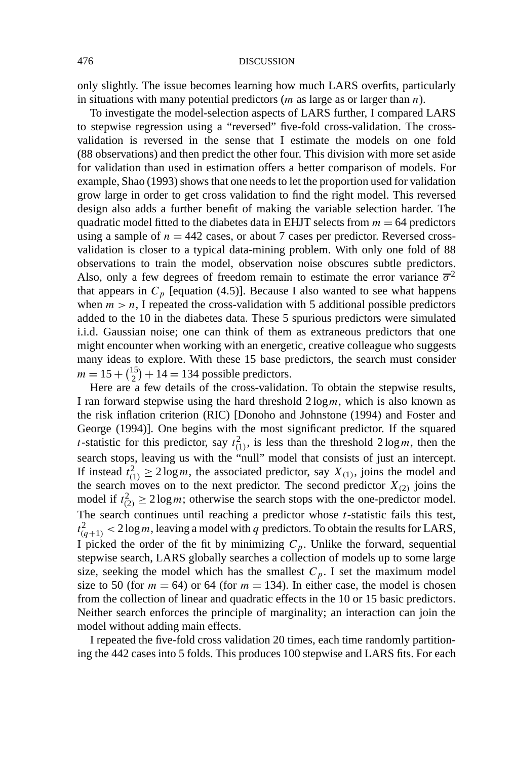only slightly. The issue becomes learning how much LARS overfits, particularly in situations with many potential predictors (*m* as large as or larger than *n*).

To investigate the model-selection aspects of LARS further, I compared LARS to stepwise regression using a "reversed" five-fold cross-validation. The crossvalidation is reversed in the sense that I estimate the models on one fold (88 observations) and then predict the other four. This division with more set aside for validation than used in estimation offers a better comparison of models. For example, Shao (1993) shows that one needs to let the proportion used for validation grow large in order to get cross validation to find the right model. This reversed design also adds a further benefit of making the variable selection harder. The quadratic model fitted to the diabetes data in EHJT selects from  $m = 64$  predictors using a sample of  $n = 442$  cases, or about 7 cases per predictor. Reversed crossvalidation is closer to a typical data-mining problem. With only one fold of 88 observations to train the model, observation noise obscures subtle predictors. Also, only a few degrees of freedom remain to estimate the error variance  $\overline{\sigma}^2$ that appears in  $C_p$  [equation (4.5)]. Because I also wanted to see what happens when  $m > n$ , I repeated the cross-validation with 5 additional possible predictors added to the 10 in the diabetes data. These 5 spurious predictors were simulated i.i.d. Gaussian noise; one can think of them as extraneous predictors that one might encounter when working with an energetic, creative colleague who suggests many ideas to explore. With these 15 base predictors, the search must consider  $m = 15 + {15 \choose 2} + 14 = 134$  possible predictors.

Here are a few details of the cross-validation. To obtain the stepwise results, I ran forward stepwise using the hard threshold 2 log*m*, which is also known as the risk inflation criterion (RIC) [Donoho and Johnstone (1994) and Foster and George (1994)]. One begins with the most significant predictor. If the squared *t*-statistic for this predictor, say  $t_{(1)}^2$ , is less than the threshold  $2 \log m$ , then the search stops, leaving us with the "null" model that consists of just an intercept. If instead  $t_{(1)}^2 \ge 2 \log m$ , the associated predictor, say  $X_{(1)}$ , joins the model and the search moves on to the next predictor. The second predictor  $X_{(2)}$  joins the model if  $t_{(2)}^2 \ge 2 \log m$ ; otherwise the search stops with the one-predictor model. The search continues until reaching a predictor whose *t*-statistic fails this test,  $t^2_{(q+1)} < 2 \log m$ , leaving a model with *q* predictors. To obtain the results for LARS, I picked the order of the fit by minimizing  $C_p$ . Unlike the forward, sequential stepwise search, LARS globally searches a collection of models up to some large size, seeking the model which has the smallest  $C_p$ . I set the maximum model size to 50 (for  $m = 64$ ) or 64 (for  $m = 134$ ). In either case, the model is chosen from the collection of linear and quadratic effects in the 10 or 15 basic predictors. Neither search enforces the principle of marginality; an interaction can join the model without adding main effects.

I repeated the five-fold cross validation 20 times, each time randomly partitioning the 442 cases into 5 folds. This produces 100 stepwise and LARS fits. For each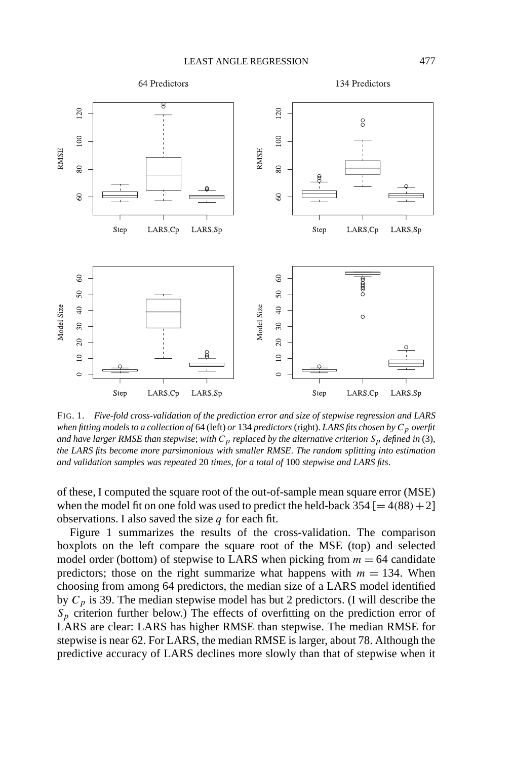

FIG. 1. *Five-fold cross-validation of the prediction error and size of stepwise regression and LARS when fitting models to a collection of* 64 (left) *or* 134 *predictors* (right). *LARS fits chosen by Cp overfit and have larger RMSE than stepwise*; *with Cp replaced by the alternative criterion Sp defined in* (3), *the LARS fits become more parsimonious with smaller RMSE*. *The random splitting into estimation and validation samples was repeated* 20 *times*, *for a total of* 100 *stepwise and LARS fits*.

of these, I computed the square root of the out-of-sample mean square error (MSE) when the model fit on one fold was used to predict the held-back  $354$  [ $= 4(88) + 2$ ] observations. I also saved the size *q* for each fit.

Figure 1 summarizes the results of the cross-validation. The comparison boxplots on the left compare the square root of the MSE (top) and selected model order (bottom) of stepwise to LARS when picking from  $m = 64$  candidate predictors; those on the right summarize what happens with  $m = 134$ . When choosing from among 64 predictors, the median size of a LARS model identified by  $C_p$  is 39. The median stepwise model has but 2 predictors. (I will describe the  $S_p$  criterion further below.) The effects of overfitting on the prediction error of LARS are clear: LARS has higher RMSE than stepwise. The median RMSE for stepwise is near 62. For LARS, the median RMSE is larger, about 78. Although the predictive accuracy of LARS declines more slowly than that of stepwise when it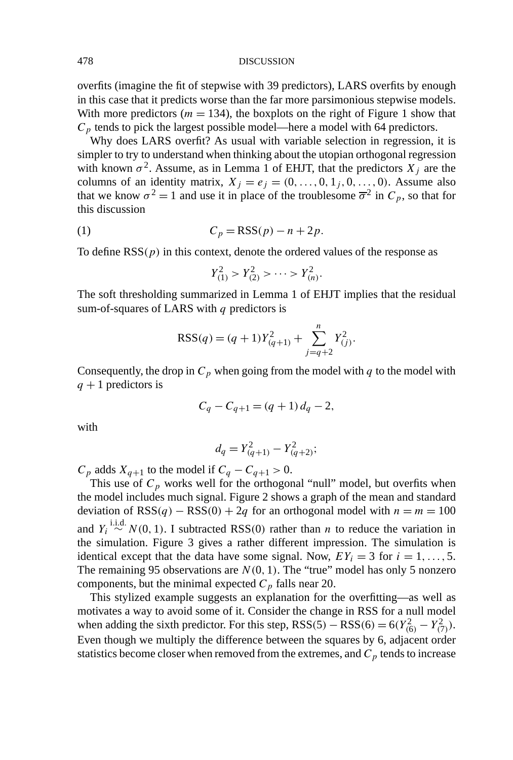overfits (imagine the fit of stepwise with 39 predictors), LARS overfits by enough in this case that it predicts worse than the far more parsimonious stepwise models. With more predictors ( $m = 134$ ), the boxplots on the right of Figure 1 show that  $C_p$  tends to pick the largest possible model—here a model with 64 predictors.

Why does LARS overfit? As usual with variable selection in regression, it is simpler to try to understand when thinking about the utopian orthogonal regression with known  $\sigma^2$ . Assume, as in Lemma 1 of EHJT, that the predictors  $X_j$  are the columns of an identity matrix,  $X_j = e_j = (0, \ldots, 0, 1_j, 0, \ldots, 0)$ . Assume also that we know  $\sigma^2 = 1$  and use it in place of the troublesome  $\overline{\sigma}^2$  in  $C_p$ , so that for this discussion

$$
(1) \tC_p = \text{RSS}(p) - n + 2p.
$$

To define  $RSS(p)$  in this context, denote the ordered values of the response as

$$
Y_{(1)}^2 > Y_{(2)}^2 > \cdots > Y_{(n)}^2.
$$

The soft thresholding summarized in Lemma 1 of EHJT implies that the residual sum-of-squares of LARS with *q* predictors is

$$
RSS(q) = (q+1)Y_{(q+1)}^{2} + \sum_{j=q+2}^{n} Y_{(j)}^{2}.
$$

Consequently, the drop in  $C_p$  when going from the model with  $q$  to the model with  $q + 1$  predictors is

$$
C_q - C_{q+1} = (q+1)d_q - 2,
$$

with

$$
d_q = Y^2_{(q+1)} - Y^2_{(q+2)};
$$

 $C_p$  adds  $X_{q+1}$  to the model if  $C_q - C_{q+1} > 0$ .

This use of  $C_p$  works well for the orthogonal "null" model, but overfits when the model includes much signal. Figure 2 shows a graph of the mean and standard deviation of  $RSS(q) - RSS(0) + 2q$  for an orthogonal model with  $n = m = 100$ and  $Y_i \stackrel{\text{i.i.d.}}{\sim} N(0, 1)$ . I subtracted RSS(0) rather than *n* to reduce the variation in the simulation. Figure 3 gives a rather different impression. The simulation is identical except that the data have some signal. Now,  $EY_i = 3$  for  $i = 1, \ldots, 5$ . The remaining 95 observations are  $N(0, 1)$ . The "true" model has only 5 nonzero components, but the minimal expected  $C_p$  falls near 20.

This stylized example suggests an explanation for the overfitting—as well as motivates a way to avoid some of it. Consider the change in RSS for a null model when adding the sixth predictor. For this step,  $RSS(5) - RSS(6) = 6(Y_{(6)}^2 - Y_{(7)}^2)$ . Even though we multiply the difference between the squares by 6, adjacent order statistics become closer when removed from the extremes, and  $C_p$  tends to increase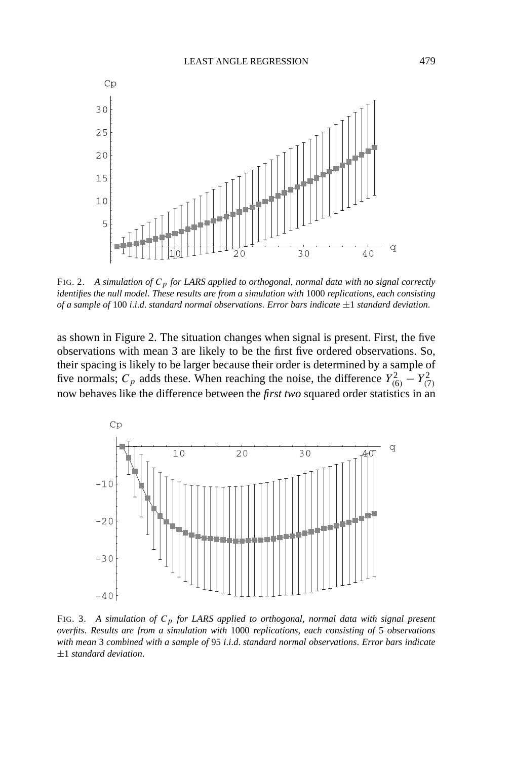

FIG. 2. *A simulation of Cp for LARS applied to orthogonal*, *normal data with no signal correctly identifies the null model*. *These results are from a simulation with* 1000 *replications*, *each consisting of a sample of* 100 *i*.*i*.*d*. *standard normal observations*. *Error bars indicate* ±1 *standard deviation*.

as shown in Figure 2. The situation changes when signal is present. First, the five observations with mean 3 are likely to be the first five ordered observations. So, their spacing is likely to be larger because their order is determined by a sample of five normals;  $C_p$  adds these. When reaching the noise, the difference  $Y_{(6)}^2 - Y_{(7)}^2$ now behaves like the difference between the *first two* squared order statistics in an



FIG. 3. *A simulation of Cp for LARS applied to orthogonal*, *normal data with signal present overfits*. *Results are from a simulation with* 1000 *replications*, *each consisting of* 5 *observations with mean* 3 *combined with a sample of* 95 *i*.*i*.*d*. *standard normal observations*. *Error bars indicate* ±1 *standard deviation*.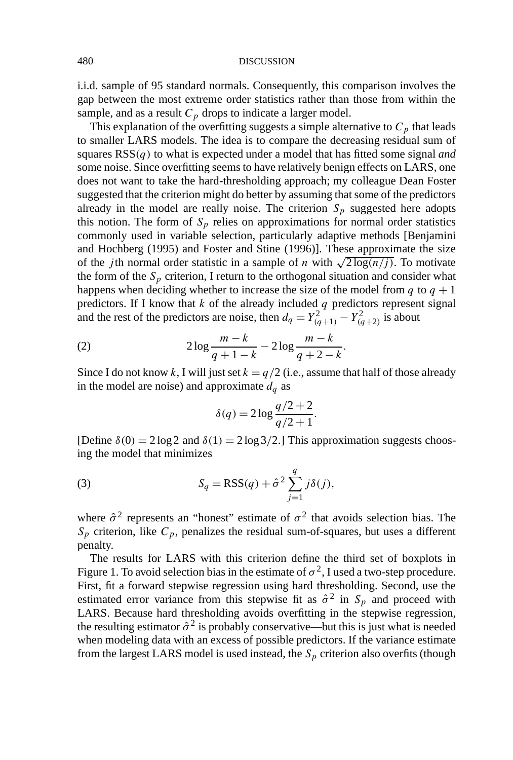i.i.d. sample of 95 standard normals. Consequently, this comparison involves the gap between the most extreme order statistics rather than those from within the sample, and as a result  $C_p$  drops to indicate a larger model.

This explanation of the overfitting suggests a simple alternative to  $C_p$  that leads to smaller LARS models. The idea is to compare the decreasing residual sum of squares RSS*(q)* to what is expected under a model that has fitted some signal *and* some noise. Since overfitting seems to have relatively benign effects on LARS, one does not want to take the hard-thresholding approach; my colleague Dean Foster suggested that the criterion might do better by assuming that some of the predictors already in the model are really noise. The criterion  $S_p$  suggested here adopts this notion. The form of  $S_p$  relies on approximations for normal order statistics commonly used in variable selection, particularly adaptive methods [Benjamini and Hochberg (1995) and Foster and Stine (1996)]. These approximate the size of the *j*th normal order statistic in a sample of *n* with  $\sqrt{2 \log(n/j)}$ . To motivate the form of the  $S_p$  criterion, I return to the orthogonal situation and consider what happens when deciding whether to increase the size of the model from  $q$  to  $q + 1$ predictors. If I know that *k* of the already included *q* predictors represent signal and the rest of the predictors are noise, then  $d_q = Y^2_{(q+1)} - Y^2_{(q+2)}$  is about

(2) 
$$
2\log\frac{m-k}{q+1-k} - 2\log\frac{m-k}{q+2-k}.
$$

Since I do not know k, I will just set  $k = q/2$  (i.e., assume that half of those already in the model are noise) and approximate  $d_q$  as

$$
\delta(q) = 2\log\frac{q/2+2}{q/2+1}.
$$

[Define  $\delta(0) = 2 \log 2$  and  $\delta(1) = 2 \log 3/2$ .] This approximation suggests choosing the model that minimizes

(3) 
$$
S_q = \text{RSS}(q) + \hat{\sigma}^2 \sum_{j=1}^q j\delta(j),
$$

where  $\hat{\sigma}^2$  represents an "honest" estimate of  $\sigma^2$  that avoids selection bias. The  $S_p$  criterion, like  $C_p$ , penalizes the residual sum-of-squares, but uses a different penalty.

The results for LARS with this criterion define the third set of boxplots in Figure 1. To avoid selection bias in the estimate of  $\sigma^2$ , I used a two-step procedure. First, fit a forward stepwise regression using hard thresholding. Second, use the estimated error variance from this stepwise fit as  $\hat{\sigma}^2$  in  $S_p$  and proceed with LARS. Because hard thresholding avoids overfitting in the stepwise regression, the resulting estimator  $\hat{\sigma}^2$  is probably conservative—but this is just what is needed when modeling data with an excess of possible predictors. If the variance estimate from the largest LARS model is used instead, the  $S_p$  criterion also overfits (though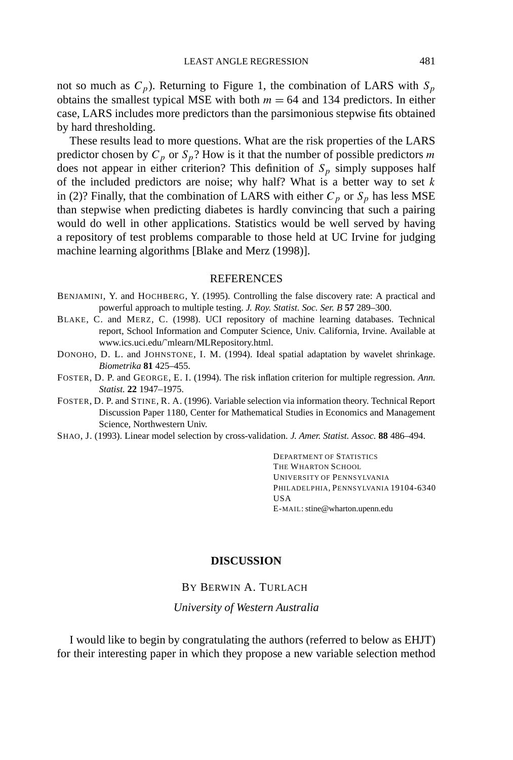not so much as  $C_p$ ). Returning to Figure 1, the combination of LARS with  $S_p$ obtains the smallest typical MSE with both *m* = 64 and 134 predictors. In either case, LARS includes more predictors than the parsimonious stepwise fits obtained by hard thresholding.

These results lead to more questions. What are the risk properties of the LARS predictor chosen by  $C_p$  or  $S_p$ ? How is it that the number of possible predictors *m* does not appear in either criterion? This definition of  $S_p$  simply supposes half of the included predictors are noise; why half? What is a better way to set *k* in (2)? Finally, that the combination of LARS with either  $C_p$  or  $S_p$  has less MSE than stepwise when predicting diabetes is hardly convincing that such a pairing would do well in other applications. Statistics would be well served by having a repository of test problems comparable to those held at UC Irvine for judging machine learning algorithms [Blake and Merz (1998)].

#### REFERENCES

- BENJAMINI, Y. and HOCHBERG, Y. (1995). Controlling the false discovery rate: A practical and powerful approach to multiple testing. *J. Roy. Statist. Soc. Ser. B* **57** 289–300.
- BLAKE, C. and MERZ, C. (1998). UCI repository of machine learning databases. Technical report, School Information and Computer Science, Univ. California, Irvine. Available at www.ics.uci.edu/˜mlearn/MLRepository.html.
- DONOHO, D. L. and JOHNSTONE, I. M. (1994). Ideal spatial adaptation by wavelet shrinkage. *Biometrika* **81** 425–455.
- FOSTER, D. P. and GEORGE, E. I. (1994). The risk inflation criterion for multiple regression. *Ann. Statist.* **22** 1947–1975.
- FOSTER, D. P. and STINE, R. A. (1996). Variable selection via information theory. Technical Report Discussion Paper 1180, Center for Mathematical Studies in Economics and Management Science, Northwestern Univ.
- SHAO, J. (1993). Linear model selection by cross-validation. *J. Amer. Statist. Assoc.* **88** 486–494.

DEPARTMENT OF STATISTICS THE WHARTON SCHOOL UNIVERSITY OF PENNSYLVANIA PHILADELPHIA, PENNSYLVANIA 19104-6340 USA E-MAIL: stine@wharton.upenn.edu

## **DISCUSSION**

# BY BERWIN A. TURLACH

### *University of Western Australia*

I would like to begin by congratulating the authors (referred to below as EHJT) for their interesting paper in which they propose a new variable selection method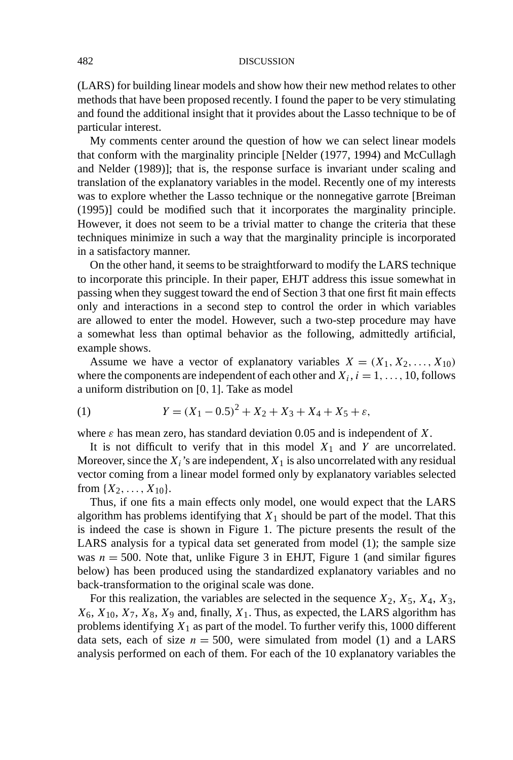(LARS) for building linear models and show how their new method relates to other methods that have been proposed recently. I found the paper to be very stimulating and found the additional insight that it provides about the Lasso technique to be of particular interest.

My comments center around the question of how we can select linear models that conform with the marginality principle [Nelder (1977, 1994) and McCullagh and Nelder (1989)]; that is, the response surface is invariant under scaling and translation of the explanatory variables in the model. Recently one of my interests was to explore whether the Lasso technique or the nonnegative garrote [Breiman (1995)] could be modified such that it incorporates the marginality principle. However, it does not seem to be a trivial matter to change the criteria that these techniques minimize in such a way that the marginality principle is incorporated in a satisfactory manner.

On the other hand, it seems to be straightforward to modify the LARS technique to incorporate this principle. In their paper, EHJT address this issue somewhat in passing when they suggest toward the end of Section 3 that one first fit main effects only and interactions in a second step to control the order in which variables are allowed to enter the model. However, such a two-step procedure may have a somewhat less than optimal behavior as the following, admittedly artificial, example shows.

Assume we have a vector of explanatory variables  $X = (X_1, X_2, \ldots, X_{10})$ where the components are independent of each other and  $X_i$ ,  $i = 1, \ldots, 10$ , follows a uniform distribution on [0*,* 1]. Take as model

(1) 
$$
Y = (X_1 - 0.5)^2 + X_2 + X_3 + X_4 + X_5 + \varepsilon,
$$

where *ε* has mean zero, has standard deviation 0.05 and is independent of *X*.

It is not difficult to verify that in this model  $X_1$  and  $Y$  are uncorrelated. Moreover, since the  $X_i$ 's are independent,  $X_1$  is also uncorrelated with any residual vector coming from a linear model formed only by explanatory variables selected from  $\{X_2, \ldots, X_{10}\}.$ 

Thus, if one fits a main effects only model, one would expect that the LARS algorithm has problems identifying that  $X_1$  should be part of the model. That this is indeed the case is shown in Figure 1. The picture presents the result of the LARS analysis for a typical data set generated from model (1); the sample size was  $n = 500$ . Note that, unlike Figure 3 in EHJT, Figure 1 (and similar figures below) has been produced using the standardized explanatory variables and no back-transformation to the original scale was done.

For this realization, the variables are selected in the sequence  $X_2$ ,  $X_5$ ,  $X_4$ ,  $X_3$ ,  $X_6$ ,  $X_{10}$ ,  $X_7$ ,  $X_8$ ,  $X_9$  and, finally,  $X_1$ . Thus, as expected, the LARS algorithm has problems identifying *X*<sup>1</sup> as part of the model. To further verify this, 1000 different data sets, each of size  $n = 500$ , were simulated from model (1) and a LARS analysis performed on each of them. For each of the 10 explanatory variables the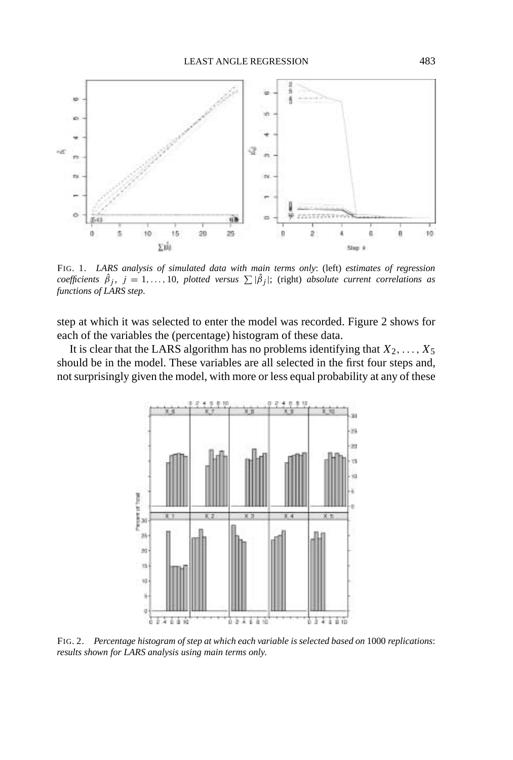

FIG. 1. *LARS analysis of simulated data with main terms only*: (left) *estimates of regression*  $coefficients \hat{\beta}_j, j = 1,..., 10, plotted versus \sum |\hat{\beta}_j|;$  (right) *absolute current correlations as functions of LARS step*.

step at which it was selected to enter the model was recorded. Figure 2 shows for each of the variables the (percentage) histogram of these data.

It is clear that the LARS algorithm has no problems identifying that  $X_2, \ldots, X_5$ should be in the model. These variables are all selected in the first four steps and, not surprisingly given the model, with more or less equal probability at any of these



FIG. 2. *Percentage histogram of step at which each variable is selected based on* 1000 *replications*: *results shown for LARS analysis using main terms only*.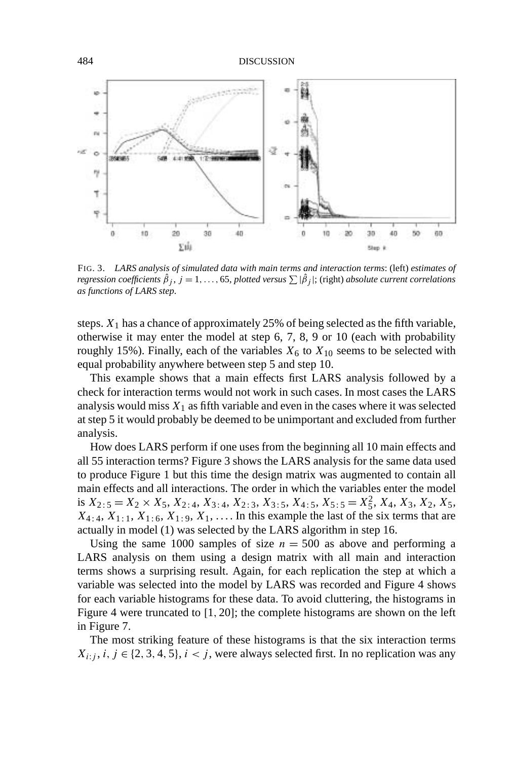

FIG. 3. *LARS analysis of simulated data with main terms and interaction terms*: (left) *estimates of regression coefficients*  $\hat{\beta}_j$ ,  $j = 1, ..., 65$ , *plotted versus*  $\sum |\hat{\beta}_j|$ ; (right) *absolute current correlations as functions of LARS step*.

steps. *X*<sup>1</sup> has a chance of approximately 25% of being selected as the fifth variable, otherwise it may enter the model at step 6, 7, 8, 9 or 10 (each with probability roughly 15%). Finally, each of the variables  $X_6$  to  $X_{10}$  seems to be selected with equal probability anywhere between step 5 and step 10.

This example shows that a main effects first LARS analysis followed by a check for interaction terms would not work in such cases. In most cases the LARS analysis would miss  $X_1$  as fifth variable and even in the cases where it was selected at step 5 it would probably be deemed to be unimportant and excluded from further analysis.

How does LARS perform if one uses from the beginning all 10 main effects and all 55 interaction terms? Figure 3 shows the LARS analysis for the same data used to produce Figure 1 but this time the design matrix was augmented to contain all main effects and all interactions. The order in which the variables enter the model is  $X_{2:5} = X_2 \times X_5$ ,  $X_{2:4}$ ,  $X_{3:4}$ ,  $X_{2:3}$ ,  $X_{3:5}$ ,  $X_{4:5}$ ,  $X_{5:5} = X_5^2$ ,  $X_4$ ,  $X_3$ ,  $X_2$ ,  $X_5$ ,  $X_{4:4}$ ,  $X_{1:1}$ ,  $X_{1:6}$ ,  $X_{1:9}$ ,  $X_1$ , ... In this example the last of the six terms that are actually in model (1) was selected by the LARS algorithm in step 16.

Using the same 1000 samples of size  $n = 500$  as above and performing a LARS analysis on them using a design matrix with all main and interaction terms shows a surprising result. Again, for each replication the step at which a variable was selected into the model by LARS was recorded and Figure 4 shows for each variable histograms for these data. To avoid cluttering, the histograms in Figure 4 were truncated to [1*,* 20]; the complete histograms are shown on the left in Figure 7.

The most striking feature of these histograms is that the six interaction terms  $X_{i:j}, i, j \in \{2, 3, 4, 5\}, i < j$ , were always selected first. In no replication was any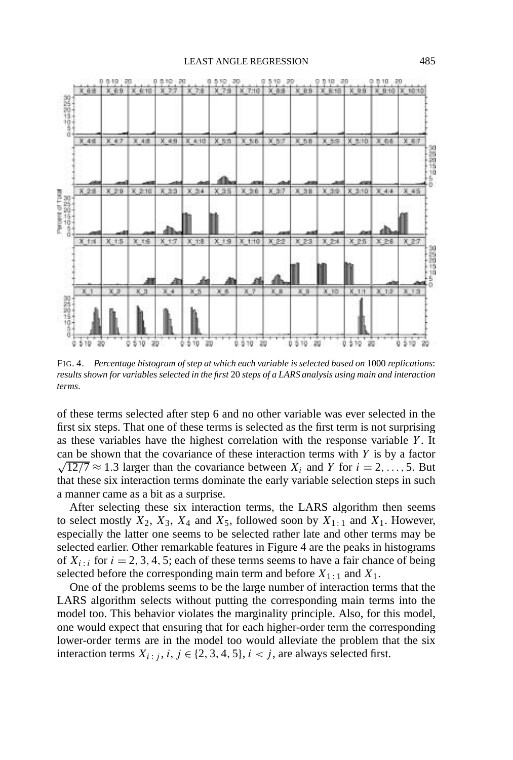

FIG. 4. *Percentage histogram of step at which each variable is selected based on* 1000 *replications*: *results shown for variables selected in the first* 20 *steps of a LARS analysis using main and interaction terms*.

of these terms selected after step 6 and no other variable was ever selected in the first six steps. That one of these terms is selected as the first term is not surprising as these variables have the highest correlation with the response variable *Y* . It can be shown that the covariance of these interaction terms with  $Y$  is by a factor  $\sqrt{12/7} \approx 1.3$  larger than the covariance between  $X_i$  and Y for  $i = 2, \ldots, 5$ . But that these six interaction terms dominate the early variable selection steps in such a manner came as a bit as a surprise.

After selecting these six interaction terms, the LARS algorithm then seems to select mostly  $X_2$ ,  $X_3$ ,  $X_4$  and  $X_5$ , followed soon by  $X_{1:1}$  and  $X_1$ . However, especially the latter one seems to be selected rather late and other terms may be selected earlier. Other remarkable features in Figure 4 are the peaks in histograms of  $X_{i:i}$  for  $i = 2, 3, 4, 5$ ; each of these terms seems to have a fair chance of being selected before the corresponding main term and before  $X_{1:1}$  and  $X_1$ .

One of the problems seems to be the large number of interaction terms that the LARS algorithm selects without putting the corresponding main terms into the model too. This behavior violates the marginality principle. Also, for this model, one would expect that ensuring that for each higher-order term the corresponding lower-order terms are in the model too would alleviate the problem that the six interaction terms  $X_{i}: j, i, j \in \{2, 3, 4, 5\}, i < j$ , are always selected first.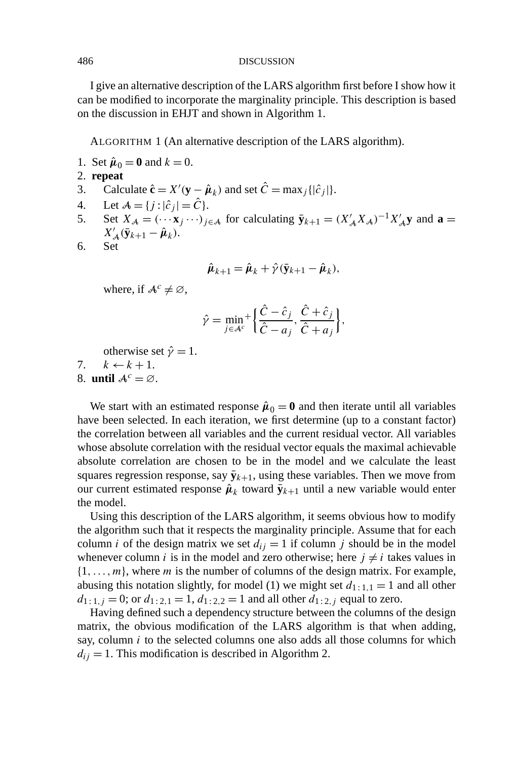I give an alternative description of the LARS algorithm first before I show how it can be modified to incorporate the marginality principle. This description is based on the discussion in EHJT and shown in Algorithm 1.

ALGORITHM 1 (An alternative description of the LARS algorithm).

1. Set  $\hat{\mu}_0 = 0$  and  $k = 0$ .

- 2. **repeat**
- 3. Calculate  $\hat{\mathbf{c}} = X'(\mathbf{y} \hat{\boldsymbol{\mu}}_k)$  and set  $\hat{C} = \max_j \{|\hat{c}_j|\}.$
- 4. Let  $A = \{j : |\hat{c}_j| = \hat{C}\}.$
- 5. Set  $X_A = (\cdots x_j \cdots)_{j \in A}$  for calculating  $\bar{\mathbf{y}}_{k+1} = (X'_A X_A)^{-1} X'_A \mathbf{y}$  and  $\mathbf{a} =$  $X'_{A}(\bar{y}_{k+1} - \hat{\mu}_{k}).$
- 6. Set

$$
\hat{\boldsymbol{\mu}}_{k+1} = \hat{\boldsymbol{\mu}}_k + \hat{\gamma}(\bar{\mathbf{y}}_{k+1} - \hat{\boldsymbol{\mu}}_k),
$$

where, if  $A^c \neq \emptyset$ ,

$$
\hat{\gamma} = \min_{j \in A^c} \left\{ \frac{\hat{C} - \hat{c}_j}{\hat{C} - a_j}, \frac{\hat{C} + \hat{c}_j}{\hat{C} + a_j} \right\},\
$$

otherwise set  $\hat{\gamma} = 1$ .

7.  $k \leftarrow k + 1$ .

8. **until**  $A^c = \emptyset$ .

We start with an estimated response  $\hat{\mu}_0 = 0$  and then iterate until all variables have been selected. In each iteration, we first determine (up to a constant factor) the correlation between all variables and the current residual vector. All variables whose absolute correlation with the residual vector equals the maximal achievable absolute correlation are chosen to be in the model and we calculate the least squares regression response, say  $\bar{y}_{k+1}$ , using these variables. Then we move from our current estimated response  $\hat{\mu}_k$  toward  $\bar{y}_{k+1}$  until a new variable would enter the model.

Using this description of the LARS algorithm, it seems obvious how to modify the algorithm such that it respects the marginality principle. Assume that for each column *i* of the design matrix we set  $d_{ij} = 1$  if column *j* should be in the model whenever column *i* is in the model and zero otherwise; here  $j \neq i$  takes values in {1*,...,m*}, where *m* is the number of columns of the design matrix. For example, abusing this notation slightly, for model (1) we might set  $d_{1,1,1} = 1$  and all other  $d_{1:1,j} = 0$ ; or  $d_{1:2,1} = 1$ ,  $d_{1:2,2} = 1$  and all other  $d_{1:2,j}$  equal to zero.

Having defined such a dependency structure between the columns of the design matrix, the obvious modification of the LARS algorithm is that when adding, say, column *i* to the selected columns one also adds all those columns for which  $d_{ij} = 1$ . This modification is described in Algorithm 2.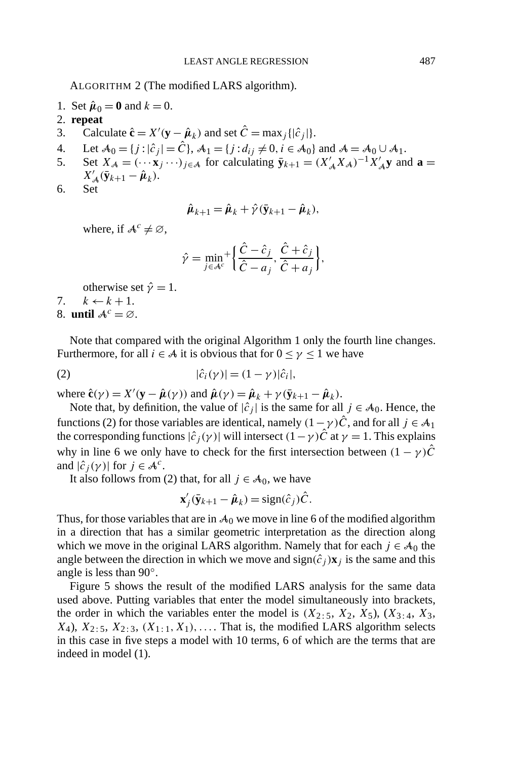ALGORITHM 2 (The modified LARS algorithm).

- 1. Set  $\hat{\mu}_0 = 0$  and  $k = 0$ .
- 2. **repeat**
- 3. Calculate  $\hat{\mathbf{c}} = X'(\mathbf{y} \hat{\boldsymbol{\mu}}_k)$  and set  $\hat{C} = \max_j \{|\hat{c}_j|\}.$
- 4. Let  $A_0 = \{j : |\hat{c}_j| = \hat{C}\}, A_1 = \{j : d_{ij} \neq 0, i \in A_0\}$  and  $A = A_0 \cup A_1$ .
- 5. Set  $X_A = (\cdots x_j \cdots)_{j \in A}$  for calculating  $\bar{y}_{k+1} = (X'_A X_A)^{-1} X'_A y$  and  $a =$  $X'_{A}(\bar{\mathbf{y}}_{k+1} - \hat{\boldsymbol{\mu}}_{k}).$
- 6. Set

$$
\hat{\boldsymbol{\mu}}_{k+1} = \hat{\boldsymbol{\mu}}_k + \hat{\boldsymbol{\gamma}} (\bar{\mathbf{y}}_{k+1} - \hat{\boldsymbol{\mu}}_k),
$$

where, if  $A^c \neq \emptyset$ ,

$$
\hat{\gamma} = \min_{j \in \mathcal{A}^c} \left\{ \frac{\hat{C} - \hat{c}_j}{\hat{C} - a_j}, \frac{\hat{C} + \hat{c}_j}{\hat{C} + a_j} \right\},\
$$

otherwise set  $\hat{\gamma} = 1$ .

- 7.  $k \leftarrow k + 1$ .
- 8. **until**  $A^c = \emptyset$ .

Note that compared with the original Algorithm 1 only the fourth line changes. Furthermore, for all  $i \in A$  it is obvious that for  $0 \le \gamma \le 1$  we have

$$
|\hat{c}_i(\gamma)| = (1 - \gamma)|\hat{c}_i|,
$$

where  $\hat{\mathbf{c}}(\gamma) = X'(\mathbf{y} - \hat{\boldsymbol{\mu}}(\gamma))$  and  $\hat{\boldsymbol{\mu}}(\gamma) = \hat{\boldsymbol{\mu}}_k + \gamma(\bar{\mathbf{y}}_{k+1} - \hat{\boldsymbol{\mu}}_k)$ .

Note that, by definition, the value of  $|\hat{c}_i|$  is the same for all  $j \in A_0$ . Hence, the functions (2) for those variables are identical, namely  $(1 - \gamma)\hat{C}$ , and for all  $j \in \mathcal{A}_1$ the corresponding functions  $|\hat{c}_j(\gamma)|$  will intersect  $(1-\gamma)\hat{C}$  at  $\gamma = 1$ . This explains why in line 6 we only have to check for the first intersection between  $(1 - \gamma)\hat{C}$ and  $|\hat{c}_i(\gamma)|$  for  $j \in \mathcal{A}^c$ .

It also follows from (2) that, for all  $j \in A_0$ , we have

$$
\mathbf{x}'_j(\bar{\mathbf{y}}_{k+1} - \hat{\boldsymbol{\mu}}_k) = \text{sign}(\hat{c}_j)\hat{C}.
$$

Thus, for those variables that are in  $A_0$  we move in line 6 of the modified algorithm in a direction that has a similar geometric interpretation as the direction along which we move in the original LARS algorithm. Namely that for each  $j \in A_0$  the angle between the direction in which we move and  $sign(\hat{c}_i) \mathbf{x}_i$  is the same and this angle is less than 90◦.

Figure 5 shows the result of the modified LARS analysis for the same data used above. Putting variables that enter the model simultaneously into brackets, the order in which the variables enter the model is  $(X_2, S, X_2, X_5)$ ,  $(X_3, A, X_3)$  $X_4$ ),  $X_2$ :5,  $X_2$ :3,  $(X_{1:1}, X_1)$ , ... That is, the modified LARS algorithm selects in this case in five steps a model with 10 terms, 6 of which are the terms that are indeed in model (1).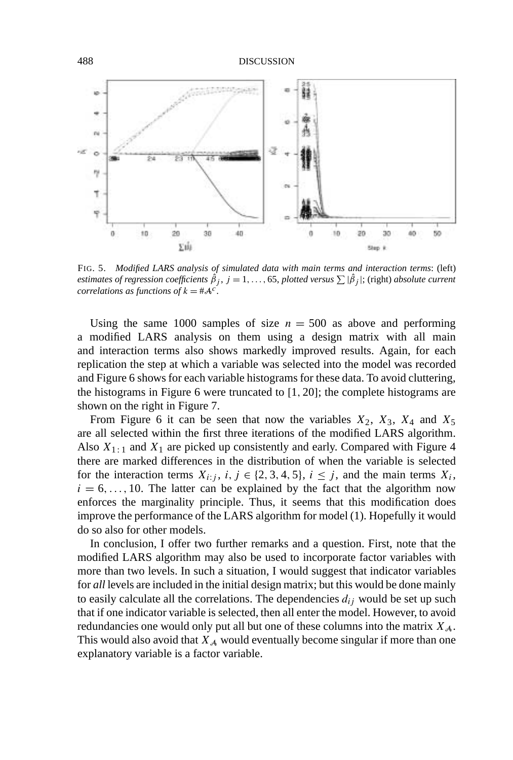

FIG. 5. *Modified LARS analysis of simulated data with main terms and interaction terms*: (left)  $e$ stimates of regression coefficients  $\hat{\beta}_j$ ,  $j=1,\ldots,65,$  plotted versus  $\sum |\hat{\beta}_j|$ ; (right) absolute current *correlations as functions of*  $k = #A^c$ .

Using the same 1000 samples of size  $n = 500$  as above and performing a modified LARS analysis on them using a design matrix with all main and interaction terms also shows markedly improved results. Again, for each replication the step at which a variable was selected into the model was recorded and Figure 6 shows for each variable histograms for these data. To avoid cluttering, the histograms in Figure 6 were truncated to [1*,* 20]; the complete histograms are shown on the right in Figure 7.

From Figure 6 it can be seen that now the variables  $X_2$ ,  $X_3$ ,  $X_4$  and  $X_5$ are all selected within the first three iterations of the modified LARS algorithm. Also  $X_{1:1}$  and  $X_1$  are picked up consistently and early. Compared with Figure 4 there are marked differences in the distribution of when the variable is selected for the interaction terms  $X_{i:j}$ ,  $i, j \in \{2, 3, 4, 5\}$ ,  $i \leq j$ , and the main terms  $X_i$ ,  $i = 6, \ldots, 10$ . The latter can be explained by the fact that the algorithm now enforces the marginality principle. Thus, it seems that this modification does improve the performance of the LARS algorithm for model (1). Hopefully it would do so also for other models.

In conclusion, I offer two further remarks and a question. First, note that the modified LARS algorithm may also be used to incorporate factor variables with more than two levels. In such a situation, I would suggest that indicator variables for *all* levels are included in the initial design matrix; but this would be done mainly to easily calculate all the correlations. The dependencies  $d_{ij}$  would be set up such that if one indicator variable is selected, then all enter the model. However, to avoid redundancies one would only put all but one of these columns into the matrix  $X_{\mathcal{A}}$ . This would also avoid that  $X_A$  would eventually become singular if more than one explanatory variable is a factor variable.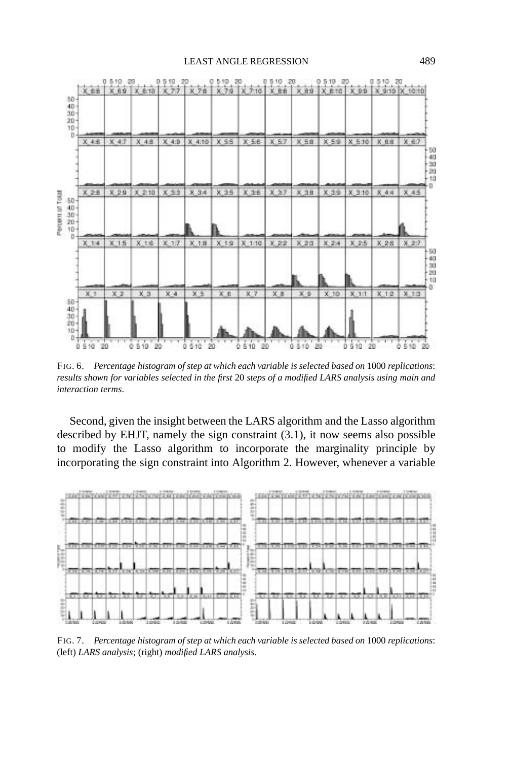

FIG. 6. *Percentage histogram of step at which each variable is selected based on* 1000 *replications*: *results shown for variables selected in the first* 20 *steps of a modified LARS analysis using main and interaction terms*.

Second, given the insight between the LARS algorithm and the Lasso algorithm described by EHJT, namely the sign constraint (3.1), it now seems also possible to modify the Lasso algorithm to incorporate the marginality principle by incorporating the sign constraint into Algorithm 2. However, whenever a variable



FIG. 7. *Percentage histogram of step at which each variable is selected based on* 1000 *replications*: (left) *LARS analysis*; (right) *modified LARS analysis*.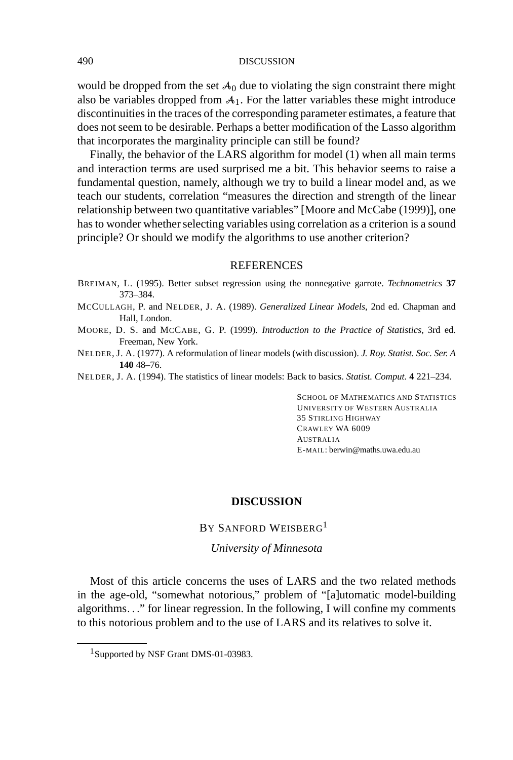### 490 DISCUSSION

would be dropped from the set  $A_0$  due to violating the sign constraint there might also be variables dropped from  $A_1$ . For the latter variables these might introduce discontinuities in the traces of the corresponding parameter estimates, a feature that does not seem to be desirable. Perhaps a better modification of the Lasso algorithm that incorporates the marginality principle can still be found?

Finally, the behavior of the LARS algorithm for model (1) when all main terms and interaction terms are used surprised me a bit. This behavior seems to raise a fundamental question, namely, although we try to build a linear model and, as we teach our students, correlation "measures the direction and strength of the linear relationship between two quantitative variables" [Moore and McCabe (1999)], one has to wonder whether selecting variables using correlation as a criterion is a sound principle? Or should we modify the algorithms to use another criterion?

## **REFERENCES**

- BREIMAN, L. (1995). Better subset regression using the nonnegative garrote. *Technometrics* **37** 373–384.
- MCCULLAGH, P. and NELDER, J. A. (1989). *Generalized Linear Models*, 2nd ed. Chapman and Hall, London.
- MOORE, D. S. and MCCABE, G. P. (1999). *Introduction to the Practice of Statistics*, 3rd ed. Freeman, New York.
- NELDER, J. A. (1977). A reformulation of linear models (with discussion). *J. Roy. Statist. Soc. Ser. A* **140** 48–76.

NELDER, J. A. (1994). The statistics of linear models: Back to basics. *Statist. Comput.* **4** 221–234.

SCHOOL OF MATHEMATICS AND STATISTICS UNIVERSITY OF WESTERN AUSTRALIA 35 STIRLING HIGHWAY CRAWLEY WA 6009 AUSTRALIA E-MAIL: berwin@maths.uwa.edu.au

#### **DISCUSSION**

## BY SANFORD WEISBERG<sup>1</sup>

*University of Minnesota*

Most of this article concerns the uses of LARS and the two related methods in the age-old, "somewhat notorious," problem of "[a]utomatic model-building algorithms*...*" for linear regression. In the following, I will confine my comments to this notorious problem and to the use of LARS and its relatives to solve it.

<sup>&</sup>lt;sup>1</sup>Supported by NSF Grant DMS-01-03983.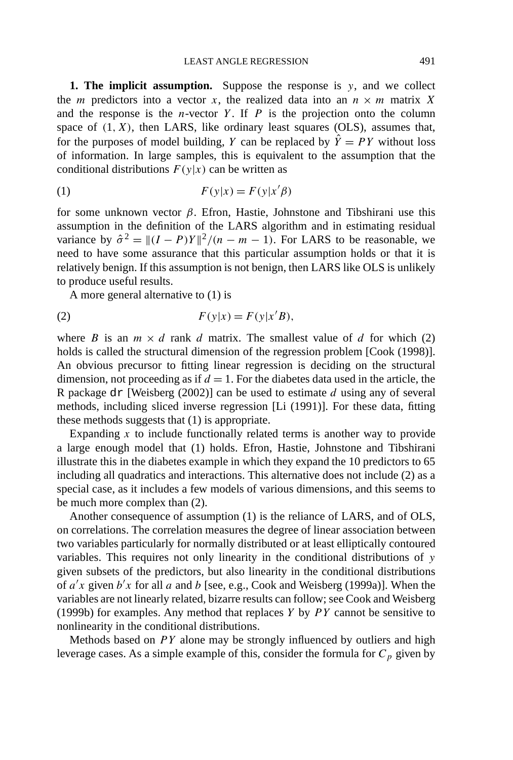**1. The implicit assumption.** Suppose the response is *y*, and we collect the *m* predictors into a vector *x*, the realized data into an  $n \times m$  matrix *X* and the response is the *n*-vector  $Y$ . If  $P$  is the projection onto the column space of  $(1, X)$ , then LARS, like ordinary least squares  $(OLS)$ , assumes that, for the purposes of model building, *Y* can be replaced by  $\hat{Y} = PY$  without loss of information. In large samples, this is equivalent to the assumption that the conditional distributions  $F(y|x)$  can be written as

(1) 
$$
F(y|x) = F(y|x' \beta)
$$

for some unknown vector *β*. Efron, Hastie, Johnstone and Tibshirani use this assumption in the definition of the LARS algorithm and in estimating residual variance by  $\hat{\sigma}^2 = ||(I - P)Y||^2 / (n - m - 1)$ . For LARS to be reasonable, we need to have some assurance that this particular assumption holds or that it is relatively benign. If this assumption is not benign, then LARS like OLS is unlikely to produce useful results.

A more general alternative to (1) is

$$
(2) \tF(y|x) = F(y|x'B),
$$

where *B* is an  $m \times d$  rank *d* matrix. The smallest value of *d* for which (2) holds is called the structural dimension of the regression problem [Cook (1998)]. An obvious precursor to fitting linear regression is deciding on the structural dimension, not proceeding as if  $d = 1$ . For the diabetes data used in the article, the R package dr [Weisberg (2002)] can be used to estimate *d* using any of several methods, including sliced inverse regression [Li (1991)]. For these data, fitting these methods suggests that (1) is appropriate.

Expanding  $x$  to include functionally related terms is another way to provide a large enough model that (1) holds. Efron, Hastie, Johnstone and Tibshirani illustrate this in the diabetes example in which they expand the 10 predictors to 65 including all quadratics and interactions. This alternative does not include (2) as a special case, as it includes a few models of various dimensions, and this seems to be much more complex than (2).

Another consequence of assumption (1) is the reliance of LARS, and of OLS, on correlations. The correlation measures the degree of linear association between two variables particularly for normally distributed or at least elliptically contoured variables. This requires not only linearity in the conditional distributions of *y* given subsets of the predictors, but also linearity in the conditional distributions of  $a'x$  given  $b'x$  for all  $a$  and  $b$  [see, e.g., Cook and Weisberg (1999a)]. When the variables are not linearly related, bizarre results can follow; see Cook and Weisberg (1999b) for examples. Any method that replaces *Y* by *P Y* cannot be sensitive to nonlinearity in the conditional distributions.

Methods based on *P Y* alone may be strongly influenced by outliers and high leverage cases. As a simple example of this, consider the formula for  $C_p$  given by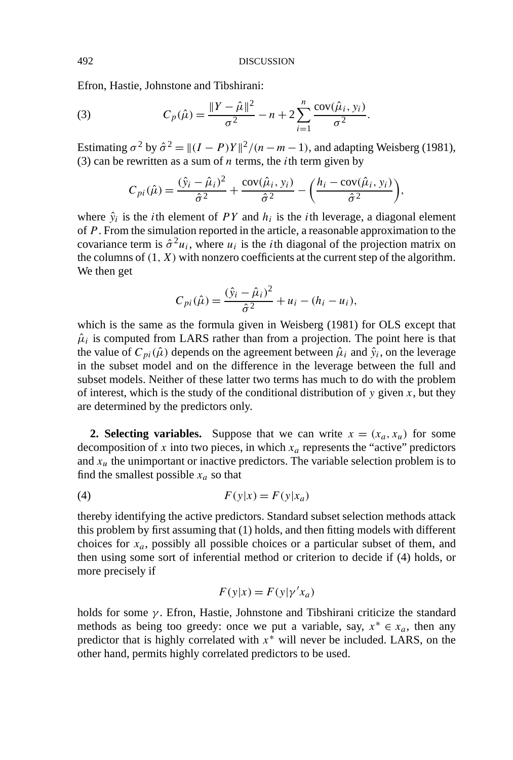Efron, Hastie, Johnstone and Tibshirani:

(3) 
$$
C_p(\hat{\mu}) = \frac{\|Y - \hat{\mu}\|^2}{\sigma^2} - n + 2 \sum_{i=1}^n \frac{\text{cov}(\hat{\mu}_i, y_i)}{\sigma^2}.
$$

Estimating  $\sigma^2$  by  $\hat{\sigma}^2 = ||(I - P)Y||^2 / (n - m - 1)$ , and adapting Weisberg (1981), (3) can be rewritten as a sum of *n* terms, the *i*th term given by

$$
C_{pi}(\hat{\mu}) = \frac{(\hat{y}_i - \hat{\mu}_i)^2}{\hat{\sigma}^2} + \frac{\text{cov}(\hat{\mu}_i, y_i)}{\hat{\sigma}^2} - \left(\frac{h_i - \text{cov}(\hat{\mu}_i, y_i)}{\hat{\sigma}^2}\right),
$$

where  $\hat{y}_i$  is the *i*th element of *PY* and  $h_i$  is the *i*th leverage, a diagonal element of *P* . From the simulation reported in the article, a reasonable approximation to the covariance term is  $\hat{\sigma}^2 u_i$ , where  $u_i$  is the *i*th diagonal of the projection matrix on the columns of  $(1, X)$  with nonzero coefficients at the current step of the algorithm. We then get

$$
C_{pi}(\hat{\mu}) = \frac{(\hat{y}_i - \hat{\mu}_i)^2}{\hat{\sigma}^2} + u_i - (h_i - u_i),
$$

which is the same as the formula given in Weisberg (1981) for OLS except that  $\hat{\mu}_i$  is computed from LARS rather than from a projection. The point here is that the value of  $C_{pi}(\hat{\mu})$  depends on the agreement between  $\hat{\mu}_i$  and  $\hat{y}_i$ , on the leverage in the subset model and on the difference in the leverage between the full and subset models. Neither of these latter two terms has much to do with the problem of interest, which is the study of the conditional distribution of *y* given *x*, but they are determined by the predictors only.

**2. Selecting variables.** Suppose that we can write  $x = (x_a, x_u)$  for some decomposition of *x* into two pieces, in which  $x_a$  represents the "active" predictors and  $x_u$  the unimportant or inactive predictors. The variable selection problem is to find the smallest possible  $x_a$  so that

$$
(4) \tF(y|x) = F(y|x_a)
$$

thereby identifying the active predictors. Standard subset selection methods attack this problem by first assuming that (1) holds, and then fitting models with different choices for  $x_a$ , possibly all possible choices or a particular subset of them, and then using some sort of inferential method or criterion to decide if (4) holds, or more precisely if

$$
F(y|x) = F(y|\gamma'x_a)
$$

holds for some *γ* . Efron, Hastie, Johnstone and Tibshirani criticize the standard methods as being too greedy: once we put a variable, say,  $x^* \in x_a$ , then any predictor that is highly correlated with *x*<sup>∗</sup> will never be included. LARS, on the other hand, permits highly correlated predictors to be used.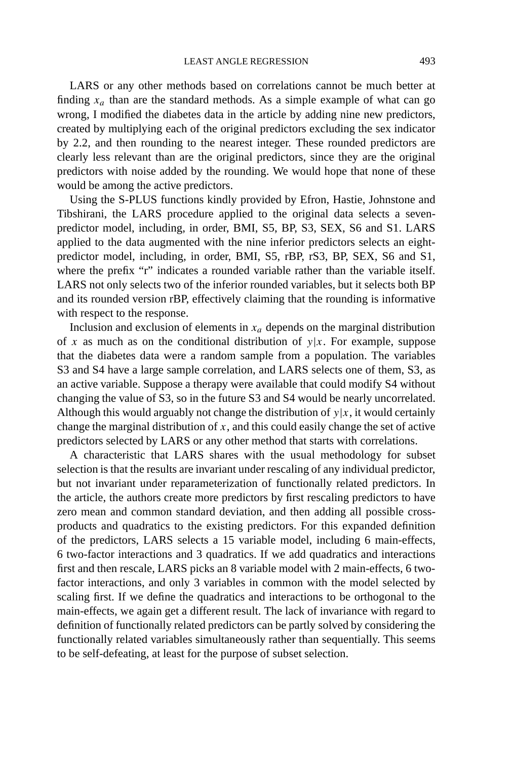LARS or any other methods based on correlations cannot be much better at finding  $x_a$  than are the standard methods. As a simple example of what can go wrong, I modified the diabetes data in the article by adding nine new predictors, created by multiplying each of the original predictors excluding the sex indicator by 2.2, and then rounding to the nearest integer. These rounded predictors are clearly less relevant than are the original predictors, since they are the original predictors with noise added by the rounding. We would hope that none of these would be among the active predictors.

Using the S-PLUS functions kindly provided by Efron, Hastie, Johnstone and Tibshirani, the LARS procedure applied to the original data selects a sevenpredictor model, including, in order, BMI, S5, BP, S3, SEX, S6 and S1. LARS applied to the data augmented with the nine inferior predictors selects an eightpredictor model, including, in order, BMI, S5, rBP, rS3, BP, SEX, S6 and S1, where the prefix "r" indicates a rounded variable rather than the variable itself. LARS not only selects two of the inferior rounded variables, but it selects both BP and its rounded version rBP, effectively claiming that the rounding is informative with respect to the response.

Inclusion and exclusion of elements in  $x_a$  depends on the marginal distribution of *x* as much as on the conditional distribution of  $y|x$ . For example, suppose that the diabetes data were a random sample from a population. The variables S3 and S4 have a large sample correlation, and LARS selects one of them, S3, as an active variable. Suppose a therapy were available that could modify S4 without changing the value of S3, so in the future S3 and S4 would be nearly uncorrelated. Although this would arguably not change the distribution of  $y|x$ , it would certainly change the marginal distribution of *x*, and this could easily change the set of active predictors selected by LARS or any other method that starts with correlations.

A characteristic that LARS shares with the usual methodology for subset selection is that the results are invariant under rescaling of any individual predictor, but not invariant under reparameterization of functionally related predictors. In the article, the authors create more predictors by first rescaling predictors to have zero mean and common standard deviation, and then adding all possible crossproducts and quadratics to the existing predictors. For this expanded definition of the predictors, LARS selects a 15 variable model, including 6 main-effects, 6 two-factor interactions and 3 quadratics. If we add quadratics and interactions first and then rescale, LARS picks an 8 variable model with 2 main-effects, 6 twofactor interactions, and only 3 variables in common with the model selected by scaling first. If we define the quadratics and interactions to be orthogonal to the main-effects, we again get a different result. The lack of invariance with regard to definition of functionally related predictors can be partly solved by considering the functionally related variables simultaneously rather than sequentially. This seems to be self-defeating, at least for the purpose of subset selection.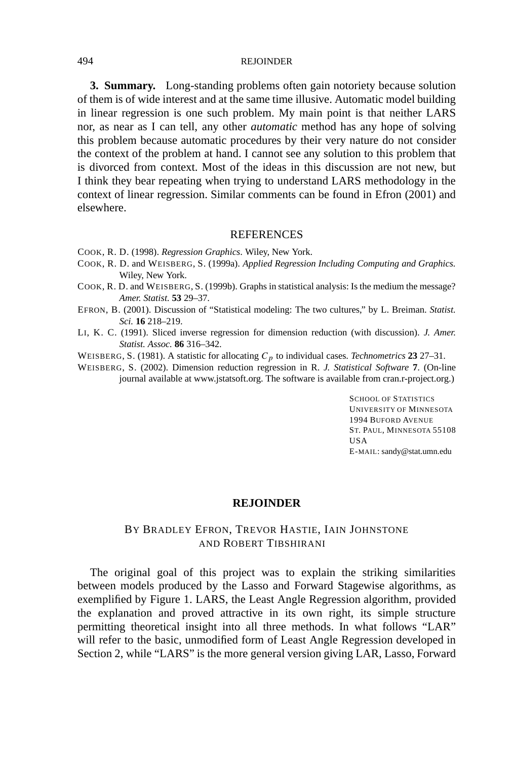#### 494 REJOINDER

**3. Summary.** Long-standing problems often gain notoriety because solution of them is of wide interest and at the same time illusive. Automatic model building in linear regression is one such problem. My main point is that neither LARS nor, as near as I can tell, any other *automatic* method has any hope of solving this problem because automatic procedures by their very nature do not consider the context of the problem at hand. I cannot see any solution to this problem that is divorced from context. Most of the ideas in this discussion are not new, but I think they bear repeating when trying to understand LARS methodology in the context of linear regression. Similar comments can be found in Efron (2001) and elsewhere.

## **REFERENCES**

- COOK, R. D. (1998). *Regression Graphics*. Wiley, New York.
- COOK, R. D. and WEISBERG, S. (1999a). *Applied Regression Including Computing and Graphics.* Wiley, New York.
- COOK, R. D. and WEISBERG, S. (1999b). Graphs in statistical analysis: Is the medium the message? *Amer. Statist.* **53** 29–37.
- EFRON, B. (2001). Discussion of "Statistical modeling: The two cultures," by L. Breiman. *Statist. Sci.* **16** 218–219.
- LI, K. C. (1991). Sliced inverse regression for dimension reduction (with discussion). *J. Amer. Statist. Assoc.* **86** 316–342.
- WEISBERG, S. (1981). A statistic for allocating  $C_p$  to individual cases. *Technometrics* 23 27–31.
- WEISBERG, S. (2002). Dimension reduction regression in R. *J. Statistical Software* **7**. (On-line journal available at www.jstatsoft.org. The software is available from cran.r-project.org.)

SCHOOL OF STATISTICS UNIVERSITY OF MINNESOTA 1994 BUFORD AVENUE ST. PAUL, MINNESOTA 55108 **IISA** E-MAIL: sandy@stat.umn.edu

## **REJOINDER**

## BY BRADLEY EFRON, TREVOR HASTIE, IAIN JOHNSTONE AND ROBERT TIBSHIRANI

The original goal of this project was to explain the striking similarities between models produced by the Lasso and Forward Stagewise algorithms, as exemplified by Figure 1. LARS, the Least Angle Regression algorithm, provided the explanation and proved attractive in its own right, its simple structure permitting theoretical insight into all three methods. In what follows "LAR" will refer to the basic, unmodified form of Least Angle Regression developed in Section 2, while "LARS" is the more general version giving LAR, Lasso, Forward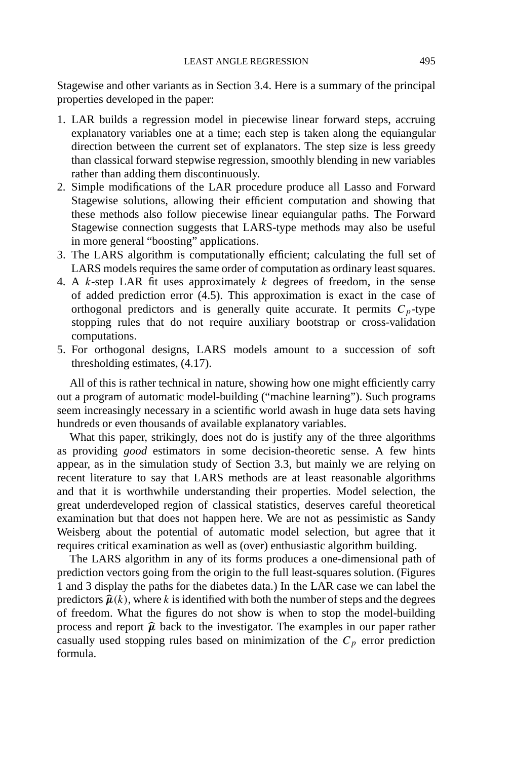Stagewise and other variants as in Section 3.4. Here is a summary of the principal properties developed in the paper:

- 1. LAR builds a regression model in piecewise linear forward steps, accruing explanatory variables one at a time; each step is taken along the equiangular direction between the current set of explanators. The step size is less greedy than classical forward stepwise regression, smoothly blending in new variables rather than adding them discontinuously.
- 2. Simple modifications of the LAR procedure produce all Lasso and Forward Stagewise solutions, allowing their efficient computation and showing that these methods also follow piecewise linear equiangular paths. The Forward Stagewise connection suggests that LARS-type methods may also be useful in more general "boosting" applications.
- 3. The LARS algorithm is computationally efficient; calculating the full set of LARS models requires the same order of computation as ordinary least squares.
- 4. A *k*-step LAR fit uses approximately *k* degrees of freedom, in the sense of added prediction error (4.5). This approximation is exact in the case of orthogonal predictors and is generally quite accurate. It permits  $C_p$ -type stopping rules that do not require auxiliary bootstrap or cross-validation computations.
- 5. For orthogonal designs, LARS models amount to a succession of soft thresholding estimates, (4.17).

All of this is rather technical in nature, showing how one might efficiently carry out a program of automatic model-building ("machine learning"). Such programs seem increasingly necessary in a scientific world awash in huge data sets having hundreds or even thousands of available explanatory variables.

What this paper, strikingly, does not do is justify any of the three algorithms as providing *good* estimators in some decision-theoretic sense. A few hints appear, as in the simulation study of Section 3.3, but mainly we are relying on recent literature to say that LARS methods are at least reasonable algorithms and that it is worthwhile understanding their properties. Model selection, the great underdeveloped region of classical statistics, deserves careful theoretical examination but that does not happen here. We are not as pessimistic as Sandy Weisberg about the potential of automatic model selection, but agree that it requires critical examination as well as (over) enthusiastic algorithm building.

The LARS algorithm in any of its forms produces a one-dimensional path of prediction vectors going from the origin to the full least-squares solution. (Figures 1 and 3 display the paths for the diabetes data.) In the LAR case we can label the predictors  $\widehat{\boldsymbol{\mu}}(k)$ , where  $k$  is identified with both the number of steps and the degrees predictions  $\mu(x)$ , where  $\kappa$  is defining while both the number of steps and the degrees of freedom. What the figures do not show is when to stop the model-building process and report  $\hat{\mu}$  back to the investigator. The examples in our paper rather process and report  $\mu$  back to the investigator. The examples in our paper rattice formula.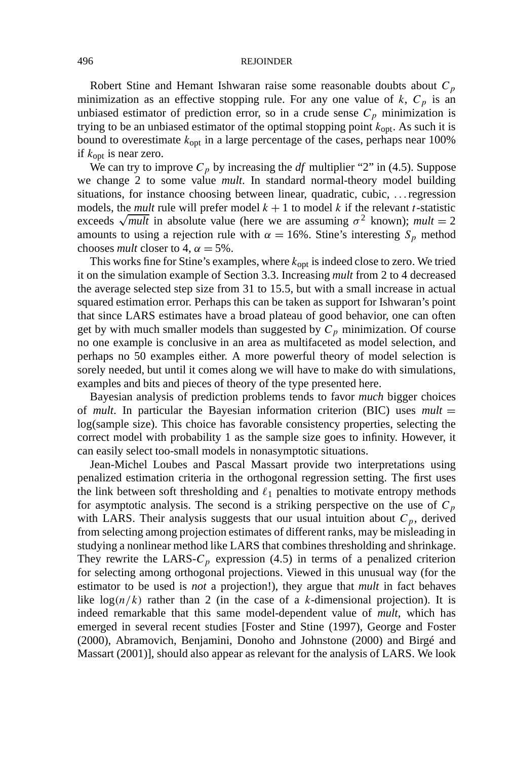#### 496 REJOINDER

Robert Stine and Hemant Ishwaran raise some reasonable doubts about *Cp* minimization as an effective stopping rule. For any one value of  $k$ ,  $C_p$  is an unbiased estimator of prediction error, so in a crude sense  $C_p$  minimization is trying to be an unbiased estimator of the optimal stopping point  $k_{opt}$ . As such it is bound to overestimate  $k_{opt}$  in a large percentage of the cases, perhaps near 100% if  $k_{\text{opt}}$  is near zero.

We can try to improve  $C_p$  by increasing the *df* multiplier "2" in (4.5). Suppose we change 2 to some value *mult*. In standard normal-theory model building situations, for instance choosing between linear, quadratic, cubic, *...*regression models, the *mult* rule will prefer model  $k + 1$  to model  $k$  if the relevant *t*-statistic exceeds  $\sqrt{mult}$  in absolute value (here we are assuming  $\sigma^2$  known); *mult* = 2 amounts to using a rejection rule with  $\alpha = 16\%$ . Stine's interesting  $S_p$  method chooses *mult* closer to 4,  $\alpha = 5\%$ .

This works fine for Stine's examples, where  $k_{opt}$  is indeed close to zero. We tried it on the simulation example of Section 3.3. Increasing *mult* from 2 to 4 decreased the average selected step size from 31 to 15.5, but with a small increase in actual squared estimation error. Perhaps this can be taken as support for Ishwaran's point that since LARS estimates have a broad plateau of good behavior, one can often get by with much smaller models than suggested by  $C_p$  minimization. Of course no one example is conclusive in an area as multifaceted as model selection, and perhaps no 50 examples either. A more powerful theory of model selection is sorely needed, but until it comes along we will have to make do with simulations, examples and bits and pieces of theory of the type presented here.

Bayesian analysis of prediction problems tends to favor *much* bigger choices of *mult*. In particular the Bayesian information criterion (BIC) uses *mult* = log(sample size). This choice has favorable consistency properties, selecting the correct model with probability 1 as the sample size goes to infinity. However, it can easily select too-small models in nonasymptotic situations.

Jean-Michel Loubes and Pascal Massart provide two interpretations using penalized estimation criteria in the orthogonal regression setting. The first uses the link between soft thresholding and  $\ell_1$  penalties to motivate entropy methods for asymptotic analysis. The second is a striking perspective on the use of  $C_p$ with LARS. Their analysis suggests that our usual intuition about  $C_p$ , derived from selecting among projection estimates of different ranks, may be misleading in studying a nonlinear method like LARS that combines thresholding and shrinkage. They rewrite the LARS- $C_p$  expression (4.5) in terms of a penalized criterion for selecting among orthogonal projections. Viewed in this unusual way (for the estimator to be used is *not* a projection!), they argue that *mult* in fact behaves like  $log(n/k)$  rather than 2 (in the case of a *k*-dimensional projection). It is indeed remarkable that this same model-dependent value of *mult*, which has emerged in several recent studies [Foster and Stine (1997), George and Foster (2000), Abramovich, Benjamini, Donoho and Johnstone (2000) and Birgé and Massart (2001)], should also appear as relevant for the analysis of LARS. We look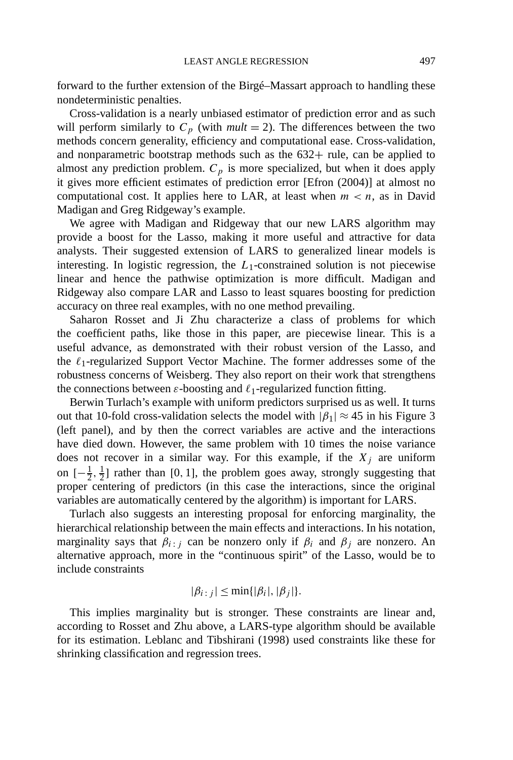forward to the further extension of the Birgé–Massart approach to handling these nondeterministic penalties.

Cross-validation is a nearly unbiased estimator of prediction error and as such will perform similarly to  $C_p$  (with  $mult = 2$ ). The differences between the two methods concern generality, efficiency and computational ease. Cross-validation, and nonparametric bootstrap methods such as the 632+ rule, can be applied to almost any prediction problem.  $C_p$  is more specialized, but when it does apply it gives more efficient estimates of prediction error [Efron (2004)] at almost no computational cost. It applies here to LAR, at least when  $m < n$ , as in David Madigan and Greg Ridgeway's example.

We agree with Madigan and Ridgeway that our new LARS algorithm may provide a boost for the Lasso, making it more useful and attractive for data analysts. Their suggested extension of LARS to generalized linear models is interesting. In logistic regression, the *L*1-constrained solution is not piecewise linear and hence the pathwise optimization is more difficult. Madigan and Ridgeway also compare LAR and Lasso to least squares boosting for prediction accuracy on three real examples, with no one method prevailing.

Saharon Rosset and Ji Zhu characterize a class of problems for which the coefficient paths, like those in this paper, are piecewise linear. This is a useful advance, as demonstrated with their robust version of the Lasso, and the  $\ell_1$ -regularized Support Vector Machine. The former addresses some of the robustness concerns of Weisberg. They also report on their work that strengthens the connections between  $\varepsilon$ -boosting and  $\ell_1$ -regularized function fitting.

Berwin Turlach's example with uniform predictors surprised us as well. It turns out that 10-fold cross-validation selects the model with  $|\beta_1| \approx 45$  in his Figure 3 (left panel), and by then the correct variables are active and the interactions have died down. However, the same problem with 10 times the noise variance does not recover in a similar way. For this example, if the  $X_j$  are uniform on  $[-\frac{1}{2}, \frac{1}{2}]$  rather than [0, 1], the problem goes away, strongly suggesting that proper centering of predictors (in this case the interactions, since the original variables are automatically centered by the algorithm) is important for LARS.

Turlach also suggests an interesting proposal for enforcing marginality, the hierarchical relationship between the main effects and interactions. In his notation, marginality says that  $\beta_{i:j}$  can be nonzero only if  $\beta_i$  and  $\beta_j$  are nonzero. An alternative approach, more in the "continuous spirit" of the Lasso, would be to include constraints

$$
|\beta_{i\cdot j}| \leq \min\{|\beta_i|, |\beta_j|\}.
$$

This implies marginality but is stronger. These constraints are linear and, according to Rosset and Zhu above, a LARS-type algorithm should be available for its estimation. Leblanc and Tibshirani (1998) used constraints like these for shrinking classification and regression trees.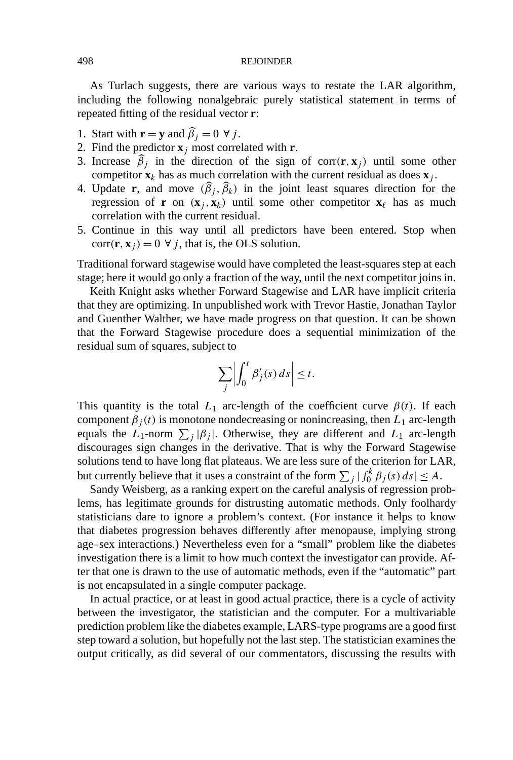#### 498 REJOINDER

As Turlach suggests, there are various ways to restate the LAR algorithm, including the following nonalgebraic purely statistical statement in terms of repeated fitting of the residual vector **r**:

- 1. Start with **r** = **y** and  $\widehat{\beta}_j = 0 \ \forall j$ .
- 2. Find the predictor  $\mathbf{x}_i$  most correlated with **r**.
- 3. Increase  $\beta_j$  in the direction of the sign of corr $(\mathbf{r}, \mathbf{x}_j)$  until some other competitor  $\mathbf{x}_k$  has as much correlation with the current residual as does  $\mathbf{x}_i$ .
- 4. Update **r**, and move  $(\beta_j, \beta_k)$  in the joint least squares direction for the regression of **r** on  $(\mathbf{x}_i, \mathbf{x}_k)$  until some other competitor  $\mathbf{x}_\ell$  has as much correlation with the current residual.
- 5. Continue in this way until all predictors have been entered. Stop when corr $(\mathbf{r}, \mathbf{x}_i) = 0 \ \forall j$ , that is, the OLS solution.

Traditional forward stagewise would have completed the least-squares step at each stage; here it would go only a fraction of the way, until the next competitor joins in.

Keith Knight asks whether Forward Stagewise and LAR have implicit criteria that they are optimizing. In unpublished work with Trevor Hastie, Jonathan Taylor and Guenther Walther, we have made progress on that question. It can be shown that the Forward Stagewise procedure does a sequential minimization of the residual sum of squares, subject to

$$
\sum_{j} \left| \int_0^t \beta'_j(s) \, ds \right| \leq t.
$$

This quantity is the total  $L_1$  arc-length of the coefficient curve  $\beta(t)$ . If each component  $\beta_i(t)$  is monotone nondecreasing or nonincreasing, then  $L_1$  arc-length equals the  $L_1$ -norm  $\sum_j |\beta_j|$ . Otherwise, they are different and  $L_1$  arc-length discourages sign changes in the derivative. That is why the Forward Stagewise solutions tend to have long flat plateaus. We are less sure of the criterion for LAR, but currently believe that it uses a constraint of the form  $\sum_j |\int_0^k \beta_j(s) ds| \leq A$ .

Sandy Weisberg, as a ranking expert on the careful analysis of regression problems, has legitimate grounds for distrusting automatic methods. Only foolhardy statisticians dare to ignore a problem's context. (For instance it helps to know that diabetes progression behaves differently after menopause, implying strong age–sex interactions.) Nevertheless even for a "small" problem like the diabetes investigation there is a limit to how much context the investigator can provide. After that one is drawn to the use of automatic methods, even if the "automatic" part is not encapsulated in a single computer package.

In actual practice, or at least in good actual practice, there is a cycle of activity between the investigator, the statistician and the computer. For a multivariable prediction problem like the diabetes example, LARS-type programs are a good first step toward a solution, but hopefully not the last step. The statistician examines the output critically, as did several of our commentators, discussing the results with